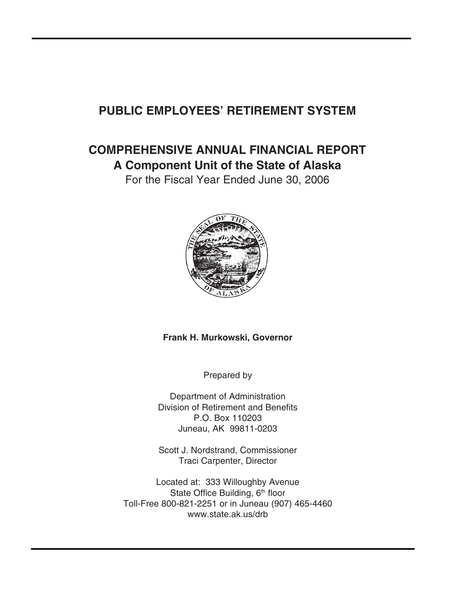# **PUBLIC EMPLOYEES' RETIREMENT SYSTEM**

# **COMPREHENSIVE ANNUAL FINANCIAL REPORT A Component Unit of the State of Alaska**

For the Fiscal Year Ended June 30, 2006



**Frank H. Murkowski, Governor**

Prepared by

Department of Administration Division of Retirement and Benefits P.O. Box 110203 Juneau, AK 99811-0203

Scott J. Nordstrand, Commissioner Traci Carpenter, Director

Located at: 333 Willoughby Avenue State Office Building, 6<sup>th</sup> floor Toll-Free 800-821-2251 or in Juneau (907) 465-4460 www.state.ak.us/drb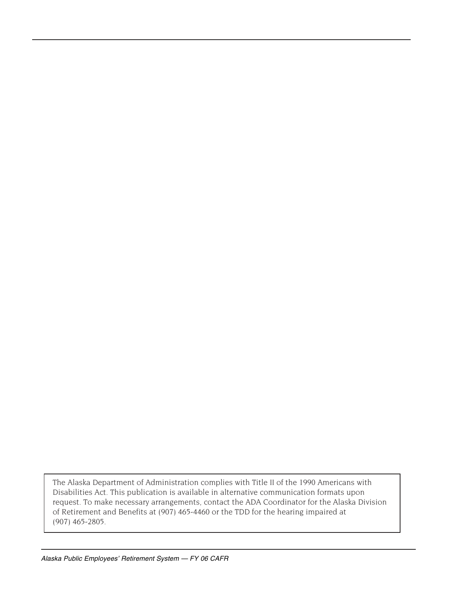The Alaska Department of Administration complies with Title II of the 1990 Americans with Disabilities Act. This publication is available in alternative communication formats upon request. To make necessary arrangements, contact the ADA Coordinator for the Alaska Division of Retirement and Benefits at (907) 465-4460 or the TDD for the hearing impaired at (907) 465-2805.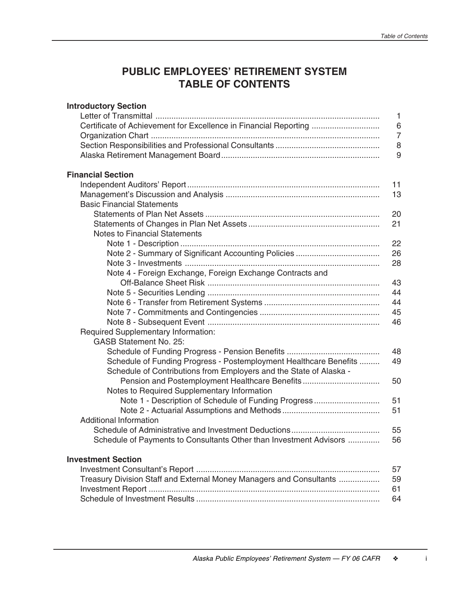# **PUBLIC EMPLOYEES' RETIREMENT SYSTEM TABLE OF CONTENTS**

| <b>Introductory Section</b>                                                                   |                |
|-----------------------------------------------------------------------------------------------|----------------|
|                                                                                               | $\mathbf{1}$   |
| Certificate of Achievement for Excellence in Financial Reporting                              | 6              |
|                                                                                               | $\overline{7}$ |
|                                                                                               | 8              |
|                                                                                               | 9              |
| <b>Financial Section</b>                                                                      |                |
|                                                                                               | 11             |
|                                                                                               | 13             |
| <b>Basic Financial Statements</b>                                                             |                |
|                                                                                               | 20             |
|                                                                                               | 21             |
| <b>Notes to Financial Statements</b>                                                          |                |
|                                                                                               | 22             |
|                                                                                               | 26             |
|                                                                                               | 28             |
| Note 4 - Foreign Exchange, Foreign Exchange Contracts and                                     |                |
|                                                                                               | 43             |
|                                                                                               | 44             |
|                                                                                               | 44             |
|                                                                                               | 45             |
|                                                                                               | 46             |
| <b>Required Supplementary Information:</b>                                                    |                |
| <b>GASB Statement No. 25:</b>                                                                 |                |
|                                                                                               | 48             |
| Schedule of Funding Progress - Postemployment Healthcare Benefits                             | 49             |
| Schedule of Contributions from Employers and the State of Alaska -                            |                |
| Pension and Postemployment Healthcare Benefits<br>Notes to Required Supplementary Information | 50             |
| Note 1 - Description of Schedule of Funding Progress                                          | 51             |
|                                                                                               | 51             |
| <b>Additional Information</b>                                                                 |                |
|                                                                                               | 55             |
| Schedule of Payments to Consultants Other than Investment Advisors                            | 56             |
| <b>Investment Section</b>                                                                     |                |
|                                                                                               | 57             |
| Treasury Division Staff and External Money Managers and Consultants                           | 59             |
|                                                                                               | 61             |
|                                                                                               | 64             |
|                                                                                               |                |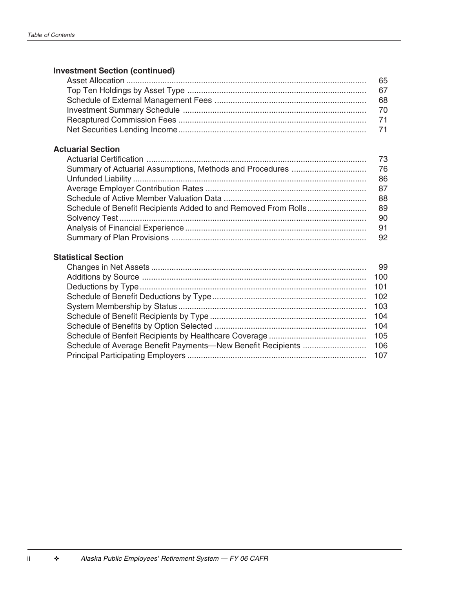### **Investment Section (continued)**

| - 65 |
|------|
|      |
| -68  |
|      |
|      |
|      |

#### **Actuarial Section**

| 86 |
|----|
|    |
| 88 |
|    |
| 90 |
|    |
|    |

#### **Statistical Section**

| .99 |
|-----|
| 100 |
|     |
|     |
| 103 |
|     |
|     |
|     |
|     |
|     |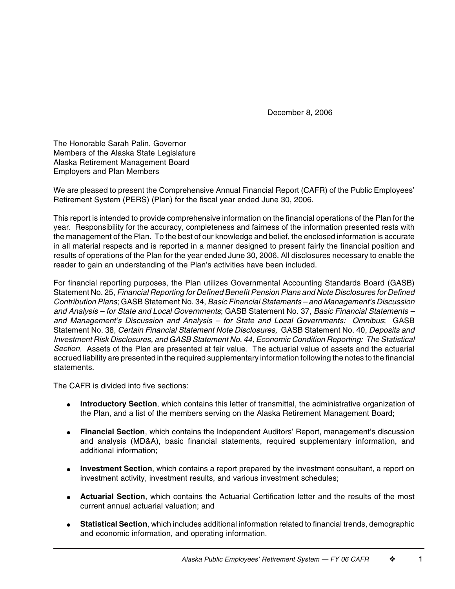December 8, 2006

The Honorable Sarah Palin, Governor Members of the Alaska State Legislature Alaska Retirement Management Board Employers and Plan Members

We are pleased to present the Comprehensive Annual Financial Report (CAFR) of the Public Employees' Retirement System (PERS) (Plan) for the fiscal year ended June 30, 2006.

This report is intended to provide comprehensive information on the financial operations of the Plan for the year. Responsibility for the accuracy, completeness and fairness of the information presented rests with the management of the Plan. To the best of our knowledge and belief, the enclosed information is accurate in all material respects and is reported in a manner designed to present fairly the financial position and results of operations of the Plan for the year ended June 30, 2006. All disclosures necessary to enable the reader to gain an understanding of the Plan's activities have been included.

For financial reporting purposes, the Plan utilizes Governmental Accounting Standards Board (GASB) Statement No. 25, Financial Reporting for Defined Benefit Pension Plans and Note Disclosures for Defined Contribution Plans; GASB Statement No. 34, Basic Financial Statements – and Management's Discussion and Analysis – for State and Local Governments; GASB Statement No. 37, Basic Financial Statements – and Management's Discussion and Analysis – for State and Local Governments: Omnibus; GASB Statement No. 38, Certain Financial Statement Note Disclosures, GASB Statement No. 40, Deposits and Investment Risk Disclosures, and GASB Statement No. 44, Economic Condition Reporting: The Statistical Section. Assets of the Plan are presented at fair value. The actuarial value of assets and the actuarial accrued liability are presented in the required supplementary information following the notes to the financial statements.

The CAFR is divided into five sections:

- **Introductory Section**, which contains this letter of transmittal, the administrative organization of the Plan, and a list of the members serving on the Alaska Retirement Management Board;
- **Financial Section**, which contains the Independent Auditors' Report, management's discussion and analysis (MD&A), basic financial statements, required supplementary information, and additional information;
- **Investment Section**, which contains a report prepared by the investment consultant, a report on investment activity, investment results, and various investment schedules;
- **Actuarial Section**, which contains the Actuarial Certification letter and the results of the most current annual actuarial valuation; and
- **Statistical Section**, which includes additional information related to financial trends, demographic and economic information, and operating information.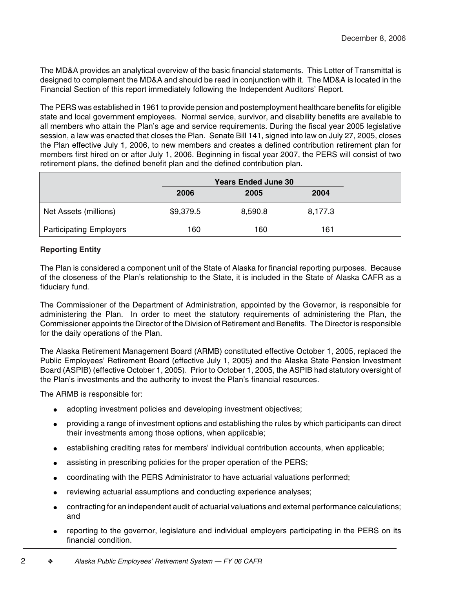The MD&A provides an analytical overview of the basic financial statements. This Letter of Transmittal is designed to complement the MD&A and should be read in conjunction with it. The MD&A is located in the Financial Section of this report immediately following the Independent Auditors' Report.

The PERS was established in 1961 to provide pension and postemployment healthcare benefits for eligible state and local government employees. Normal service, survivor, and disability benefits are available to all members who attain the Plan's age and service requirements. During the fiscal year 2005 legislative session, a law was enacted that closes the Plan. Senate Bill 141, signed into law on July 27, 2005, closes the Plan effective July 1, 2006, to new members and creates a defined contribution retirement plan for members first hired on or after July 1, 2006. Beginning in fiscal year 2007, the PERS will consist of two retirement plans, the defined benefit plan and the defined contribution plan.

|                                |           | <b>Years Ended June 30</b> |         |
|--------------------------------|-----------|----------------------------|---------|
|                                | 2006      | 2005                       | 2004    |
| Net Assets (millions)          | \$9,379.5 | 8,590.8                    | 8,177.3 |
| <b>Participating Employers</b> | 160       | 160                        | 161     |

#### **Reporting Entity**

The Plan is considered a component unit of the State of Alaska for financial reporting purposes. Because of the closeness of the Plan's relationship to the State, it is included in the State of Alaska CAFR as a fiduciary fund.

The Commissioner of the Department of Administration, appointed by the Governor, is responsible for administering the Plan. In order to meet the statutory requirements of administering the Plan, the Commissioner appoints the Director of the Division of Retirement and Benefits. The Director is responsible for the daily operations of the Plan.

The Alaska Retirement Management Board (ARMB) constituted effective October 1, 2005, replaced the Public Employees' Retirement Board (effective July 1, 2005) and the Alaska State Pension Investment Board (ASPIB) (effective October 1, 2005). Prior to October 1, 2005, the ASPIB had statutory oversight of the Plan's investments and the authority to invest the Plan's financial resources.

The ARMB is responsible for:

- adopting investment policies and developing investment objectives;
- providing a range of investment options and establishing the rules by which participants can direct their investments among those options, when applicable;
- establishing crediting rates for members' individual contribution accounts, when applicable;
- assisting in prescribing policies for the proper operation of the PERS;
- coordinating with the PERS Administrator to have actuarial valuations performed;
- reviewing actuarial assumptions and conducting experience analyses;
- contracting for an independent audit of actuarial valuations and external performance calculations; and
- reporting to the governor, legislature and individual employers participating in the PERS on its financial condition.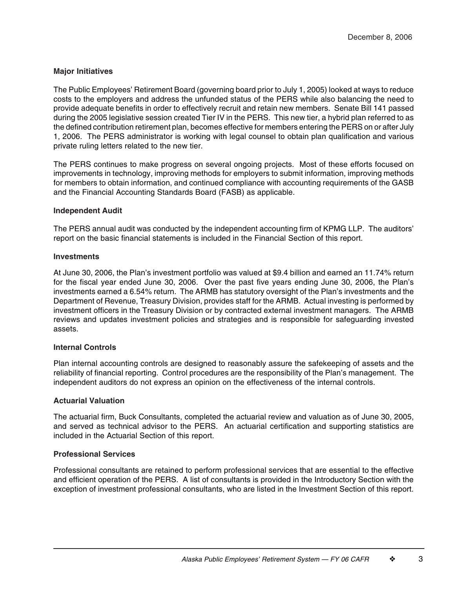#### **Major Initiatives**

The Public Employees' Retirement Board (governing board prior to July 1, 2005) looked at ways to reduce costs to the employers and address the unfunded status of the PERS while also balancing the need to provide adequate benefits in order to effectively recruit and retain new members. Senate Bill 141 passed during the 2005 legislative session created Tier IV in the PERS. This new tier, a hybrid plan referred to as the defined contribution retirement plan, becomes effective for members entering the PERS on or after July 1, 2006. The PERS administrator is working with legal counsel to obtain plan qualification and various private ruling letters related to the new tier.

The PERS continues to make progress on several ongoing projects. Most of these efforts focused on improvements in technology, improving methods for employers to submit information, improving methods for members to obtain information, and continued compliance with accounting requirements of the GASB and the Financial Accounting Standards Board (FASB) as applicable.

#### **Independent Audit**

The PERS annual audit was conducted by the independent accounting firm of KPMG LLP. The auditors' report on the basic financial statements is included in the Financial Section of this report.

#### **Investments**

At June 30, 2006, the Plan's investment portfolio was valued at \$9.4 billion and earned an 11.74% return for the fiscal year ended June 30, 2006. Over the past five years ending June 30, 2006, the Plan's investments earned a 6.54% return. The ARMB has statutory oversight of the Plan's investments and the Department of Revenue, Treasury Division, provides staff for the ARMB. Actual investing is performed by investment officers in the Treasury Division or by contracted external investment managers. The ARMB reviews and updates investment policies and strategies and is responsible for safeguarding invested assets.

#### **Internal Controls**

Plan internal accounting controls are designed to reasonably assure the safekeeping of assets and the reliability of financial reporting. Control procedures are the responsibility of the Plan's management. The independent auditors do not express an opinion on the effectiveness of the internal controls.

#### **Actuarial Valuation**

The actuarial firm, Buck Consultants, completed the actuarial review and valuation as of June 30, 2005, and served as technical advisor to the PERS. An actuarial certification and supporting statistics are included in the Actuarial Section of this report.

#### **Professional Services**

Professional consultants are retained to perform professional services that are essential to the effective and efficient operation of the PERS. A list of consultants is provided in the Introductory Section with the exception of investment professional consultants, who are listed in the Investment Section of this report.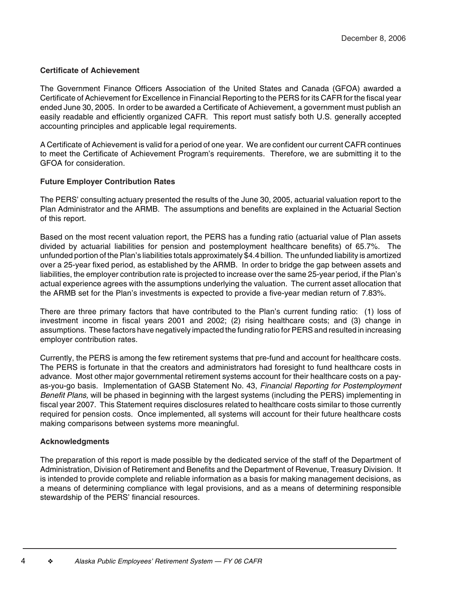#### **Certificate of Achievement**

The Government Finance Officers Association of the United States and Canada (GFOA) awarded a Certificate of Achievement for Excellence in Financial Reporting to the PERS for its CAFR for the fiscal year ended June 30, 2005. In order to be awarded a Certificate of Achievement, a government must publish an easily readable and efficiently organized CAFR. This report must satisfy both U.S. generally accepted accounting principles and applicable legal requirements.

A Certificate of Achievement is valid for a period of one year. We are confident our current CAFR continues to meet the Certificate of Achievement Program's requirements. Therefore, we are submitting it to the GFOA for consideration.

#### **Future Employer Contribution Rates**

The PERS' consulting actuary presented the results of the June 30, 2005, actuarial valuation report to the Plan Administrator and the ARMB. The assumptions and benefits are explained in the Actuarial Section of this report.

Based on the most recent valuation report, the PERS has a funding ratio (actuarial value of Plan assets divided by actuarial liabilities for pension and postemployment healthcare benefits) of 65.7%. The unfunded portion of the Plan's liabilities totals approximately \$4.4 billion. The unfunded liability is amortized over a 25-year fixed period, as established by the ARMB. In order to bridge the gap between assets and liabilities, the employer contribution rate is projected to increase over the same 25-year period, if the Plan's actual experience agrees with the assumptions underlying the valuation. The current asset allocation that the ARMB set for the Plan's investments is expected to provide a five-year median return of 7.83%.

There are three primary factors that have contributed to the Plan's current funding ratio: (1) loss of investment income in fiscal years 2001 and 2002; (2) rising healthcare costs; and (3) change in assumptions. These factors have negatively impacted the funding ratio for PERS and resulted in increasing employer contribution rates.

Currently, the PERS is among the few retirement systems that pre-fund and account for healthcare costs. The PERS is fortunate in that the creators and administrators had foresight to fund healthcare costs in advance. Most other major governmental retirement systems account for their healthcare costs on a payas-you-go basis. Implementation of GASB Statement No. 43, Financial Reporting for Postemployment Benefit Plans, will be phased in beginning with the largest systems (including the PERS) implementing in fiscal year 2007. This Statement requires disclosures related to healthcare costs similar to those currently required for pension costs. Once implemented, all systems will account for their future healthcare costs making comparisons between systems more meaningful.

#### **Acknowledgments**

The preparation of this report is made possible by the dedicated service of the staff of the Department of Administration, Division of Retirement and Benefits and the Department of Revenue, Treasury Division. It is intended to provide complete and reliable information as a basis for making management decisions, as a means of determining compliance with legal provisions, and as a means of determining responsible stewardship of the PERS' financial resources.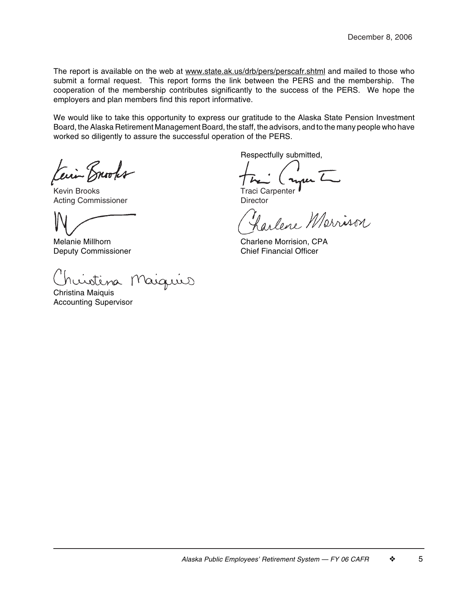The report is available on the web at www.state.ak.us/drb/pers/perscafr.shtml and mailed to those who submit a formal request. This report forms the link between the PERS and the membership. The cooperation of the membership contributes significantly to the success of the PERS. We hope the employers and plan members find this report informative.

We would like to take this opportunity to express our gratitude to the Alaska State Pension Investment Board, the Alaska Retirement Management Board, the staff, the advisors, and to the many people who have worked so diligently to assure the successful operation of the PERS.

Enoter

Kevin Brooks **Traci Carpenter** Acting Commissioner **Director** Director

iotina Maiquie

Christina Maiquis Accounting Supervisor

Respectfully submitted,

Farlene Marrison

Melanie Millhorn Charlene Morrision, CPA Deputy Commissioner Chief Financial Officer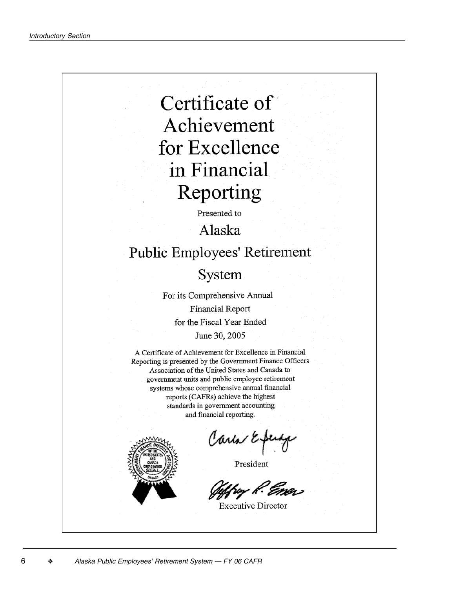# Certificate of Achievement for Excellence in Financial Reporting

December 8, 2006

Presented to

Alaska

**Public Employees' Retirement** 

# System

For its Comprehensive Annual Financial Report for the Fiscal Year Ended June 30, 2005

A Certificate of Achievement for Excellence in Financial Reporting is presented by the Government Finance Officers Association of the United States and Canada to government units and public employee retirement systems whose comprehensive annual financial reports (CAFRs) achieve the highest standards in government accounting. and financial reporting.



**Executive Director**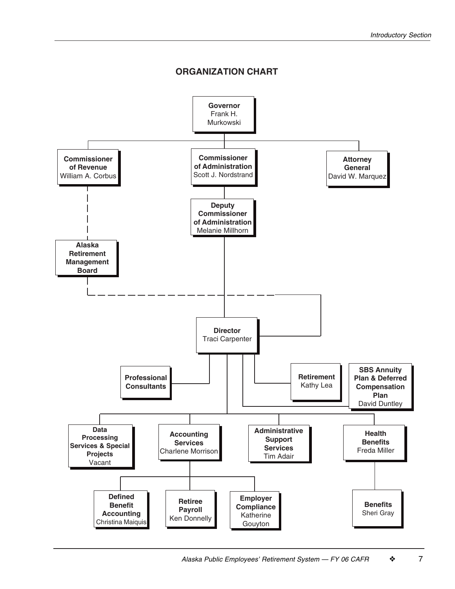#### **ORGANIZATION CHART**

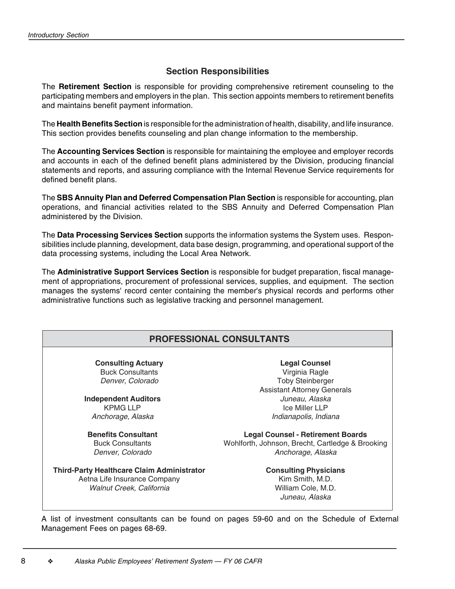### **Section Responsibilities**

The **Retirement Section** is responsible for providing comprehensive retirement counseling to the participating members and employers in the plan. This section appoints members to retirement benefits and maintains benefit payment information.

The **Health Benefits Section** is responsible for the administration of health, disability, and life insurance. This section provides benefits counseling and plan change information to the membership.

The **Accounting Services Section** is responsible for maintaining the employee and employer records and accounts in each of the defined benefit plans administered by the Division, producing financial statements and reports, and assuring compliance with the Internal Revenue Service requirements for defined benefit plans.

The **SBS Annuity Plan and Deferred Compensation Plan Section** is responsible for accounting, plan operations, and financial activities related to the SBS Annuity and Deferred Compensation Plan administered by the Division.

The **Data Processing Services Section** supports the information systems the System uses. Responsibilities include planning, development, data base design, programming, and operational support of the data processing systems, including the Local Area Network.

The **Administrative Support Services Section** is responsible for budget preparation, fiscal management of appropriations, procurement of professional services, supplies, and equipment. The section manages the systems' record center containing the member's physical records and performs other administrative functions such as legislative tracking and personnel management.

### **PROFESSIONAL CONSULTANTS**

**Consulting Actuary** Buck Consultants Denver, Colorado

**Independent Auditors** KPMG LLP Anchorage, Alaska

**Benefits Consultant** Buck Consultants Denver, Colorado

**Legal Counsel** Virginia Ragle Toby Steinberger Assistant Attorney Generals Juneau, Alaska Ice Miller LLP Indianapolis, Indiana

December 8, 2006

**Legal Counsel - Retirement Boards** Wohlforth, Johnson, Brecht, Cartledge & Brooking Anchorage, Alaska

**Third-Party Healthcare Claim Administrator** Aetna Life Insurance Company Walnut Creek, California

**Consulting Physicians** Kim Smith, M.D. William Cole, M.D. Juneau, Alaska

A list of investment consultants can be found on pages 59-60 and on the Schedule of External Management Fees on pages 68-69.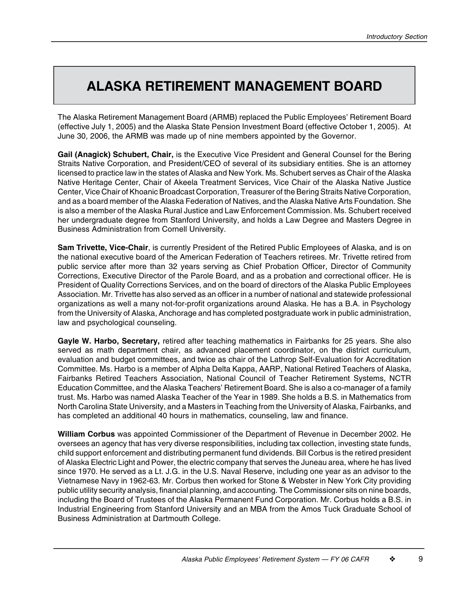# **ALASKA RETIREMENT MANAGEMENT BOARD**

The Alaska Retirement Management Board (ARMB) replaced the Public Employees' Retirement Board (effective July 1, 2005) and the Alaska State Pension Investment Board (effective October 1, 2005). At June 30, 2006, the ARMB was made up of nine members appointed by the Governor.

**Gail (Anagick) Schubert, Chair,** is the Executive Vice President and General Counsel for the Bering Straits Native Corporation, and President/CEO of several of its subsidiary entities. She is an attorney licensed to practice law in the states of Alaska and New York. Ms. Schubert serves as Chair of the Alaska Native Heritage Center, Chair of Akeela Treatment Services, Vice Chair of the Alaska Native Justice Center, Vice Chair of Khoanic Broadcast Corporation, Treasurer of the Bering Straits Native Corporation, and as a board member of the Alaska Federation of Natives, and the Alaska Native Arts Foundation. She is also a member of the Alaska Rural Justice and Law Enforcement Commission. Ms. Schubert received her undergraduate degree from Stanford University, and holds a Law Degree and Masters Degree in Business Administration from Cornell University.

**Sam Trivette, Vice-Chair**, is currently President of the Retired Public Employees of Alaska, and is on the national executive board of the American Federation of Teachers retirees. Mr. Trivette retired from public service after more than 32 years serving as Chief Probation Officer, Director of Community Corrections, Executive Director of the Parole Board, and as a probation and correctional officer. He is President of Quality Corrections Services, and on the board of directors of the Alaska Public Employees Association. Mr. Trivette has also served as an officer in a number of national and statewide professional organizations as well a many not-for-profit organizations around Alaska. He has a B.A. in Psychology from the University of Alaska, Anchorage and has completed postgraduate work in public administration, law and psychological counseling.

**Gayle W. Harbo, Secretary,** retired after teaching mathematics in Fairbanks for 25 years. She also served as math department chair, as advanced placement coordinator, on the district curriculum, evaluation and budget committees, and twice as chair of the Lathrop Self-Evaluation for Accreditation Committee. Ms. Harbo is a member of Alpha Delta Kappa, AARP, National Retired Teachers of Alaska, Fairbanks Retired Teachers Association, National Council of Teacher Retirement Systems, NCTR Education Committee, and the Alaska Teachers' Retirement Board. She is also a co-manager of a family trust. Ms. Harbo was named Alaska Teacher of the Year in 1989. She holds a B.S. in Mathematics from North Carolina State University, and a Masters in Teaching from the University of Alaska, Fairbanks, and has completed an additional 40 hours in mathematics, counseling, law and finance.

**William Corbus** was appointed Commissioner of the Department of Revenue in December 2002. He oversees an agency that has very diverse responsibilities, including tax collection, investing state funds, child support enforcement and distributing permanent fund dividends. Bill Corbus is the retired president of Alaska Electric Light and Power, the electric company that serves the Juneau area, where he has lived since 1970. He served as a Lt. J.G. in the U.S. Naval Reserve, including one year as an advisor to the Vietnamese Navy in 1962-63. Mr. Corbus then worked for Stone & Webster in New York City providing public utility security analysis, financial planning, and accounting. The Commissioner sits on nine boards, including the Board of Trustees of the Alaska Permanent Fund Corporation. Mr. Corbus holds a B.S. in Industrial Engineering from Stanford University and an MBA from the Amos Tuck Graduate School of Business Administration at Dartmouth College.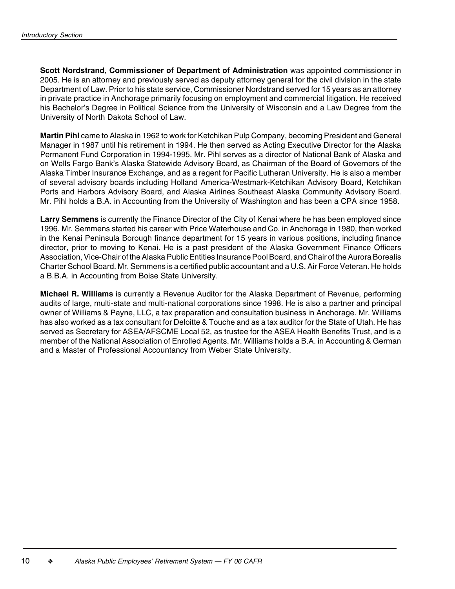**Scott Nordstrand, Commissioner of Department of Administration** was appointed commissioner in 2005. He is an attorney and previously served as deputy attorney general for the civil division in the state Department of Law. Prior to his state service, Commissioner Nordstrand served for 15 years as an attorney in private practice in Anchorage primarily focusing on employment and commercial litigation. He received his Bachelor's Degree in Political Science from the University of Wisconsin and a Law Degree from the University of North Dakota School of Law.

December 8, 2006

**Martin Pihl** came to Alaska in 1962 to work for Ketchikan Pulp Company, becoming President and General Manager in 1987 until his retirement in 1994. He then served as Acting Executive Director for the Alaska Permanent Fund Corporation in 1994-1995. Mr. Pihl serves as a director of National Bank of Alaska and on Wells Fargo Bank's Alaska Statewide Advisory Board, as Chairman of the Board of Governors of the Alaska Timber Insurance Exchange, and as a regent for Pacific Lutheran University. He is also a member of several advisory boards including Holland America-Westmark-Ketchikan Advisory Board, Ketchikan Ports and Harbors Advisory Board, and Alaska Airlines Southeast Alaska Community Advisory Board. Mr. Pihl holds a B.A. in Accounting from the University of Washington and has been a CPA since 1958.

**Larry Semmens** is currently the Finance Director of the City of Kenai where he has been employed since 1996. Mr. Semmens started his career with Price Waterhouse and Co. in Anchorage in 1980, then worked in the Kenai Peninsula Borough finance department for 15 years in various positions, including finance director, prior to moving to Kenai. He is a past president of the Alaska Government Finance Officers Association, Vice-Chair of the Alaska Public Entities Insurance Pool Board, and Chair of the Aurora Borealis Charter School Board. Mr. Semmens is a certified public accountant and a U.S. Air Force Veteran. He holds a B.B.A. in Accounting from Boise State University.

**Michael R. Williams** is currently a Revenue Auditor for the Alaska Department of Revenue, performing audits of large, multi-state and multi-national corporations since 1998. He is also a partner and principal owner of Williams & Payne, LLC, a tax preparation and consultation business in Anchorage. Mr. Williams has also worked as a tax consultant for Deloitte & Touche and as a tax auditor for the State of Utah. He has served as Secretary for ASEA/AFSCME Local 52, as trustee for the ASEA Health Benefits Trust, and is a member of the National Association of Enrolled Agents. Mr. Williams holds a B.A. in Accounting & German and a Master of Professional Accountancy from Weber State University.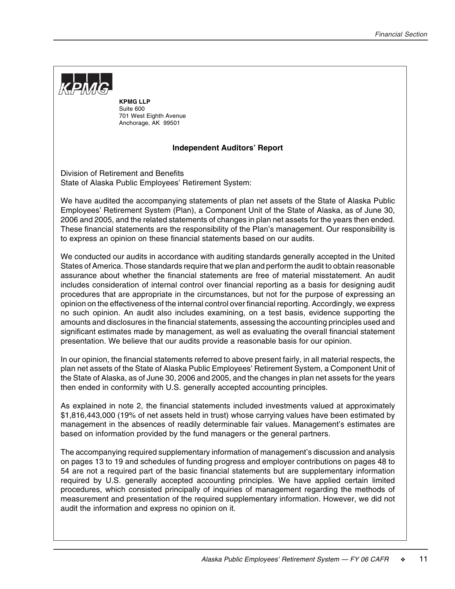

#### **KPMG LLP**

Suite 600 701 West Eighth Avenue Anchorage, AK 99501

#### **Independent Auditors' Report**

Division of Retirement and Benefits State of Alaska Public Employees' Retirement System:

We have audited the accompanying statements of plan net assets of the State of Alaska Public Employees' Retirement System (Plan), a Component Unit of the State of Alaska, as of June 30, 2006 and 2005, and the related statements of changes in plan net assets for the years then ended. These financial statements are the responsibility of the Plan's management. Our responsibility is to express an opinion on these financial statements based on our audits.

We conducted our audits in accordance with auditing standards generally accepted in the United States of America. Those standards require that we plan and perform the audit to obtain reasonable assurance about whether the financial statements are free of material misstatement. An audit includes consideration of internal control over financial reporting as a basis for designing audit procedures that are appropriate in the circumstances, but not for the purpose of expressing an opinion on the effectiveness of the internal control over financial reporting. Accordingly, we express no such opinion. An audit also includes examining, on a test basis, evidence supporting the amounts and disclosures in the financial statements, assessing the accounting principles used and significant estimates made by management, as well as evaluating the overall financial statement presentation. We believe that our audits provide a reasonable basis for our opinion.

In our opinion, the financial statements referred to above present fairly, in all material respects, the plan net assets of the State of Alaska Public Employees' Retirement System, a Component Unit of the State of Alaska, as of June 30, 2006 and 2005, and the changes in plan net assets for the years then ended in conformity with U.S. generally accepted accounting principles.

As explained in note 2, the financial statements included investments valued at approximately \$1,816,443,000 (19% of net assets held in trust) whose carrying values have been estimated by management in the absences of readily determinable fair values. Management's estimates are based on information provided by the fund managers or the general partners.

The accompanying required supplementary information of management's discussion and analysis on pages 13 to 19 and schedules of funding progress and employer contributions on pages 48 to 54 are not a required part of the basic financial statements but are supplementary information required by U.S. generally accepted accounting principles. We have applied certain limited procedures, which consisted principally of inquiries of management regarding the methods of measurement and presentation of the required supplementary information. However, we did not audit the information and express no opinion on it.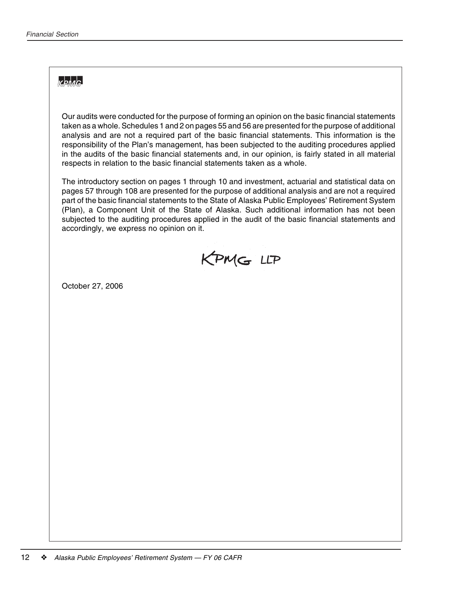#### KRAAG

Our audits were conducted for the purpose of forming an opinion on the basic financial statements taken as a whole. Schedules 1 and 2 on pages 55 and 56 are presented for the purpose of additional analysis and are not a required part of the basic financial statements. This information is the responsibility of the Plan's management, has been subjected to the auditing procedures applied in the audits of the basic financial statements and, in our opinion, is fairly stated in all material respects in relation to the basic financial statements taken as a whole.

The introductory section on pages 1 through 10 and investment, actuarial and statistical data on pages 57 through 108 are presented for the purpose of additional analysis and are not a required part of the basic financial statements to the State of Alaska Public Employees' Retirement System (Plan), a Component Unit of the State of Alaska. Such additional information has not been subjected to the auditing procedures applied in the audit of the basic financial statements and accordingly, we express no opinion on it.



October 27, 2006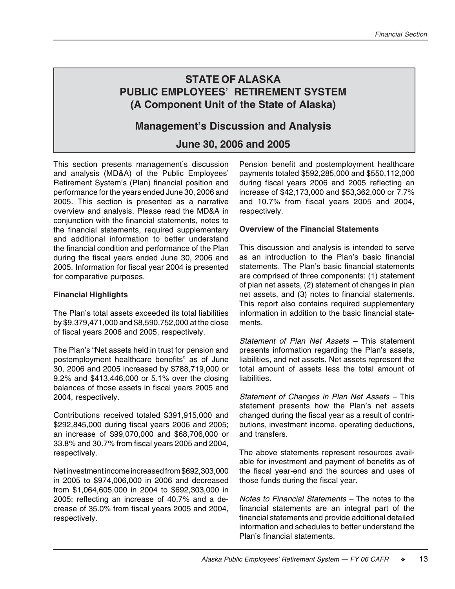# **Management's Discussion and Analysis**

### **June 30, 2006 and 2005**

This section presents management's discussion and analysis (MD&A) of the Public Employees' Retirement System's (Plan) financial position and performance for the years ended June 30, 2006 and 2005. This section is presented as a narrative overview and analysis. Please read the MD&A in conjunction with the financial statements, notes to the financial statements, required supplementary and additional information to better understand the financial condition and performance of the Plan during the fiscal years ended June 30, 2006 and 2005. Information for fiscal year 2004 is presented for comparative purposes.

#### **Financial Highlights**

The Plan's total assets exceeded its total liabilities by \$9,379,471,000 and \$8,590,752,000 at the close of fiscal years 2006 and 2005, respectively.

The Plan's "Net assets held in trust for pension and postemployment healthcare benefits" as of June 30, 2006 and 2005 increased by \$788,719,000 or 9.2% and \$413,446,000 or 5.1% over the closing balances of those assets in fiscal years 2005 and 2004, respectively.

Contributions received totaled \$391,915,000 and \$292,845,000 during fiscal years 2006 and 2005; an increase of \$99,070,000 and \$68,706,000 or 33.8% and 30.7% from fiscal years 2005 and 2004, respectively.

Net investment income increased from \$692,303,000 in 2005 to \$974,006,000 in 2006 and decreased from \$1,064,605,000 in 2004 to \$692,303,000 in 2005; reflecting an increase of 40.7% and a decrease of 35.0% from fiscal years 2005 and 2004, respectively.

Pension benefit and postemployment healthcare payments totaled \$592,285,000 and \$550,112,000 during fiscal years 2006 and 2005 reflecting an increase of \$42,173,000 and \$53,362,000 or 7.7% and 10.7% from fiscal years 2005 and 2004, respectively.

#### **Overview of the Financial Statements**

This discussion and analysis is intended to serve as an introduction to the Plan's basic financial statements. The Plan's basic financial statements are comprised of three components: (1) statement of plan net assets, (2) statement of changes in plan net assets, and (3) notes to financial statements. This report also contains required supplementary information in addition to the basic financial statements.

Statement of Plan Net Assets – This statement presents information regarding the Plan's assets, liabilities, and net assets. Net assets represent the total amount of assets less the total amount of liabilities.

Statement of Changes in Plan Net Assets – This statement presents how the Plan's net assets changed during the fiscal year as a result of contributions, investment income, operating deductions, and transfers.

The above statements represent resources available for investment and payment of benefits as of the fiscal year-end and the sources and uses of those funds during the fiscal year.

Notes to Financial Statements – The notes to the financial statements are an integral part of the financial statements and provide additional detailed information and schedules to better understand the Plan's financial statements.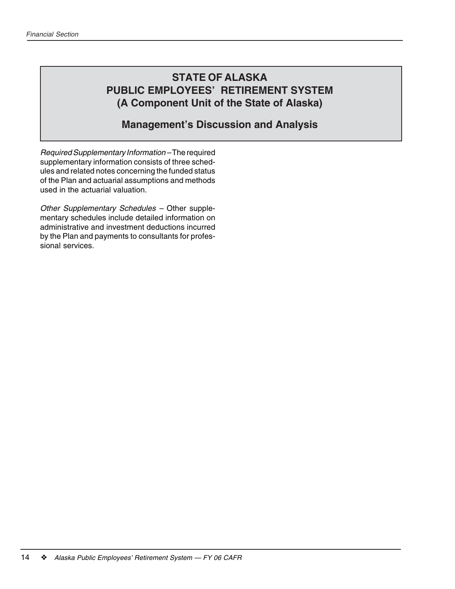### **Management's Discussion and Analysis**

Required Supplementary Information – The required supplementary information consists of three schedules and related notes concerning the funded status of the Plan and actuarial assumptions and methods used in the actuarial valuation.

Other Supplementary Schedules – Other supplementary schedules include detailed information on administrative and investment deductions incurred by the Plan and payments to consultants for professional services.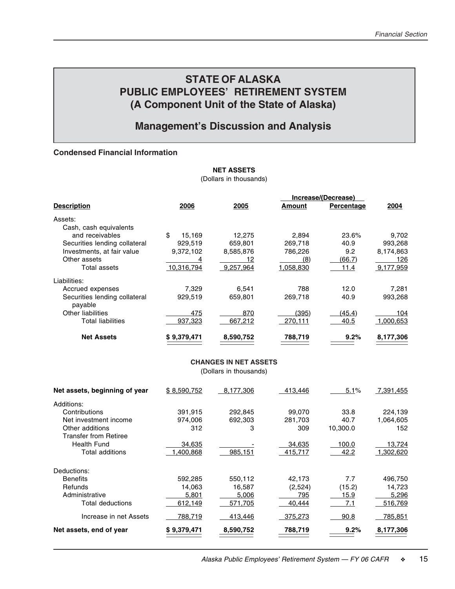# **Management's Discussion and Analysis**

**NET ASSETS** (Dollars in thousands)

#### **Condensed Financial Information**

|                                                        |              |           |               | Increase/(Decrease) |           |  |  |
|--------------------------------------------------------|--------------|-----------|---------------|---------------------|-----------|--|--|
| <b>Description</b>                                     | 2006         | 2005      | <b>Amount</b> | Percentage          | 2004      |  |  |
| Assets:                                                |              |           |               |                     |           |  |  |
| Cash, cash equivalents                                 |              |           |               |                     |           |  |  |
| and receivables                                        | \$<br>15,169 | 12,275    | 2,894         | 23.6%               | 9,702     |  |  |
| Securities lending collateral                          | 929,519      | 659,801   | 269,718       | 40.9                | 993,268   |  |  |
| Investments, at fair value                             | 9,372,102    | 8,585,876 | 786,226       | 9.2                 | 8,174,863 |  |  |
| Other assets                                           | 4            | 12        | (8)           | (66.7)              | 126       |  |  |
| <b>Total assets</b>                                    | 10,316,794   | 9,257,964 | 1,058,830     | 11.4                | 9,177,959 |  |  |
| Liabilities:                                           |              |           |               |                     |           |  |  |
| Accrued expenses                                       | 7,329        | 6,541     | 788           | 12.0                | 7,281     |  |  |
| Securities lending collateral<br>payable               | 929,519      | 659,801   | 269,718       | 40.9                | 993,268   |  |  |
| <b>Other liabilities</b>                               | 475          | 870       | (395)         | (45.4)              | 104       |  |  |
| <b>Total liabilities</b>                               | 937,323      | 667,212   | 270,111       | 40.5                | 1,000,653 |  |  |
| <b>Net Assets</b>                                      | \$9,379,471  | 8,590,752 | 788,719       | 9.2%                | 8,177,306 |  |  |
| <b>CHANGES IN NET ASSETS</b><br>(Dollars in thousands) |              |           |               |                     |           |  |  |
|                                                        |              |           |               |                     |           |  |  |
| Net assets, beginning of year                          | \$8,590,752  | 8,177,306 | 413,446       | 5.1%                | 7,391,455 |  |  |
| Additions:                                             |              |           |               |                     |           |  |  |
| Contributions                                          | 391,915      | 292,845   | 99,070        | 33.8                | 224,139   |  |  |
| Net investment income                                  | 974,006      | 692,303   | 281,703       | 40.7                | 1,064,605 |  |  |
| Other additions<br><b>Transfer from Retiree</b>        | 312          | 3         | 309           | 10,300.0            | 152       |  |  |
| <b>Health Fund</b>                                     | 34,635       |           | 34,635        | 100.0               | 13,724    |  |  |
| <b>Total additions</b>                                 | 1,400,868    | 985,151   | 415,717       | 42.2                | 1,302,620 |  |  |
|                                                        |              |           |               |                     |           |  |  |
| Deductions:                                            |              |           |               |                     |           |  |  |
| <b>Benefits</b>                                        | 592,285      | 550,112   | 42,173        | 7.7                 | 496,750   |  |  |
| Refunds                                                | 14,063       | 16,587    | (2,524)       | (15.2)              | 14,723    |  |  |
| Administrative                                         | 5,801        | 5.006     | 795           | 15.9                | 5,296     |  |  |
| <b>Total deductions</b>                                | 612,149      | 571,705   | 40,444        | 7.1                 | 516,769   |  |  |
| Increase in net Assets                                 | 788,719      | 413,446   | 375,273       | 90.8                | 785,851   |  |  |
| Net assets, end of year                                | \$9,379,471  | 8,590,752 | 788,719       | 9.2%                | 8,177,306 |  |  |
|                                                        |              |           |               |                     |           |  |  |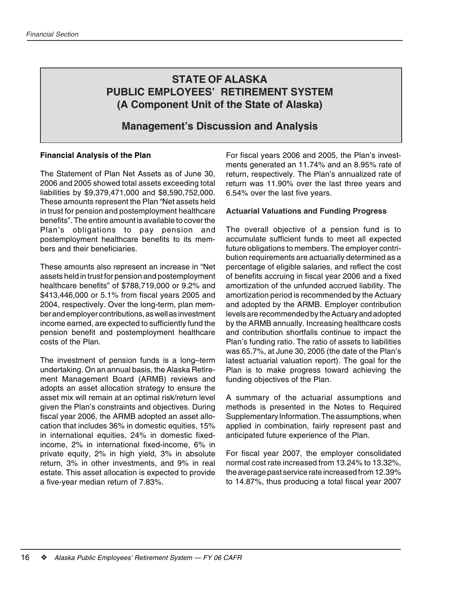### **Management's Discussion and Analysis**

#### **Financial Analysis of the Plan**

The Statement of Plan Net Assets as of June 30, 2006 and 2005 showed total assets exceeding total liabilities by \$9,379,471,000 and \$8,590,752,000. These amounts represent the Plan "Net assets held in trust for pension and postemployment healthcare benefits". The entire amount is available to cover the Plan's obligations to pay pension and postemployment healthcare benefits to its members and their beneficiaries.

These amounts also represent an increase in "Net assets held in trust for pension and postemployment healthcare benefits" of \$788,719,000 or 9.2% and \$413,446,000 or 5.1% from fiscal years 2005 and 2004, respectively. Over the long-term, plan member and employer contributions, as well as investment income earned, are expected to sufficiently fund the pension benefit and postemployment healthcare costs of the Plan.

The investment of pension funds is a long–term undertaking. On an annual basis, the Alaska Retirement Management Board (ARMB) reviews and adopts an asset allocation strategy to ensure the asset mix will remain at an optimal risk/return level given the Plan's constraints and objectives. During fiscal year 2006, the ARMB adopted an asset allocation that includes 36% in domestic equities, 15% in international equities, 24% in domestic fixedincome, 2% in international fixed-income, 6% in private equity, 2% in high yield, 3% in absolute return, 3% in other investments, and 9% in real estate. This asset allocation is expected to provide a five-year median return of 7.83%.

For fiscal years 2006 and 2005, the Plan's investments generated an 11.74% and an 8.95% rate of return, respectively. The Plan's annualized rate of return was 11.90% over the last three years and 6.54% over the last five years.

#### **Actuarial Valuations and Funding Progress**

The overall objective of a pension fund is to accumulate sufficient funds to meet all expected future obligations to members. The employer contribution requirements are actuarially determined as a percentage of eligible salaries, and reflect the cost of benefits accruing in fiscal year 2006 and a fixed amortization of the unfunded accrued liability. The amortization period is recommended by the Actuary and adopted by the ARMB. Employer contribution levels are recommended by the Actuary and adopted by the ARMB annually. Increasing healthcare costs and contribution shortfalls continue to impact the Plan's funding ratio. The ratio of assets to liabilities was 65.7%, at June 30, 2005 (the date of the Plan's latest actuarial valuation report). The goal for the Plan is to make progress toward achieving the funding objectives of the Plan.

A summary of the actuarial assumptions and methods is presented in the Notes to Required Supplementary Information. The assumptions, when applied in combination, fairly represent past and anticipated future experience of the Plan.

For fiscal year 2007, the employer consolidated normal cost rate increased from 13.24% to 13.32%, the average past service rate increased from 12.39% to 14.87%, thus producing a total fiscal year 2007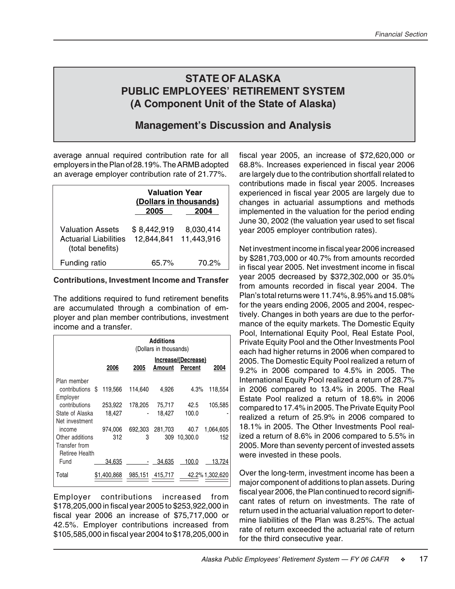### **Management's Discussion and Analysis**

average annual required contribution rate for all employers in the Plan of 28.19%. The ARMB adopted an average employer contribution rate of 21.77%.

|                                                                             | <b>Valuation Year</b><br>(Dollars in thousands) |                         |  |  |  |  |
|-----------------------------------------------------------------------------|-------------------------------------------------|-------------------------|--|--|--|--|
|                                                                             | 2005                                            | 2004                    |  |  |  |  |
| <b>Valuation Assets</b><br><b>Actuarial Liabilities</b><br>(total benefits) | \$8,442,919<br>12,844.841                       | 8,030,414<br>11,443,916 |  |  |  |  |
| Funding ratio                                                               | 65.7%                                           | 70.2%                   |  |  |  |  |

#### **Contributions, Investment Income and Transfer**

The additions required to fund retirement benefits are accumulated through a combination of employer and plan member contributions, investment income and a transfer.

|                                                           | Additions<br>(Dollars in thousands) |         |         |                                |                 |  |  |
|-----------------------------------------------------------|-------------------------------------|---------|---------|--------------------------------|-----------------|--|--|
|                                                           | 2006                                | 2005    | Amount  | Increase/(Decrease)<br>Percent | 2004            |  |  |
|                                                           |                                     |         |         |                                |                 |  |  |
| Plan member<br>contributions \$<br>Emplover               | 119,566                             | 114.640 | 4,926   | 4.3%                           | 118,554         |  |  |
| contributions                                             | 253,922                             | 178,205 | 75,717  | 42.5                           | 105,585         |  |  |
| State of Alaska<br>Net investment                         | 18.427                              |         | 18.427  | 100.0                          |                 |  |  |
| income                                                    | 974,006                             | 692,303 | 281,703 | 40.7                           | 1,064,605       |  |  |
| Other additions<br>Transfer from<br><b>Retiree Health</b> | 312                                 | 3       | 309     | 10.300.0                       | 152             |  |  |
| Fund                                                      | 34,635                              |         | 34,635  | 100.0                          | 13,724          |  |  |
| Total                                                     | \$1,400,868                         | 985,151 | 415,717 |                                | 42.2% 1,302,620 |  |  |

Employer contributions increased from \$178,205,000 in fiscal year 2005 to \$253,922,000 in fiscal year 2006 an increase of \$75,717,000 or 42.5%. Employer contributions increased from \$105,585,000 in fiscal year 2004 to \$178,205,000 in fiscal year 2005, an increase of \$72,620,000 or 68.8%. Increases experienced in fiscal year 2006 are largely due to the contribution shortfall related to contributions made in fiscal year 2005. Increases experienced in fiscal year 2005 are largely due to changes in actuarial assumptions and methods implemented in the valuation for the period ending June 30, 2002 (the valuation year used to set fiscal year 2005 employer contribution rates).

Net investment income in fiscal year 2006 increased by \$281,703,000 or 40.7% from amounts recorded in fiscal year 2005. Net investment income in fiscal year 2005 decreased by \$372,302,000 or 35.0% from amounts recorded in fiscal year 2004. The Plan's total returns were 11.74%, 8.95% and 15.08% for the years ending 2006, 2005 and 2004, respectively. Changes in both years are due to the performance of the equity markets. The Domestic Equity Pool, International Equity Pool, Real Estate Pool, Private Equity Pool and the Other Investments Pool each had higher returns in 2006 when compared to 2005. The Domestic Equity Pool realized a return of 9.2% in 2006 compared to 4.5% in 2005. The International Equity Pool realized a return of 28.7% in 2006 compared to 13.4% in 2005. The Real Estate Pool realized a return of 18.6% in 2006 compared to 17.4% in 2005. The Private Equity Pool realized a return of 25.9% in 2006 compared to 18.1% in 2005. The Other Investments Pool realized a return of 8.6% in 2006 compared to 5.5% in 2005. More than seventy percent of invested assets were invested in these pools.

Over the long-term, investment income has been a major component of additions to plan assets. During fiscal year 2006, the Plan continued to record significant rates of return on investments. The rate of return used in the actuarial valuation report to determine liabilities of the Plan was 8.25%. The actual rate of return exceeded the actuarial rate of return for the third consecutive year.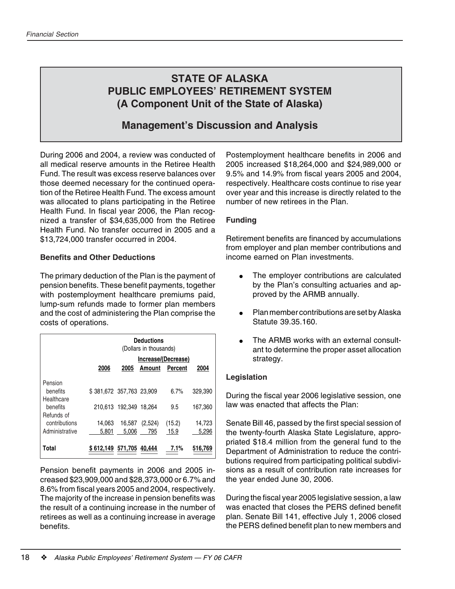# **Management's Discussion and Analysis**

During 2006 and 2004, a review was conducted of all medical reserve amounts in the Retiree Health Fund. The result was excess reserve balances over those deemed necessary for the continued operation of the Retiree Health Fund. The excess amount was allocated to plans participating in the Retiree Health Fund. In fiscal year 2006, the Plan recognized a transfer of \$34,635,000 from the Retiree Health Fund. No transfer occurred in 2005 and a \$13,724,000 transfer occurred in 2004.

#### **Benefits and Other Deductions**

The primary deduction of the Plan is the payment of pension benefits. These benefit payments, together with postemployment healthcare premiums paid, lump-sum refunds made to former plan members and the cost of administering the Plan comprise the costs of operations.

| <b>Deductions</b><br>(Dollars in thousands) |                          |                        |         |                     |         |  |
|---------------------------------------------|--------------------------|------------------------|---------|---------------------|---------|--|
|                                             |                          |                        |         | Increase/(Decrease) |         |  |
|                                             | 2006                     | 2005                   | Amount  | Percent             | 2004    |  |
| Pension                                     |                          |                        |         |                     |         |  |
| benefits                                    | \$381,672 357,763 23,909 |                        |         | 6.7%                | 329,390 |  |
| Healthcare                                  |                          |                        |         |                     |         |  |
| benefits<br>Refunds of                      |                          | 210.613 192.349 18.264 |         | 9.5                 | 167.360 |  |
| contributions                               | 14.063                   | 16,587                 | (2,524) | (15.2)              | 14,723  |  |
| Administrative                              | 5.801                    | 5.006                  | 795     | 15.9                | 5.296   |  |
|                                             |                          |                        |         |                     |         |  |
| Total                                       | \$612.149                | 571.705                | 40.444  | 7.1%                | 516.769 |  |

Pension benefit payments in 2006 and 2005 increased \$23,909,000 and \$28,373,000 or 6.7% and 8.6% from fiscal years 2005 and 2004, respectively. The majority of the increase in pension benefits was the result of a continuing increase in the number of retirees as well as a continuing increase in average benefits.

Postemployment healthcare benefits in 2006 and 2005 increased \$18,264,000 and \$24,989,000 or 9.5% and 14.9% from fiscal years 2005 and 2004, respectively. Healthcare costs continue to rise year over year and this increase is directly related to the number of new retirees in the Plan.

#### **Funding**

Retirement benefits are financed by accumulations from employer and plan member contributions and income earned on Plan investments.

- The employer contributions are calculated by the Plan's consulting actuaries and approved by the ARMB annually.
- Plan member contributions are set by Alaska Statute 39.35.160.
- The ARMB works with an external consultant to determine the proper asset allocation strategy.

#### **Legislation**

During the fiscal year 2006 legislative session, one law was enacted that affects the Plan:

Senate Bill 46, passed by the first special session of the twenty-fourth Alaska State Legislature, appropriated \$18.4 million from the general fund to the Department of Administration to reduce the contributions required from participating political subdivisions as a result of contribution rate increases for the year ended June 30, 2006.

During the fiscal year 2005 legislative session, a law was enacted that closes the PERS defined benefit plan. Senate Bill 141, effective July 1, 2006 closed the PERS defined benefit plan to new members and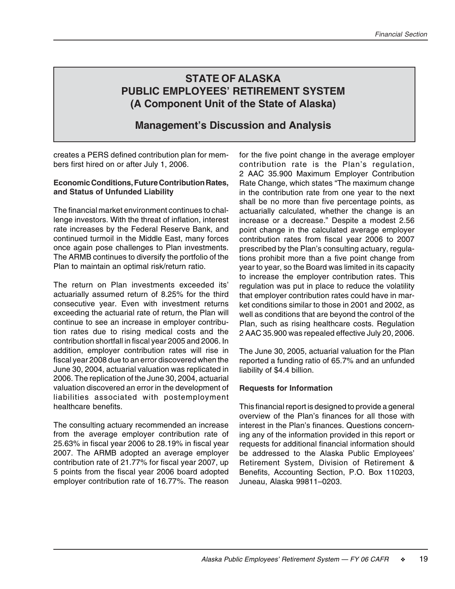### **Management's Discussion and Analysis**

creates a PERS defined contribution plan for members first hired on or after July 1, 2006.

#### **Economic Conditions, Future Contribution Rates, and Status of Unfunded Liability**

The financial market environment continues to challenge investors. With the threat of inflation, interest rate increases by the Federal Reserve Bank, and continued turmoil in the Middle East, many forces once again pose challenges to Plan investments. The ARMB continues to diversify the portfolio of the Plan to maintain an optimal risk/return ratio.

The return on Plan investments exceeded its' actuarially assumed return of 8.25% for the third consecutive year. Even with investment returns exceeding the actuarial rate of return, the Plan will continue to see an increase in employer contribution rates due to rising medical costs and the contribution shortfall in fiscal year 2005 and 2006. In addition, employer contribution rates will rise in fiscal year 2008 due to an error discovered when the June 30, 2004, actuarial valuation was replicated in 2006. The replication of the June 30, 2004, actuarial valuation discovered an error in the development of liabilities associated with postemployment healthcare benefits.

The consulting actuary recommended an increase from the average employer contribution rate of 25.63% in fiscal year 2006 to 28.19% in fiscal year 2007. The ARMB adopted an average employer contribution rate of 21.77% for fiscal year 2007, up 5 points from the fiscal year 2006 board adopted employer contribution rate of 16.77%. The reason for the five point change in the average employer contribution rate is the Plan's regulation, 2 AAC 35.900 Maximum Employer Contribution Rate Change, which states "The maximum change in the contribution rate from one year to the next shall be no more than five percentage points, as actuarially calculated, whether the change is an increase or a decrease." Despite a modest 2.56 point change in the calculated average employer contribution rates from fiscal year 2006 to 2007 prescribed by the Plan's consulting actuary, regulations prohibit more than a five point change from year to year, so the Board was limited in its capacity to increase the employer contribution rates. This regulation was put in place to reduce the volatility that employer contribution rates could have in market conditions similar to those in 2001 and 2002, as well as conditions that are beyond the control of the Plan, such as rising healthcare costs. Regulation 2 AAC 35.900 was repealed effective July 20, 2006.

The June 30, 2005, actuarial valuation for the Plan reported a funding ratio of 65.7% and an unfunded liability of \$4.4 billion.

#### **Requests for Information**

This financial report is designed to provide a general overview of the Plan's finances for all those with interest in the Plan's finances. Questions concerning any of the information provided in this report or requests for additional financial information should be addressed to the Alaska Public Employees' Retirement System, Division of Retirement & Benefits, Accounting Section, P.O. Box 110203, Juneau, Alaska 99811–0203.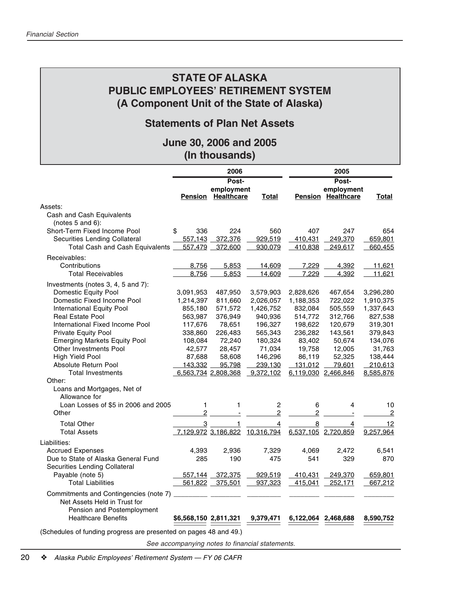### **Statements of Plan Net Assets**

# **June 30, 2006 and 2005 (In thousands)**

|                                                                   | 2006                  |                                |                | 2005                |                           |           |
|-------------------------------------------------------------------|-----------------------|--------------------------------|----------------|---------------------|---------------------------|-----------|
|                                                                   | Post-                 |                                |                | Post-               |                           |           |
|                                                                   |                       | employment                     |                |                     | employment                |           |
|                                                                   | Pension               | <b>Healthcare</b>              | Total          |                     | <b>Pension Healthcare</b> | Total     |
| Assets:                                                           |                       |                                |                |                     |                           |           |
| Cash and Cash Equivalents                                         |                       |                                |                |                     |                           |           |
| (notes $5$ and $6$ ):                                             |                       |                                |                |                     |                           |           |
| Short-Term Fixed Income Pool                                      | \$<br>336             | 224                            | 560            | 407                 | 247                       | 654       |
| Securities Lending Collateral                                     | 557.143               | 372,376                        | 929,519        | 410,431             | 249.370                   | 659,801   |
| Total Cash and Cash Equivalents _                                 | 557,479               | 372,600                        | 930,079        | 410,838             | 249,617                   | 660,455   |
|                                                                   |                       |                                |                |                     |                           |           |
| Receivables:                                                      |                       |                                |                |                     |                           |           |
| Contributions                                                     | 8,756                 | 5,853                          | 14,609         | 7,229               | 4,392                     | 11,621    |
| <b>Total Receivables</b>                                          | 8,756                 | 5,853                          | 14,609         | 7,229               | 4,392                     | 11,621    |
| Investments (notes 3, 4, 5 and 7):                                |                       |                                |                |                     |                           |           |
| Domestic Equity Pool                                              | 3,091,953             | 487,950                        | 3,579,903      | 2,828,626           | 467,654                   | 3,296,280 |
| Domestic Fixed Income Pool                                        | 1,214,397             | 811,660                        | 2,026,057      | 1,188,353           | 722,022                   | 1,910,375 |
| International Equity Pool                                         | 855,180               | 571,572                        | 1,426,752      | 832,084             | 505,559                   | 1,337,643 |
| <b>Real Estate Pool</b>                                           | 563,987               | 376,949                        | 940,936        | 514,772             | 312,766                   | 827,538   |
| International Fixed Income Pool                                   | 117,676               | 78,651                         | 196,327        | 198,622             | 120,679                   | 319,301   |
| Private Equity Pool                                               | 338,860               | 226,483                        | 565,343        | 236,282             | 143,561                   | 379,843   |
| <b>Emerging Markets Equity Pool</b>                               | 108,084               | 72,240                         | 180,324        | 83,402              | 50,674                    | 134,076   |
| Other Investments Pool                                            | 42,577                | 28,457                         | 71,034         | 19,758              | 12,005                    | 31,763    |
| High Yield Pool                                                   | 87,688                | 58,608                         | 146,296        | 86,119              | 52,325                    | 138,444   |
| Absolute Return Pool                                              | 143,332               | 95,798                         | 239,130        | 131,012             | 79,601                    | 210,613   |
| <b>Total Investments</b>                                          |                       | 6,563,734 2,808,368            | 9,372,102      |                     | 6,119,030 2,466,846       | 8,585,876 |
| Other:                                                            |                       |                                |                |                     |                           |           |
| Loans and Mortgages, Net of                                       |                       |                                |                |                     |                           |           |
| Allowance for                                                     |                       |                                |                |                     |                           |           |
| Loan Losses of \$5 in 2006 and 2005                               | 1                     | 1                              | 2              | 6                   | 4                         | 10        |
| Other                                                             | $\overline{2}$        |                                | $\overline{c}$ | $\overline{2}$      |                           | 2         |
| <b>Total Other</b>                                                | 3                     | 1                              | $\overline{4}$ | 8                   | 4                         | 12        |
| <b>Total Assets</b>                                               |                       | 7,129,972 3,186,822 10,316,794 |                | 6,537,105 2,720,859 |                           | 9,257,964 |
|                                                                   |                       |                                |                |                     |                           |           |
| Liabilities:                                                      |                       |                                |                |                     |                           |           |
| <b>Accrued Expenses</b>                                           | 4,393                 | 2,936                          | 7,329          | 4,069               | 2,472                     | 6,541     |
| Due to State of Alaska General Fund                               | 285                   | 190                            | 475            | 541                 | 329                       | 870       |
| Securities Lending Collateral                                     |                       |                                |                |                     |                           |           |
| Payable (note 5)                                                  |                       | 557,144 372,375                | 929,519        | 410,431             | 249,370                   | 659,801   |
| <b>Total Liabilities</b>                                          |                       | 561,822 375,501                | 937,323        | 415,041             | 252,171                   | 667,212   |
| Commitments and Contingencies (note 7) _                          |                       |                                |                |                     |                           |           |
| Net Assets Held in Trust for                                      |                       |                                |                |                     |                           |           |
| Pension and Postemployment                                        |                       |                                |                |                     |                           |           |
| <b>Healthcare Benefits</b>                                        | \$6,568,150 2,811,321 |                                | 9,379,471      | 6.122.064           | 2,468,688                 | 8,590,752 |
|                                                                   |                       |                                |                |                     |                           |           |
| (Schedules of funding progress are presented on pages 48 and 49.) |                       |                                |                |                     |                           |           |

See accompanying notes to financial statements.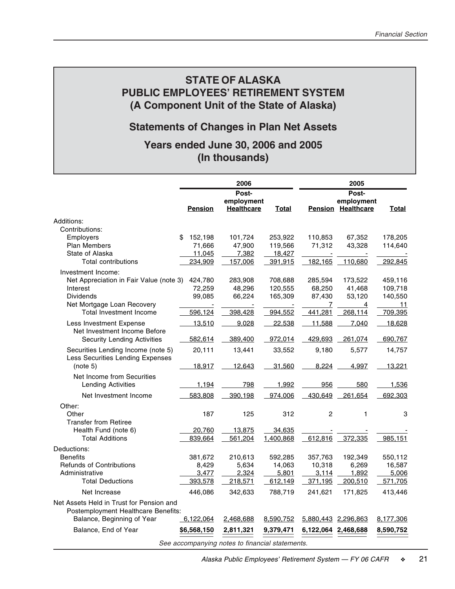### **Statements of Changes in Plan Net Assets**

# **Years ended June 30, 2006 and 2005 (In thousands)**

|                                          | 2006           |                                                 |              | 2005    |                           |           |
|------------------------------------------|----------------|-------------------------------------------------|--------------|---------|---------------------------|-----------|
|                                          |                | Post-                                           |              |         | Post-                     |           |
|                                          |                | employment                                      |              |         | employment                |           |
|                                          | <b>Pension</b> | <b>Healthcare</b>                               | <b>Total</b> |         | <b>Pension Healthcare</b> | Total     |
| Additions:                               |                |                                                 |              |         |                           |           |
| Contributions:                           |                |                                                 |              |         |                           |           |
| \$<br>Employers                          | 152,198        | 101,724                                         | 253,922      | 110,853 | 67,352                    | 178,205   |
| <b>Plan Members</b>                      | 71,666         | 47,900                                          | 119,566      | 71,312  | 43,328                    | 114,640   |
| State of Alaska                          | 11,045         | 7,382                                           | 18,427       |         |                           |           |
| <b>Total contributions</b>               | 234.909        | 157,006                                         | 391,915      | 182,165 | 110,680                   | 292,845   |
| Investment Income:                       |                |                                                 |              |         |                           |           |
| Net Appreciation in Fair Value (note 3)  | 424,780        | 283,908                                         | 708,688      | 285,594 | 173,522                   | 459,116   |
| Interest                                 | 72,259         | 48,296                                          | 120,555      | 68,250  | 41,468                    | 109,718   |
| <b>Dividends</b>                         | 99,085         | 66,224                                          | 165,309      | 87,430  | 53,120                    | 140,550   |
| Net Mortgage Loan Recovery               |                |                                                 |              | 7       | 4                         | 11        |
| <b>Total Investment Income</b>           | 596,124        | 398,428                                         | 994,552      | 441,281 | 268,114                   | 709,395   |
| Less Investment Expense                  | 13,510         | 9,028                                           | 22,538       | 11,588  | 7,040                     | 18,628    |
| Net Investment Income Before             |                |                                                 |              |         |                           |           |
| <b>Security Lending Activities</b>       | 582,614        | 389,400                                         | 972,014      | 429,693 | 261,074                   | 690,767   |
| Securities Lending Income (note 5)       | 20,111         | 13,441                                          | 33,552       | 9,180   | 5,577                     | 14,757    |
| Less Securities Lending Expenses         |                |                                                 |              |         |                           |           |
| (note 5)                                 | 18,917         | 12,643                                          | 31,560       | 8,224   | 4,997                     | 13,221    |
| Net Income from Securities               |                |                                                 |              |         |                           |           |
| <b>Lending Activities</b>                | 1,194          | 798                                             | 1,992        | 956     | 580                       | 1,536     |
| Net Investment Income                    | 583,808        | 390,198                                         | 974,006      | 430,649 | 261,654                   | 692,303   |
| Other:                                   |                |                                                 |              |         |                           |           |
| Other                                    | 187            | 125                                             | 312          | 2       | 1                         | 3         |
| <b>Transfer from Retiree</b>             |                |                                                 |              |         |                           |           |
| Health Fund (note 6)                     | 20,760         | 13,875                                          | 34,635       |         |                           |           |
| <b>Total Additions</b>                   | 839,664        | 561,204                                         | 1,400,868    | 612,816 | 372,335                   | 985,151   |
| Deductions:                              |                |                                                 |              |         |                           |           |
| <b>Benefits</b>                          | 381,672        | 210,613                                         | 592,285      | 357,763 | 192,349                   | 550,112   |
| <b>Refunds of Contributions</b>          | 8,429          | 5,634                                           | 14,063       | 10,318  | 6,269                     | 16,587    |
| Administrative                           | 3,477          | 2,324                                           | 5,801        | 3,114   | 1,892                     | 5,006     |
| <b>Total Deductions</b>                  | 393,578        | 218,571                                         | 612,149      | 371,195 | 200,510                   | 571,705   |
| Net Increase                             | 446,086        | 342,633                                         | 788,719      | 241,621 | 171,825                   | 413,446   |
| Net Assets Held in Trust for Pension and |                |                                                 |              |         |                           |           |
| Postemployment Healthcare Benefits:      |                |                                                 |              |         |                           |           |
| Balance, Beginning of Year               | 6,122,064      | 2,468,688                                       | 8,590,752    |         | 5,880,443 2,296,863       | 8,177,306 |
| Balance, End of Year                     | \$6,568,150    | 2,811,321                                       | 9,379,471    |         | 6,122,064 2,468,688       | 8,590,752 |
|                                          |                |                                                 |              |         |                           |           |
|                                          |                | See accompanying notes to financial statements. |              |         |                           |           |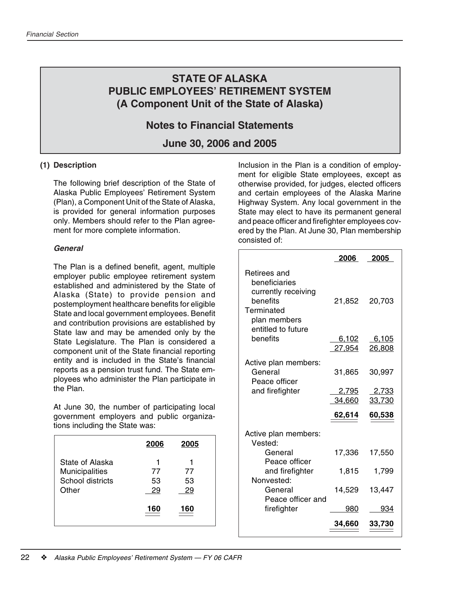### **Notes to Financial Statements**

**June 30, 2006 and 2005**

#### **(1) Description**

The following brief description of the State of Alaska Public Employees' Retirement System (Plan), a Component Unit of the State of Alaska, is provided for general information purposes only. Members should refer to the Plan agreement for more complete information.

#### **General**

The Plan is a defined benefit, agent, multiple employer public employee retirement system established and administered by the State of Alaska (State) to provide pension and postemployment healthcare benefits for eligible State and local government employees. Benefit and contribution provisions are established by State law and may be amended only by the State Legislature. The Plan is considered a component unit of the State financial reporting entity and is included in the State's financial reports as a pension trust fund. The State employees who administer the Plan participate in the Plan.

At June 30, the number of participating local government employers and public organizations including the State was:

|                                                                | 2006                | 2005                |  |
|----------------------------------------------------------------|---------------------|---------------------|--|
| State of Alaska<br>Municipalities<br>School districts<br>Other | 1<br>77<br>53<br>29 | 1<br>77<br>53<br>29 |  |
|                                                                | 160                 | 160                 |  |

Inclusion in the Plan is a condition of employment for eligible State employees, except as otherwise provided, for judges, elected officers and certain employees of the Alaska Marine Highway System. Any local government in the State may elect to have its permanent general and peace officer and firefighter employees covered by the Plan. At June 30, Plan membership consisted of:

|                                                                                                | 2006            | 2005            |
|------------------------------------------------------------------------------------------------|-----------------|-----------------|
| Retirees and<br>beneficiaries<br>currently receiving<br>benefits<br>Terminated<br>plan members | 21,852          | 20,703          |
| entitled to future<br>benefits                                                                 | 6,102<br>27,954 | 6,105<br>26,808 |
| Active plan members:<br>General<br>Peace officer                                               | 31,865          | 30,997          |
| and firefighter                                                                                | 2,795<br>34,660 | 2,733<br>33,730 |
|                                                                                                | 62,614          | 60,538          |
| Active plan members:<br>Vested:                                                                |                 |                 |
| General<br>Peace officer                                                                       | 17,336          | 17,550          |
| and firefighter<br>Nonvested:<br>General<br>Peace officer and<br>firefighter                   | 1,815           | 1,799           |
|                                                                                                | 14,529          | 13,447          |
|                                                                                                | 980             | 934             |
|                                                                                                | 34,660          | 33,730          |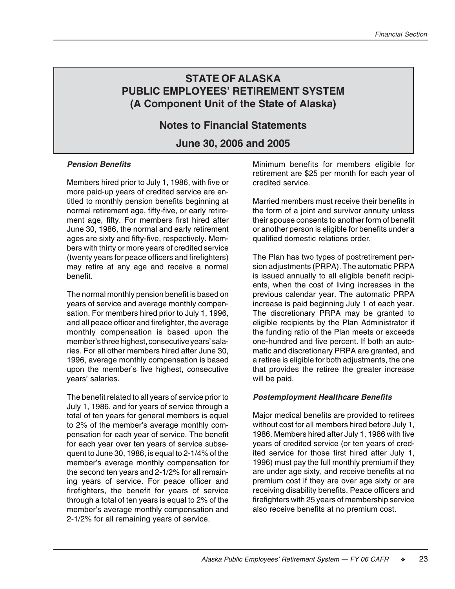### **Notes to Financial Statements**

### **June 30, 2006 and 2005**

#### **Pension Benefits**

Members hired prior to July 1, 1986, with five or more paid-up years of credited service are entitled to monthly pension benefits beginning at normal retirement age, fifty-five, or early retirement age, fifty. For members first hired after June 30, 1986, the normal and early retirement ages are sixty and fifty-five, respectively. Members with thirty or more years of credited service (twenty years for peace officers and firefighters) may retire at any age and receive a normal benefit.

The normal monthly pension benefit is based on years of service and average monthly compensation. For members hired prior to July 1, 1996, and all peace officer and firefighter, the average monthly compensation is based upon the member's three highest, consecutive years' salaries. For all other members hired after June 30, 1996, average monthly compensation is based upon the member's five highest, consecutive years' salaries.

The benefit related to all years of service prior to July 1, 1986, and for years of service through a total of ten years for general members is equal to 2% of the member's average monthly compensation for each year of service. The benefit for each year over ten years of service subsequent to June 30, 1986, is equal to 2-1/4% of the member's average monthly compensation for the second ten years and 2-1/2% for all remaining years of service. For peace officer and firefighters, the benefit for years of service through a total of ten years is equal to 2% of the member's average monthly compensation and 2-1/2% for all remaining years of service.

Minimum benefits for members eligible for retirement are \$25 per month for each year of credited service.

Married members must receive their benefits in the form of a joint and survivor annuity unless their spouse consents to another form of benefit or another person is eligible for benefits under a qualified domestic relations order.

The Plan has two types of postretirement pension adjustments (PRPA). The automatic PRPA is issued annually to all eligible benefit recipients, when the cost of living increases in the previous calendar year. The automatic PRPA increase is paid beginning July 1 of each year. The discretionary PRPA may be granted to eligible recipients by the Plan Administrator if the funding ratio of the Plan meets or exceeds one-hundred and five percent. If both an automatic and discretionary PRPA are granted, and a retiree is eligible for both adjustments, the one that provides the retiree the greater increase will be paid.

#### **Postemployment Healthcare Benefits**

Major medical benefits are provided to retirees without cost for all members hired before July 1, 1986. Members hired after July 1, 1986 with five years of credited service (or ten years of credited service for those first hired after July 1, 1996) must pay the full monthly premium if they are under age sixty, and receive benefits at no premium cost if they are over age sixty or are receiving disability benefits. Peace officers and firefighters with 25 years of membership service also receive benefits at no premium cost.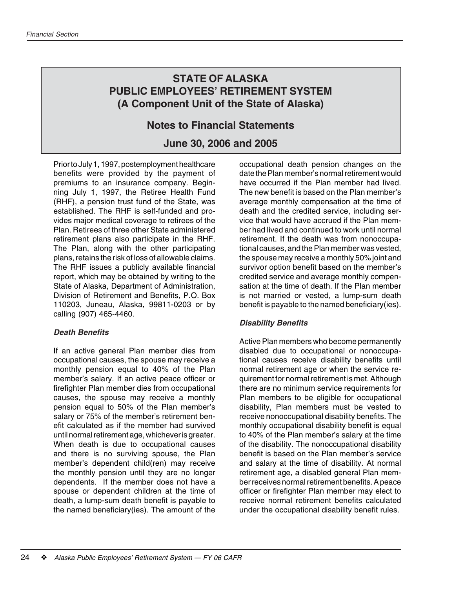### **Notes to Financial Statements**

### **June 30, 2006 and 2005**

Prior to July 1, 1997, postemployment healthcare benefits were provided by the payment of premiums to an insurance company. Beginning July 1, 1997, the Retiree Health Fund (RHF), a pension trust fund of the State, was established. The RHF is self-funded and provides major medical coverage to retirees of the Plan. Retirees of three other State administered retirement plans also participate in the RHF. The Plan, along with the other participating plans, retains the risk of loss of allowable claims. The RHF issues a publicly available financial report, which may be obtained by writing to the State of Alaska, Department of Administration, Division of Retirement and Benefits, P.O. Box 110203, Juneau, Alaska, 99811-0203 or by calling (907) 465-4460.

#### **Death Benefits**

If an active general Plan member dies from occupational causes, the spouse may receive a monthly pension equal to 40% of the Plan member's salary. If an active peace officer or firefighter Plan member dies from occupational causes, the spouse may receive a monthly pension equal to 50% of the Plan member's salary or 75% of the member's retirement benefit calculated as if the member had survived until normal retirement age, whichever is greater. When death is due to occupational causes and there is no surviving spouse, the Plan member's dependent child(ren) may receive the monthly pension until they are no longer dependents. If the member does not have a spouse or dependent children at the time of death, a lump-sum death benefit is payable to the named beneficiary(ies). The amount of the

occupational death pension changes on the date the Plan member's normal retirement would have occurred if the Plan member had lived. The new benefit is based on the Plan member's average monthly compensation at the time of death and the credited service, including service that would have accrued if the Plan member had lived and continued to work until normal retirement. If the death was from nonoccupational causes, and the Plan member was vested, the spouse may receive a monthly 50% joint and survivor option benefit based on the member's credited service and average monthly compensation at the time of death. If the Plan member is not married or vested, a lump-sum death benefit is payable to the named beneficiary(ies).

#### **Disability Benefits**

Active Plan members who become permanently disabled due to occupational or nonoccupational causes receive disability benefits until normal retirement age or when the service requirement for normal retirement is met. Although there are no minimum service requirements for Plan members to be eligible for occupational disability, Plan members must be vested to receive nonoccupational disability benefits. The monthly occupational disability benefit is equal to 40% of the Plan member's salary at the time of the disability. The nonoccupational disability benefit is based on the Plan member's service and salary at the time of disability. At normal retirement age, a disabled general Plan member receives normal retirement benefits. A peace officer or firefighter Plan member may elect to receive normal retirement benefits calculated under the occupational disability benefit rules.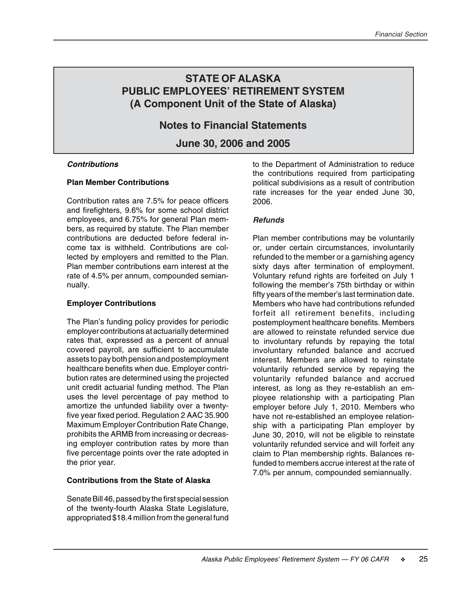**Notes to Financial Statements**

**June 30, 2006 and 2005**

#### **Contributions**

#### **Plan Member Contributions**

Contribution rates are 7.5% for peace officers and firefighters, 9.6% for some school district employees, and 6.75% for general Plan members, as required by statute. The Plan member contributions are deducted before federal income tax is withheld. Contributions are collected by employers and remitted to the Plan. Plan member contributions earn interest at the rate of 4.5% per annum, compounded semiannually.

#### **Employer Contributions**

The Plan's funding policy provides for periodic employer contributions at actuarially determined rates that, expressed as a percent of annual covered payroll, are sufficient to accumulate assets to pay both pension and postemployment healthcare benefits when due. Employer contribution rates are determined using the projected unit credit actuarial funding method. The Plan uses the level percentage of pay method to amortize the unfunded liability over a twentyfive year fixed period. Regulation 2 AAC 35.900 Maximum Employer Contribution Rate Change, prohibits the ARMB from increasing or decreasing employer contribution rates by more than five percentage points over the rate adopted in the prior year.

#### **Contributions from the State of Alaska**

Senate Bill 46, passed by the first special session of the twenty-fourth Alaska State Legislature, appropriated \$18.4 million from the general fund to the Department of Administration to reduce the contributions required from participating political subdivisions as a result of contribution rate increases for the year ended June 30, 2006.

#### **Refunds**

Plan member contributions may be voluntarily or, under certain circumstances, involuntarily refunded to the member or a garnishing agency sixty days after termination of employment. Voluntary refund rights are forfeited on July 1 following the member's 75th birthday or within fifty years of the member's last termination date. Members who have had contributions refunded forfeit all retirement benefits, including postemployment healthcare benefits. Members are allowed to reinstate refunded service due to involuntary refunds by repaying the total involuntary refunded balance and accrued interest. Members are allowed to reinstate voluntarily refunded service by repaying the voluntarily refunded balance and accrued interest, as long as they re-establish an employee relationship with a participating Plan employer before July 1, 2010. Members who have not re-established an employee relationship with a participating Plan employer by June 30, 2010, will not be eligible to reinstate voluntarily refunded service and will forfeit any claim to Plan membership rights. Balances refunded to members accrue interest at the rate of 7.0% per annum, compounded semiannually.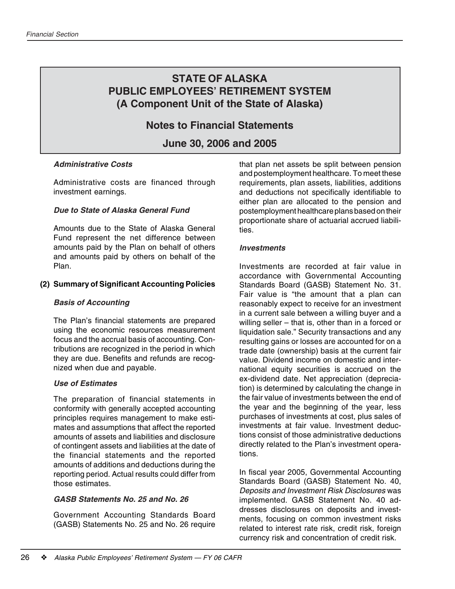### **Notes to Financial Statements**

### **June 30, 2006 and 2005**

#### **Administrative Costs**

Administrative costs are financed through investment earnings.

#### **Due to State of Alaska General Fund**

Amounts due to the State of Alaska General Fund represent the net difference between amounts paid by the Plan on behalf of others and amounts paid by others on behalf of the Plan.

#### **(2) Summary of Significant Accounting Policies**

#### **Basis of Accounting**

The Plan's financial statements are prepared using the economic resources measurement focus and the accrual basis of accounting. Contributions are recognized in the period in which they are due. Benefits and refunds are recognized when due and payable.

#### **Use of Estimates**

The preparation of financial statements in conformity with generally accepted accounting principles requires management to make estimates and assumptions that affect the reported amounts of assets and liabilities and disclosure of contingent assets and liabilities at the date of the financial statements and the reported amounts of additions and deductions during the reporting period. Actual results could differ from those estimates.

#### **GASB Statements No. 25 and No. 26**

Government Accounting Standards Board (GASB) Statements No. 25 and No. 26 require

that plan net assets be split between pension and postemployment healthcare. To meet these requirements, plan assets, liabilities, additions and deductions not specifically identifiable to either plan are allocated to the pension and postemployment healthcare plans based on their proportionate share of actuarial accrued liabilities.

#### **Investments**

Investments are recorded at fair value in accordance with Governmental Accounting Standards Board (GASB) Statement No. 31. Fair value is "the amount that a plan can reasonably expect to receive for an investment in a current sale between a willing buyer and a willing seller – that is, other than in a forced or liquidation sale." Security transactions and any resulting gains or losses are accounted for on a trade date (ownership) basis at the current fair value. Dividend income on domestic and international equity securities is accrued on the ex-dividend date. Net appreciation (depreciation) is determined by calculating the change in the fair value of investments between the end of the year and the beginning of the year, less purchases of investments at cost, plus sales of investments at fair value. Investment deductions consist of those administrative deductions directly related to the Plan's investment operations.

In fiscal year 2005, Governmental Accounting Standards Board (GASB) Statement No. 40, Deposits and Investment Risk Disclosures was implemented. GASB Statement No. 40 addresses disclosures on deposits and investments, focusing on common investment risks related to interest rate risk, credit risk, foreign currency risk and concentration of credit risk.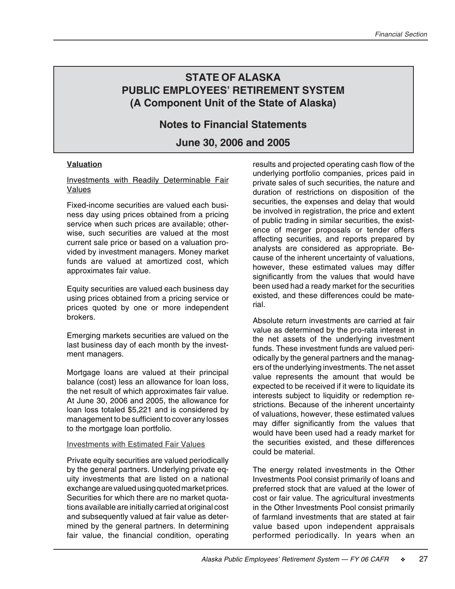### **Notes to Financial Statements**

### **June 30, 2006 and 2005**

#### **Valuation**

#### Investments with Readily Determinable Fair Values

Fixed-income securities are valued each business day using prices obtained from a pricing service when such prices are available; otherwise, such securities are valued at the most current sale price or based on a valuation provided by investment managers. Money market funds are valued at amortized cost, which approximates fair value.

Equity securities are valued each business day using prices obtained from a pricing service or prices quoted by one or more independent brokers.

Emerging markets securities are valued on the last business day of each month by the investment managers.

Mortgage loans are valued at their principal balance (cost) less an allowance for loan loss, the net result of which approximates fair value. At June 30, 2006 and 2005, the allowance for loan loss totaled \$5,221 and is considered by management to be sufficient to cover any losses to the mortgage loan portfolio.

#### Investments with Estimated Fair Values

Private equity securities are valued periodically by the general partners. Underlying private equity investments that are listed on a national exchange are valued using quoted market prices. Securities for which there are no market quotations available are initially carried at original cost and subsequently valued at fair value as determined by the general partners. In determining fair value, the financial condition, operating

results and projected operating cash flow of the underlying portfolio companies, prices paid in private sales of such securities, the nature and duration of restrictions on disposition of the securities, the expenses and delay that would be involved in registration, the price and extent of public trading in similar securities, the existence of merger proposals or tender offers affecting securities, and reports prepared by analysts are considered as appropriate. Because of the inherent uncertainty of valuations, however, these estimated values may differ significantly from the values that would have been used had a ready market for the securities existed, and these differences could be material.

Absolute return investments are carried at fair value as determined by the pro-rata interest in the net assets of the underlying investment funds. These investment funds are valued periodically by the general partners and the managers of the underlying investments. The net asset value represents the amount that would be expected to be received if it were to liquidate its interests subject to liquidity or redemption restrictions. Because of the inherent uncertainty of valuations, however, these estimated values may differ significantly from the values that would have been used had a ready market for the securities existed, and these differences could be material.

The energy related investments in the Other Investments Pool consist primarily of loans and preferred stock that are valued at the lower of cost or fair value. The agricultural investments in the Other Investments Pool consist primarily of farmland investments that are stated at fair value based upon independent appraisals performed periodically. In years when an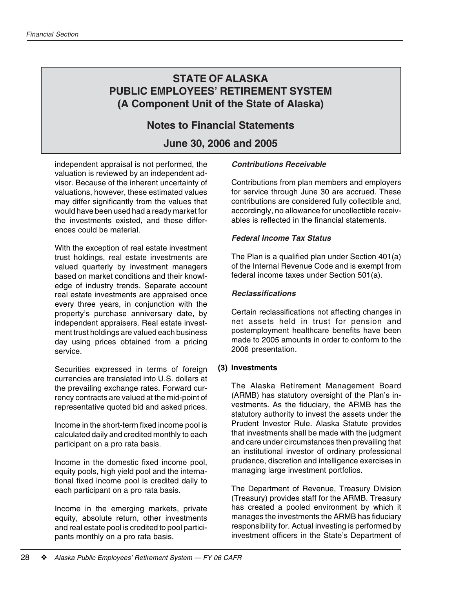### **Notes to Financial Statements**

### **June 30, 2006 and 2005**

independent appraisal is not performed, the valuation is reviewed by an independent advisor. Because of the inherent uncertainty of valuations, however, these estimated values may differ significantly from the values that would have been used had a ready market for the investments existed, and these differences could be material.

With the exception of real estate investment trust holdings, real estate investments are valued quarterly by investment managers based on market conditions and their knowledge of industry trends. Separate account real estate investments are appraised once every three years, in conjunction with the property's purchase anniversary date, by independent appraisers. Real estate investment trust holdings are valued each business day using prices obtained from a pricing service.

Securities expressed in terms of foreign currencies are translated into U.S. dollars at the prevailing exchange rates. Forward currency contracts are valued at the mid-point of representative quoted bid and asked prices.

Income in the short-term fixed income pool is calculated daily and credited monthly to each participant on a pro rata basis.

Income in the domestic fixed income pool, equity pools, high yield pool and the international fixed income pool is credited daily to each participant on a pro rata basis.

Income in the emerging markets, private equity, absolute return, other investments and real estate pool is credited to pool participants monthly on a pro rata basis.

#### **Contributions Receivable**

Contributions from plan members and employers for service through June 30 are accrued. These contributions are considered fully collectible and, accordingly, no allowance for uncollectible receivables is reflected in the financial statements.

#### **Federal Income Tax Status**

The Plan is a qualified plan under Section 401(a) of the Internal Revenue Code and is exempt from federal income taxes under Section 501(a).

#### **Reclassifications**

Certain reclassifications not affecting changes in net assets held in trust for pension and postemployment healthcare benefits have been made to 2005 amounts in order to conform to the 2006 presentation.

#### **(3) Investments**

The Alaska Retirement Management Board (ARMB) has statutory oversight of the Plan's investments. As the fiduciary, the ARMB has the statutory authority to invest the assets under the Prudent Investor Rule. Alaska Statute provides that investments shall be made with the judgment and care under circumstances then prevailing that an institutional investor of ordinary professional prudence, discretion and intelligence exercises in managing large investment portfolios.

The Department of Revenue, Treasury Division (Treasury) provides staff for the ARMB. Treasury has created a pooled environment by which it manages the investments the ARMB has fiduciary responsibility for. Actual investing is performed by investment officers in the State's Department of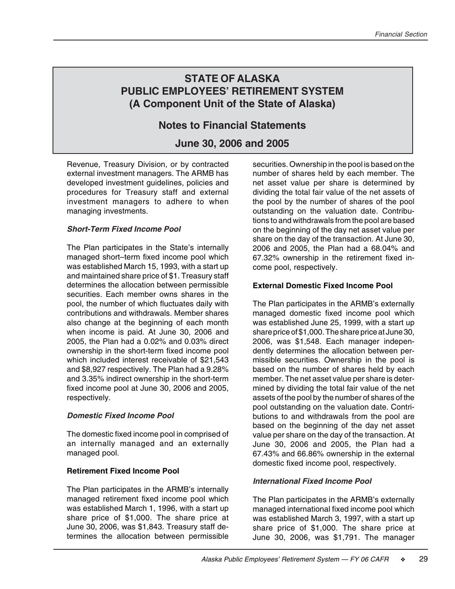### **Notes to Financial Statements**

### **June 30, 2006 and 2005**

Revenue, Treasury Division, or by contracted external investment managers. The ARMB has developed investment guidelines, policies and procedures for Treasury staff and external investment managers to adhere to when managing investments.

#### **Short-Term Fixed Income Pool**

The Plan participates in the State's internally managed short–term fixed income pool which was established March 15, 1993, with a start up and maintained share price of \$1. Treasury staff determines the allocation between permissible securities. Each member owns shares in the pool, the number of which fluctuates daily with contributions and withdrawals. Member shares also change at the beginning of each month when income is paid. At June 30, 2006 and 2005, the Plan had a 0.02% and 0.03% direct ownership in the short-term fixed income pool which included interest receivable of \$21,543 and \$8,927 respectively. The Plan had a 9.28% and 3.35% indirect ownership in the short-term fixed income pool at June 30, 2006 and 2005, respectively.

#### **Domestic Fixed Income Pool**

The domestic fixed income pool in comprised of an internally managed and an externally managed pool.

#### **Retirement Fixed Income Pool**

The Plan participates in the ARMB's internally managed retirement fixed income pool which was established March 1, 1996, with a start up share price of \$1,000. The share price at June 30, 2006, was \$1,843. Treasury staff determines the allocation between permissible

securities. Ownership in the pool is based on the number of shares held by each member. The net asset value per share is determined by dividing the total fair value of the net assets of the pool by the number of shares of the pool outstanding on the valuation date. Contributions to and withdrawals from the pool are based on the beginning of the day net asset value per share on the day of the transaction. At June 30, 2006 and 2005, the Plan had a 68.04% and 67.32% ownership in the retirement fixed income pool, respectively.

#### **External Domestic Fixed Income Pool**

The Plan participates in the ARMB's externally managed domestic fixed income pool which was established June 25, 1999, with a start up share price of \$1,000. The share price at June 30, 2006, was \$1,548. Each manager independently determines the allocation between permissible securities. Ownership in the pool is based on the number of shares held by each member. The net asset value per share is determined by dividing the total fair value of the net assets of the pool by the number of shares of the pool outstanding on the valuation date. Contributions to and withdrawals from the pool are based on the beginning of the day net asset value per share on the day of the transaction. At June 30, 2006 and 2005, the Plan had a 67.43% and 66.86% ownership in the external domestic fixed income pool, respectively.

#### **International Fixed Income Pool**

The Plan participates in the ARMB's externally managed international fixed income pool which was established March 3, 1997, with a start up share price of \$1,000. The share price at June 30, 2006, was \$1,791. The manager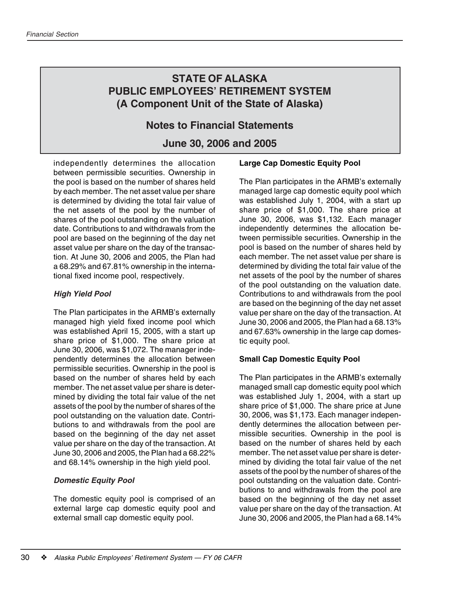### **Notes to Financial Statements**

### **June 30, 2006 and 2005**

independently determines the allocation between permissible securities. Ownership in the pool is based on the number of shares held by each member. The net asset value per share is determined by dividing the total fair value of the net assets of the pool by the number of shares of the pool outstanding on the valuation date. Contributions to and withdrawals from the pool are based on the beginning of the day net asset value per share on the day of the transaction. At June 30, 2006 and 2005, the Plan had a 68.29% and 67.81% ownership in the international fixed income pool, respectively.

#### **High Yield Pool**

The Plan participates in the ARMB's externally managed high yield fixed income pool which was established April 15, 2005, with a start up share price of \$1,000. The share price at June 30, 2006, was \$1,072. The manager independently determines the allocation between permissible securities. Ownership in the pool is based on the number of shares held by each member. The net asset value per share is determined by dividing the total fair value of the net assets of the pool by the number of shares of the pool outstanding on the valuation date. Contributions to and withdrawals from the pool are based on the beginning of the day net asset value per share on the day of the transaction. At June 30, 2006 and 2005, the Plan had a 68.22% and 68.14% ownership in the high yield pool.

#### **Domestic Equity Pool**

The domestic equity pool is comprised of an external large cap domestic equity pool and external small cap domestic equity pool.

#### **Large Cap Domestic Equity Pool**

The Plan participates in the ARMB's externally managed large cap domestic equity pool which was established July 1, 2004, with a start up share price of \$1,000. The share price at June 30, 2006, was \$1,132. Each manager independently determines the allocation between permissible securities. Ownership in the pool is based on the number of shares held by each member. The net asset value per share is determined by dividing the total fair value of the net assets of the pool by the number of shares of the pool outstanding on the valuation date. Contributions to and withdrawals from the pool are based on the beginning of the day net asset value per share on the day of the transaction. At June 30, 2006 and 2005, the Plan had a 68.13% and 67.63% ownership in the large cap domestic equity pool.

#### **Small Cap Domestic Equity Pool**

The Plan participates in the ARMB's externally managed small cap domestic equity pool which was established July 1, 2004, with a start up share price of \$1,000. The share price at June 30, 2006, was \$1,173. Each manager independently determines the allocation between permissible securities. Ownership in the pool is based on the number of shares held by each member. The net asset value per share is determined by dividing the total fair value of the net assets of the pool by the number of shares of the pool outstanding on the valuation date. Contributions to and withdrawals from the pool are based on the beginning of the day net asset value per share on the day of the transaction. At June 30, 2006 and 2005, the Plan had a 68.14%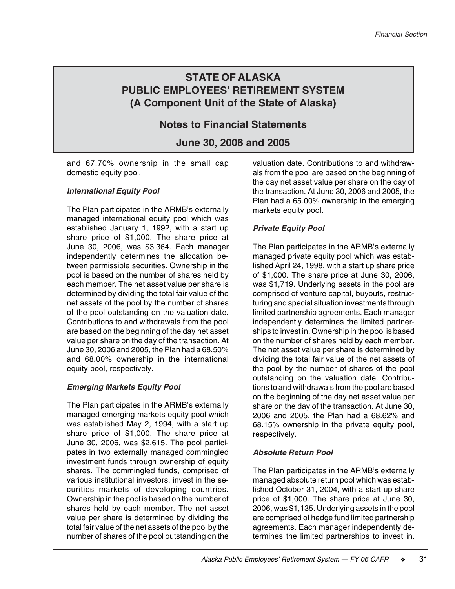### **Notes to Financial Statements**

### **June 30, 2006 and 2005**

and 67.70% ownership in the small cap domestic equity pool.

#### **International Equity Pool**

The Plan participates in the ARMB's externally managed international equity pool which was established January 1, 1992, with a start up share price of \$1,000. The share price at June 30, 2006, was \$3,364. Each manager independently determines the allocation between permissible securities. Ownership in the pool is based on the number of shares held by each member. The net asset value per share is determined by dividing the total fair value of the net assets of the pool by the number of shares of the pool outstanding on the valuation date. Contributions to and withdrawals from the pool are based on the beginning of the day net asset value per share on the day of the transaction. At June 30, 2006 and 2005, the Plan had a 68.50% and 68.00% ownership in the international equity pool, respectively.

#### **Emerging Markets Equity Pool**

The Plan participates in the ARMB's externally managed emerging markets equity pool which was established May 2, 1994, with a start up share price of \$1,000. The share price at June 30, 2006, was \$2,615. The pool participates in two externally managed commingled investment funds through ownership of equity shares. The commingled funds, comprised of various institutional investors, invest in the securities markets of developing countries. Ownership in the pool is based on the number of shares held by each member. The net asset value per share is determined by dividing the total fair value of the net assets of the pool by the number of shares of the pool outstanding on the

valuation date. Contributions to and withdrawals from the pool are based on the beginning of the day net asset value per share on the day of the transaction. At June 30, 2006 and 2005, the Plan had a 65.00% ownership in the emerging markets equity pool.

#### **Private Equity Pool**

The Plan participates in the ARMB's externally managed private equity pool which was established April 24, 1998, with a start up share price of \$1,000. The share price at June 30, 2006, was \$1,719. Underlying assets in the pool are comprised of venture capital, buyouts, restructuring and special situation investments through limited partnership agreements. Each manager independently determines the limited partnerships to invest in. Ownership in the pool is based on the number of shares held by each member. The net asset value per share is determined by dividing the total fair value of the net assets of the pool by the number of shares of the pool outstanding on the valuation date. Contributions to and withdrawals from the pool are based on the beginning of the day net asset value per share on the day of the transaction. At June 30, 2006 and 2005, the Plan had a 68.62% and 68.15% ownership in the private equity pool, respectively.

#### **Absolute Return Pool**

The Plan participates in the ARMB's externally managed absolute return pool which was established October 31, 2004, with a start up share price of \$1,000. The share price at June 30, 2006, was \$1,135. Underlying assets in the pool are comprised of hedge fund limited partnership agreements. Each manager independently determines the limited partnerships to invest in.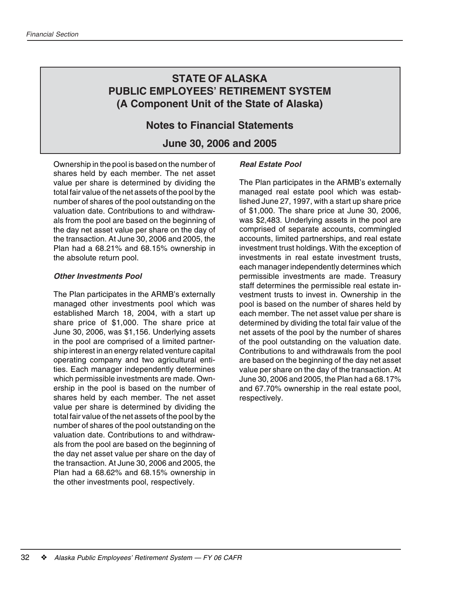### **Notes to Financial Statements**

### **June 30, 2006 and 2005**

Ownership in the pool is based on the number of shares held by each member. The net asset value per share is determined by dividing the total fair value of the net assets of the pool by the number of shares of the pool outstanding on the valuation date. Contributions to and withdrawals from the pool are based on the beginning of the day net asset value per share on the day of the transaction. At June 30, 2006 and 2005, the Plan had a 68.21% and 68.15% ownership in the absolute return pool.

#### **Other Investments Pool**

The Plan participates in the ARMB's externally managed other investments pool which was established March 18, 2004, with a start up share price of \$1,000. The share price at June 30, 2006, was \$1,156. Underlying assets in the pool are comprised of a limited partnership interest in an energy related venture capital operating company and two agricultural entities. Each manager independently determines which permissible investments are made. Ownership in the pool is based on the number of shares held by each member. The net asset value per share is determined by dividing the total fair value of the net assets of the pool by the number of shares of the pool outstanding on the valuation date. Contributions to and withdrawals from the pool are based on the beginning of the day net asset value per share on the day of the transaction. At June 30, 2006 and 2005, the Plan had a 68.62% and 68.15% ownership in the other investments pool, respectively.

#### **Real Estate Pool**

The Plan participates in the ARMB's externally managed real estate pool which was established June 27, 1997, with a start up share price of \$1,000. The share price at June 30, 2006, was \$2,483. Underlying assets in the pool are comprised of separate accounts, commingled accounts, limited partnerships, and real estate investment trust holdings. With the exception of investments in real estate investment trusts, each manager independently determines which permissible investments are made. Treasury staff determines the permissible real estate investment trusts to invest in. Ownership in the pool is based on the number of shares held by each member. The net asset value per share is determined by dividing the total fair value of the net assets of the pool by the number of shares of the pool outstanding on the valuation date. Contributions to and withdrawals from the pool are based on the beginning of the day net asset value per share on the day of the transaction. At June 30, 2006 and 2005, the Plan had a 68.17% and 67.70% ownership in the real estate pool, respectively.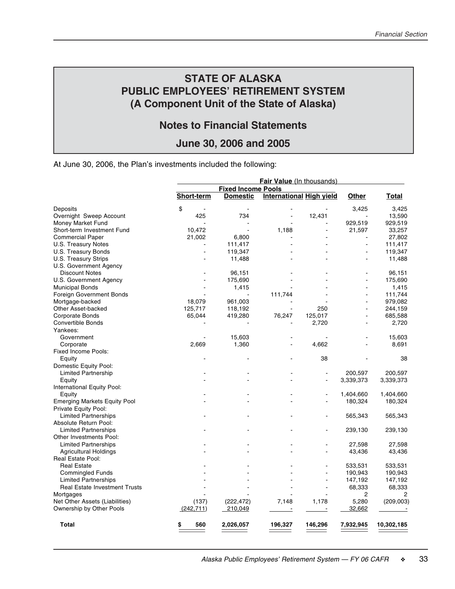# **Notes to Financial Statements**

### **June 30, 2006 and 2005**

At June 30, 2006, the Plan's investments included the following:

|                                      |            |                           | <b>Fair Value</b> (In thousands) |                                 |                |            |
|--------------------------------------|------------|---------------------------|----------------------------------|---------------------------------|----------------|------------|
|                                      |            | <b>Fixed Income Pools</b> |                                  |                                 |                |            |
|                                      | Short-term | <b>Domestic</b>           |                                  | <b>International High yield</b> | Other          | Total      |
| Deposits                             | \$         |                           |                                  |                                 | 3,425          | 3,425      |
| Overnight Sweep Account              | 425        | 734                       |                                  | 12,431                          |                | 13,590     |
| Money Market Fund                    |            |                           |                                  |                                 | 929,519        | 929,519    |
| Short-term Investment Fund           | 10,472     |                           | 1,188                            |                                 | 21,597         | 33,257     |
| <b>Commercial Paper</b>              | 21,002     | 6,800                     |                                  |                                 |                | 27,802     |
| U.S. Treasury Notes                  |            | 111,417                   |                                  |                                 |                | 111,417    |
| U.S. Treasury Bonds                  |            | 119,347                   |                                  |                                 |                | 119,347    |
| U.S. Treasury Strips                 |            | 11,488                    |                                  |                                 |                | 11,488     |
| U.S. Government Agency               |            |                           |                                  |                                 |                |            |
| <b>Discount Notes</b>                |            | 96,151                    |                                  |                                 |                | 96,151     |
| U.S. Government Agency               |            | 175,690                   |                                  |                                 |                | 175,690    |
| <b>Municipal Bonds</b>               |            | 1,415                     |                                  |                                 |                | 1,415      |
| Foreign Government Bonds             |            |                           | 111,744                          |                                 |                | 111,744    |
| Mortgage-backed                      | 18,079     | 961,003                   |                                  |                                 |                | 979,082    |
| Other Asset-backed                   | 125,717    | 118,192                   |                                  | 250                             |                | 244,159    |
| Corporate Bonds                      | 65,044     | 419,280                   | 76,247                           | 125,017                         |                | 685,588    |
| <b>Convertible Bonds</b>             |            |                           |                                  | 2,720                           |                | 2,720      |
| Yankees:                             |            |                           |                                  |                                 |                |            |
| Government                           |            | 15,603                    |                                  |                                 |                | 15,603     |
| Corporate                            | 2,669      | 1,360                     |                                  | 4,662                           |                | 8,691      |
|                                      |            |                           |                                  |                                 |                |            |
| <b>Fixed Income Pools:</b>           |            |                           |                                  |                                 |                |            |
| Equity                               |            |                           |                                  | 38                              |                | 38         |
| Domestic Equity Pool:                |            |                           |                                  |                                 |                |            |
| <b>Limited Partnership</b>           |            |                           |                                  | ä,                              | 200,597        | 200,597    |
| Equity                               |            |                           |                                  | $\blacksquare$                  | 3,339,373      | 3,339,373  |
| International Equity Pool:           |            |                           |                                  |                                 |                |            |
| Equity                               |            |                           |                                  | $\blacksquare$                  | 1,404,660      | 1,404,660  |
| <b>Emerging Markets Equity Pool</b>  |            |                           |                                  |                                 | 180,324        | 180,324    |
| Private Equity Pool:                 |            |                           |                                  |                                 |                |            |
| <b>Limited Partnerships</b>          |            |                           |                                  |                                 | 565,343        | 565,343    |
| Absolute Return Pool:                |            |                           |                                  |                                 |                |            |
| <b>Limited Partnerships</b>          |            |                           |                                  |                                 | 239,130        | 239,130    |
| Other Investments Pool:              |            |                           |                                  |                                 |                |            |
| <b>Limited Partnerships</b>          |            |                           |                                  |                                 | 27,598         | 27,598     |
| Agricultural Holdings                |            |                           |                                  | ä,                              | 43,436         | 43,436     |
| Real Estate Pool:                    |            |                           |                                  |                                 |                |            |
| <b>Real Estate</b>                   |            |                           |                                  |                                 | 533,531        | 533,531    |
| <b>Commingled Funds</b>              |            |                           |                                  |                                 | 190,943        | 190,943    |
| <b>Limited Partnerships</b>          |            |                           |                                  |                                 | 147,192        | 147,192    |
| <b>Real Estate Investment Trusts</b> |            |                           |                                  |                                 | 68,333         | 68,333     |
| Mortgages                            |            |                           |                                  |                                 | $\overline{2}$ | 2          |
| Net Other Assets (Liabilities)       | (137)      | (222, 472)                | 7,148                            | 1,178                           | 5,280          | (209, 003) |
| Ownership by Other Pools             | (242, 711) | 210,049                   | $\overline{\phantom{a}}$         |                                 | 32,662         |            |
| Total                                | 560<br>\$  | 2,026,057                 | 196,327                          | 146,296                         | 7,932,945      | 10,302,185 |
|                                      |            |                           |                                  |                                 |                |            |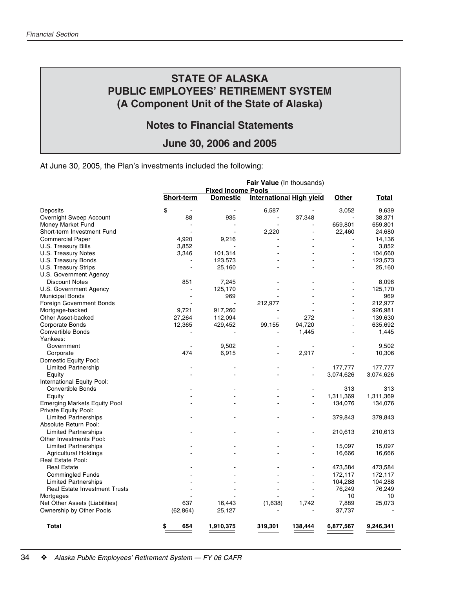# **Notes to Financial Statements**

#### **June 30, 2006 and 2005**

At June 30, 2005, the Plan's investments included the following:

|                                                            | Fair Value (In thousands) |                           |                                 |                |                 |           |  |
|------------------------------------------------------------|---------------------------|---------------------------|---------------------------------|----------------|-----------------|-----------|--|
|                                                            |                           | <b>Fixed Income Pools</b> |                                 |                |                 |           |  |
|                                                            | Short-term                | <b>Domestic</b>           | <b>International High yield</b> |                | Other           | Total     |  |
| Deposits                                                   | \$                        |                           | 6,587                           |                | 3,052           | 9,639     |  |
| Overnight Sweep Account                                    | 88                        | 935                       | $\overline{a}$                  | 37,348         |                 | 38,371    |  |
| Money Market Fund                                          |                           |                           |                                 |                | 659,801         | 659,801   |  |
| Short-term Investment Fund                                 |                           |                           | 2,220                           |                | 22,460          | 24,680    |  |
| <b>Commercial Paper</b>                                    | 4,920                     | 9,216                     |                                 |                |                 | 14,136    |  |
| U.S. Treasury Bills                                        | 3,852                     |                           |                                 |                |                 | 3,852     |  |
| U.S. Treasury Notes                                        | 3,346                     | 101,314                   |                                 |                |                 | 104,660   |  |
| U.S. Treasury Bonds                                        |                           | 123,573                   |                                 |                |                 | 123,573   |  |
| U.S. Treasury Strips                                       |                           | 25,160                    |                                 |                |                 | 25,160    |  |
| U.S. Government Agency                                     |                           |                           |                                 |                |                 |           |  |
| <b>Discount Notes</b>                                      | 851                       | 7,245                     |                                 |                |                 | 8,096     |  |
| U.S. Government Agency                                     |                           | 125,170                   |                                 |                |                 | 125,170   |  |
| <b>Municipal Bonds</b>                                     |                           | 969                       |                                 |                |                 | 969       |  |
| Foreign Government Bonds                                   |                           |                           |                                 |                |                 | 212,977   |  |
|                                                            |                           |                           | 212,977                         |                |                 |           |  |
| Mortgage-backed                                            | 9,721                     | 917,260                   | ÷.                              |                |                 | 926,981   |  |
| Other Asset-backed                                         | 27,264                    | 112,094                   |                                 | 272            |                 | 139,630   |  |
| <b>Corporate Bonds</b>                                     | 12,365                    | 429,452                   | 99,155                          | 94,720         |                 | 635,692   |  |
| <b>Convertible Bonds</b>                                   |                           |                           |                                 | 1,445          |                 | 1,445     |  |
| Yankees:                                                   |                           |                           |                                 |                |                 |           |  |
| Government                                                 |                           | 9,502                     |                                 |                |                 | 9,502     |  |
| Corporate                                                  | 474                       | 6,915                     | ÷.                              | 2,917          |                 | 10,306    |  |
| Domestic Equity Pool:                                      |                           |                           |                                 |                |                 |           |  |
| Limited Partnership                                        |                           |                           |                                 |                | 177,777         | 177,777   |  |
| Equity                                                     |                           |                           |                                 |                | 3,074,626       | 3,074,626 |  |
| International Equity Pool:                                 |                           |                           |                                 |                |                 |           |  |
| <b>Convertible Bonds</b>                                   |                           |                           |                                 |                | 313             | 313       |  |
| Equity                                                     |                           |                           |                                 | $\blacksquare$ | 1,311,369       | 1,311,369 |  |
| <b>Emerging Markets Equity Pool</b>                        |                           |                           |                                 |                | 134,076         | 134,076   |  |
| Private Equity Pool:                                       |                           |                           |                                 |                |                 |           |  |
| <b>Limited Partnerships</b>                                |                           |                           |                                 |                | 379,843         | 379,843   |  |
| Absolute Return Pool:                                      |                           |                           |                                 |                |                 |           |  |
| <b>Limited Partnerships</b>                                |                           |                           |                                 |                | 210,613         | 210,613   |  |
| Other Investments Pool:                                    |                           |                           |                                 |                |                 |           |  |
| <b>Limited Partnerships</b>                                |                           |                           |                                 |                | 15,097          | 15,097    |  |
| <b>Agricultural Holdings</b>                               |                           |                           |                                 |                | 16,666          | 16,666    |  |
| Real Estate Pool:                                          |                           |                           |                                 |                |                 |           |  |
| <b>Real Estate</b>                                         |                           |                           |                                 |                | 473,584         | 473,584   |  |
| <b>Commingled Funds</b>                                    |                           |                           |                                 |                | 172,117         | 172,117   |  |
| <b>Limited Partnerships</b>                                |                           |                           |                                 |                | 104,288         | 104,288   |  |
| <b>Real Estate Investment Trusts</b>                       |                           |                           |                                 |                | 76,249          | 76,249    |  |
| Mortgages                                                  |                           |                           |                                 |                | 10              | 10        |  |
|                                                            |                           |                           | (1,638)                         |                |                 |           |  |
| Net Other Assets (Liabilities)<br>Ownership by Other Pools | 637<br>(62, 864)          | 16,443<br>25,127          |                                 | 1,742          | 7,889<br>37,737 | 25,073    |  |
|                                                            |                           |                           |                                 |                |                 |           |  |
| Total                                                      | 654                       | 1,910,375                 | 319,301                         | 138,444        | 6,877,567       | 9,246,341 |  |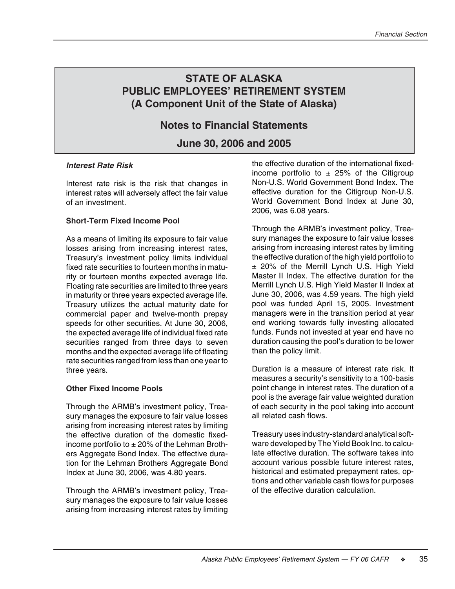#### **Notes to Financial Statements**

**June 30, 2006 and 2005**

#### **Interest Rate Risk**

Interest rate risk is the risk that changes in interest rates will adversely affect the fair value of an investment.

#### **Short-Term Fixed Income Pool**

As a means of limiting its exposure to fair value losses arising from increasing interest rates, Treasury's investment policy limits individual fixed rate securities to fourteen months in maturity or fourteen months expected average life. Floating rate securities are limited to three years in maturity or three years expected average life. Treasury utilizes the actual maturity date for commercial paper and twelve-month prepay speeds for other securities. At June 30, 2006, the expected average life of individual fixed rate securities ranged from three days to seven months and the expected average life of floating rate securities ranged from less than one year to three years.

#### **Other Fixed Income Pools**

Through the ARMB's investment policy, Treasury manages the exposure to fair value losses arising from increasing interest rates by limiting the effective duration of the domestic fixedincome portfolio to  $\pm 20\%$  of the Lehman Brothers Aggregate Bond Index. The effective duration for the Lehman Brothers Aggregate Bond Index at June 30, 2006, was 4.80 years.

Through the ARMB's investment policy, Treasury manages the exposure to fair value losses arising from increasing interest rates by limiting the effective duration of the international fixedincome portfolio to  $\pm$  25% of the Citigroup Non-U.S. World Government Bond Index. The effective duration for the Citigroup Non-U.S. World Government Bond Index at June 30, 2006, was 6.08 years.

Through the ARMB's investment policy, Treasury manages the exposure to fair value losses arising from increasing interest rates by limiting the effective duration of the high yield portfolio to ± 20% of the Merrill Lynch U.S. High Yield Master II Index. The effective duration for the Merrill Lynch U.S. High Yield Master II Index at June 30, 2006, was 4.59 years. The high yield pool was funded April 15, 2005. Investment managers were in the transition period at year end working towards fully investing allocated funds. Funds not invested at year end have no duration causing the pool's duration to be lower than the policy limit.

Duration is a measure of interest rate risk. It measures a security's sensitivity to a 100-basis point change in interest rates. The duration of a pool is the average fair value weighted duration of each security in the pool taking into account all related cash flows.

Treasury uses industry-standard analytical software developed by The Yield Book Inc. to calculate effective duration. The software takes into account various possible future interest rates, historical and estimated prepayment rates, options and other variable cash flows for purposes of the effective duration calculation.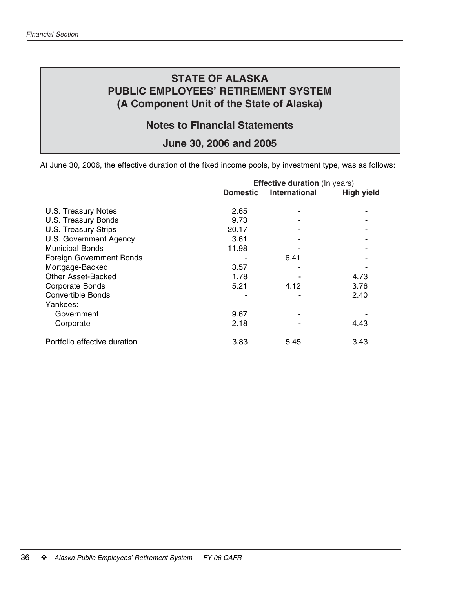# **Notes to Financial Statements**

**June 30, 2006 and 2005**

At June 30, 2006, the effective duration of the fixed income pools, by investment type, was as follows:

|                                 | <b>Effective duration (In years)</b> |                      |                   |  |  |
|---------------------------------|--------------------------------------|----------------------|-------------------|--|--|
|                                 | <b>Domestic</b>                      | <b>International</b> | <b>High yield</b> |  |  |
| U.S. Treasury Notes             | 2.65                                 |                      |                   |  |  |
|                                 |                                      |                      |                   |  |  |
| U.S. Treasury Bonds             | 9.73                                 |                      |                   |  |  |
| <b>U.S. Treasury Strips</b>     | 20.17                                |                      |                   |  |  |
| U.S. Government Agency          | 3.61                                 |                      |                   |  |  |
| <b>Municipal Bonds</b>          | 11.98                                |                      |                   |  |  |
| <b>Foreign Government Bonds</b> |                                      | 6.41                 |                   |  |  |
| Mortgage-Backed                 | 3.57                                 |                      |                   |  |  |
| Other Asset-Backed              | 1.78                                 |                      | 4.73              |  |  |
| <b>Corporate Bonds</b>          | 5.21                                 | 4.12                 | 3.76              |  |  |
| Convertible Bonds               |                                      |                      | 2.40              |  |  |
| Yankees:                        |                                      |                      |                   |  |  |
| Government                      | 9.67                                 |                      |                   |  |  |
| Corporate                       | 2.18                                 |                      | 4.43              |  |  |
| Portfolio effective duration    | 3.83                                 | 5.45                 | 3.43              |  |  |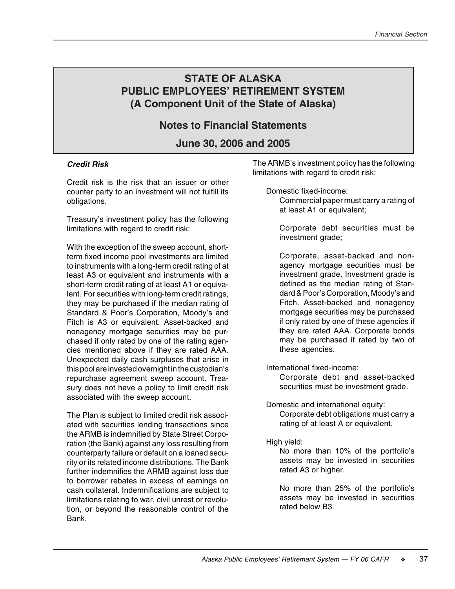### **Notes to Financial Statements**

### **June 30, 2006 and 2005**

#### **Credit Risk**

Credit risk is the risk that an issuer or other counter party to an investment will not fulfill its obligations.

Treasury's investment policy has the following limitations with regard to credit risk:

With the exception of the sweep account, shortterm fixed income pool investments are limited to instruments with a long-term credit rating of at least A3 or equivalent and instruments with a short-term credit rating of at least A1 or equivalent. For securities with long-term credit ratings, they may be purchased if the median rating of Standard & Poor's Corporation, Moody's and Fitch is A3 or equivalent. Asset-backed and nonagency mortgage securities may be purchased if only rated by one of the rating agencies mentioned above if they are rated AAA. Unexpected daily cash surpluses that arise in this pool are invested overnight in the custodian's repurchase agreement sweep account. Treasury does not have a policy to limit credit risk associated with the sweep account.

The Plan is subject to limited credit risk associated with securities lending transactions since the ARMB is indemnified by State Street Corporation (the Bank) against any loss resulting from counterparty failure or default on a loaned security or its related income distributions. The Bank further indemnifies the ARMB against loss due to borrower rebates in excess of earnings on cash collateral. Indemnifications are subject to limitations relating to war, civil unrest or revolution, or beyond the reasonable control of the Bank.

The ARMB's investment policy has the following limitations with regard to credit risk:

Domestic fixed-income:

Commercial paper must carry a rating of at least A1 or equivalent;

Corporate debt securities must be investment grade;

Corporate, asset-backed and nonagency mortgage securities must be investment grade. Investment grade is defined as the median rating of Standard & Poor's Corporation, Moody's and Fitch. Asset-backed and nonagency mortgage securities may be purchased if only rated by one of these agencies if they are rated AAA. Corporate bonds may be purchased if rated by two of these agencies.

- International fixed-income: Corporate debt and asset-backed securities must be investment grade.
- Domestic and international equity: Corporate debt obligations must carry a rating of at least A or equivalent.
- High yield:
	- No more than 10% of the portfolio's assets may be invested in securities rated A3 or higher.

No more than 25% of the portfolio's assets may be invested in securities rated below B3.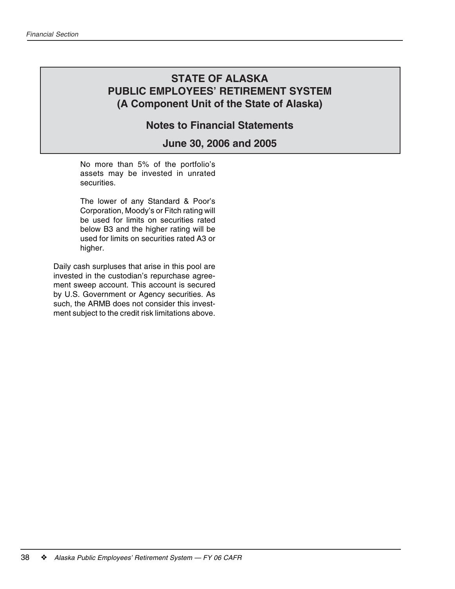#### **Notes to Financial Statements**

#### **June 30, 2006 and 2005**

No more than 5% of the portfolio's assets may be invested in unrated securities.

The lower of any Standard & Poor's Corporation, Moody's or Fitch rating will be used for limits on securities rated below B3 and the higher rating will be used for limits on securities rated A3 or higher.

Daily cash surpluses that arise in this pool are invested in the custodian's repurchase agreement sweep account. This account is secured by U.S. Government or Agency securities. As such, the ARMB does not consider this investment subject to the credit risk limitations above.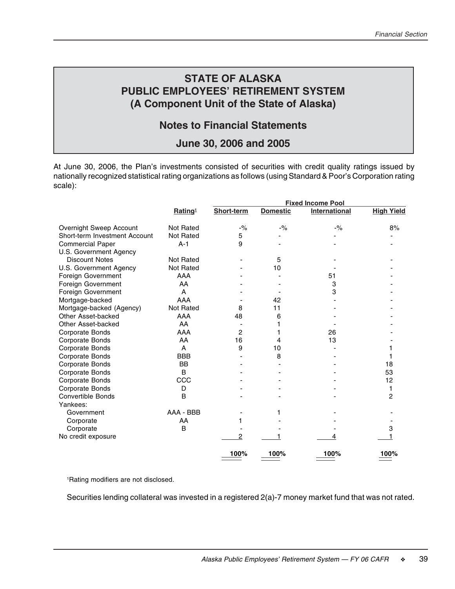#### **Notes to Financial Statements**

**June 30, 2006 and 2005**

At June 30, 2006, the Plan's investments consisted of securities with credit quality ratings issued by nationally recognized statistical rating organizations as follows (using Standard & Poor's Corporation rating scale):

|                               |                     | <b>Fixed Income Pool</b> |                 |               |                   |
|-------------------------------|---------------------|--------------------------|-----------------|---------------|-------------------|
|                               | Rating <sup>1</sup> | Short-term               | <b>Domestic</b> | International | <b>High Yield</b> |
| Overnight Sweep Account       | <b>Not Rated</b>    | $-$ %                    | $-$ %           | $-$ %         | 8%                |
| Short-term Investment Account | Not Rated           | 5                        |                 |               |                   |
| <b>Commercial Paper</b>       | $A-1$               | 9                        |                 |               |                   |
| U.S. Government Agency        |                     |                          |                 |               |                   |
| <b>Discount Notes</b>         | Not Rated           |                          | 5               |               |                   |
| U.S. Government Agency        | Not Rated           |                          | 10              |               |                   |
| Foreign Government            | AAA                 |                          |                 | 51            |                   |
| Foreign Government            | AA                  |                          |                 | 3             |                   |
| Foreign Government            | A                   |                          |                 | 3             |                   |
| Mortgage-backed               | AAA                 |                          | 42              |               |                   |
| Mortgage-backed (Agency)      | Not Rated           | 8                        | 11              |               |                   |
| Other Asset-backed            | AAA                 | 48                       | 6               |               |                   |
| Other Asset-backed            | AA                  |                          |                 |               |                   |
| Corporate Bonds               | AAA                 | 2                        |                 | 26            |                   |
| Corporate Bonds               | AA                  | 16                       | 4               | 13            |                   |
| Corporate Bonds               | A                   | 9                        | 10              |               |                   |
| Corporate Bonds               | <b>BBB</b>          |                          | 8               |               |                   |
| Corporate Bonds               | <b>BB</b>           |                          |                 |               | 18                |
| Corporate Bonds               | B                   |                          |                 |               | 53                |
| Corporate Bonds               | CCC                 |                          |                 |               | 12                |
| Corporate Bonds               | D                   |                          |                 |               | 1                 |
| Convertible Bonds             | B                   |                          |                 |               | 2                 |
| Yankees:                      |                     |                          |                 |               |                   |
| Government                    | AAA - BBB           |                          |                 |               |                   |
| Corporate                     | AA                  |                          |                 |               |                   |
| Corporate                     | B                   |                          |                 |               |                   |
| No credit exposure            |                     | 2                        |                 |               |                   |
|                               |                     | 100%                     | 100%            | 100%          | 100%              |

1Rating modifiers are not disclosed.

Securities lending collateral was invested in a registered 2(a)-7 money market fund that was not rated.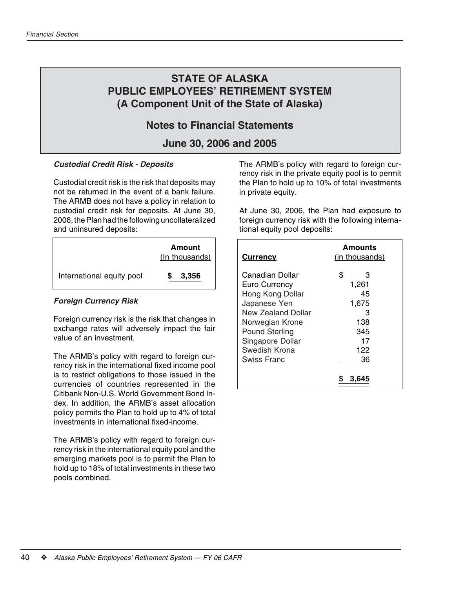### **Notes to Financial Statements**

#### **June 30, 2006 and 2005**

#### **Custodial Credit Risk - Deposits**

Custodial credit risk is the risk that deposits may not be returned in the event of a bank failure. The ARMB does not have a policy in relation to custodial credit risk for deposits. At June 30, 2006, the Plan had the following uncollateralized and uninsured deposits:

|                           | Amount<br>(In thousands) |
|---------------------------|--------------------------|
| International equity pool | 3,356                    |

#### **Foreign Currency Risk**

Foreign currency risk is the risk that changes in exchange rates will adversely impact the fair value of an investment.

The ARMB's policy with regard to foreign currency risk in the international fixed income pool is to restrict obligations to those issued in the currencies of countries represented in the Citibank Non-U.S. World Government Bond Index. In addition, the ARMB's asset allocation policy permits the Plan to hold up to 4% of total investments in international fixed-income.

The ARMB's policy with regard to foreign currency risk in the international equity pool and the emerging markets pool is to permit the Plan to hold up to 18% of total investments in these two pools combined.

The ARMB's policy with regard to foreign currency risk in the private equity pool is to permit the Plan to hold up to 10% of total investments in private equity.

At June 30, 2006, the Plan had exposure to foreign currency risk with the following international equity pool deposits:

| Currency                                                                                                                                                                                          | Amounts<br>(in thousands)                                             |
|---------------------------------------------------------------------------------------------------------------------------------------------------------------------------------------------------|-----------------------------------------------------------------------|
| Canadian Dollar<br>Euro Currency<br>Hong Kong Dollar<br>Japanese Yen<br><b>New Zealand Dollar</b><br>Norwegian Krone<br><b>Pound Sterling</b><br>Singapore Dollar<br>Swedish Krona<br>Swiss Franc | \$<br>З<br>1,261<br>45<br>1,675<br>З<br>138<br>345<br>17<br>122<br>36 |
|                                                                                                                                                                                                   | 3.645                                                                 |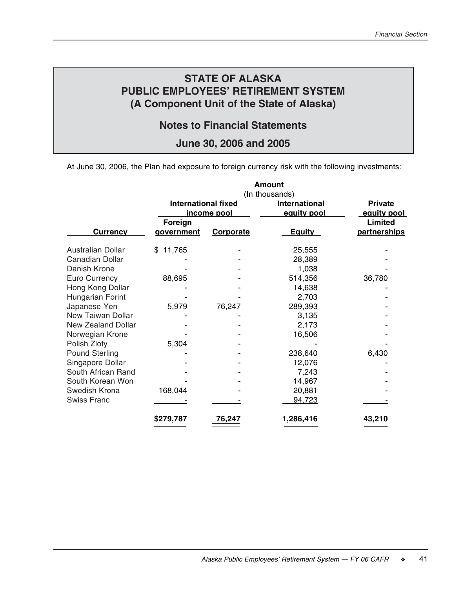# **Notes to Financial Statements**

**June 30, 2006 and 2005**

At June 30, 2006, the Plan had exposure to foreign currency risk with the following investments:

|                           | Amount                     |                    |                      |                     |  |  |  |  |
|---------------------------|----------------------------|--------------------|----------------------|---------------------|--|--|--|--|
|                           |                            |                    | (In thousands)       |                     |  |  |  |  |
|                           | <b>International fixed</b> |                    | <b>International</b> | <b>Private</b>      |  |  |  |  |
|                           |                            | <u>income pool</u> |                      | equity pool         |  |  |  |  |
|                           | Foreign                    |                    |                      | Limited             |  |  |  |  |
| <b>Currency</b>           | government                 | <b>Corporate</b>   | <u>Equity</u>        | <b>partnerships</b> |  |  |  |  |
| <b>Australian Dollar</b>  | \$11,765                   |                    | 25,555               |                     |  |  |  |  |
| Canadian Dollar           |                            |                    | 28,389               |                     |  |  |  |  |
| Danish Krone              |                            |                    | 1,038                |                     |  |  |  |  |
| Euro Currency             | 88,695                     |                    | 514,356              | 36,780              |  |  |  |  |
| Hong Kong Dollar          |                            |                    | 14,638               |                     |  |  |  |  |
| Hungarian Forint          |                            |                    | 2,703                |                     |  |  |  |  |
| Japanese Yen              | 5,979                      | 76,247             | 289,393              |                     |  |  |  |  |
| New Taiwan Dollar         |                            |                    | 3,135                |                     |  |  |  |  |
| <b>New Zealand Dollar</b> |                            |                    | 2,173                |                     |  |  |  |  |
| Norwegian Krone           |                            |                    | 16,506               |                     |  |  |  |  |
| Polish Zloty              | 5,304                      |                    |                      |                     |  |  |  |  |
| <b>Pound Sterling</b>     |                            |                    | 238,640              | 6,430               |  |  |  |  |
| Singapore Dollar          |                            |                    | 12,076               |                     |  |  |  |  |
| South African Rand        |                            |                    | 7,243                |                     |  |  |  |  |
| South Korean Won          |                            |                    | 14,967               |                     |  |  |  |  |
| Swedish Krona             | 168,044                    |                    | 20,881               |                     |  |  |  |  |
| <b>Swiss Franc</b>        |                            |                    | 94,723               |                     |  |  |  |  |
|                           | \$279,787                  | 76,247             | 1,286,416            | 43,210              |  |  |  |  |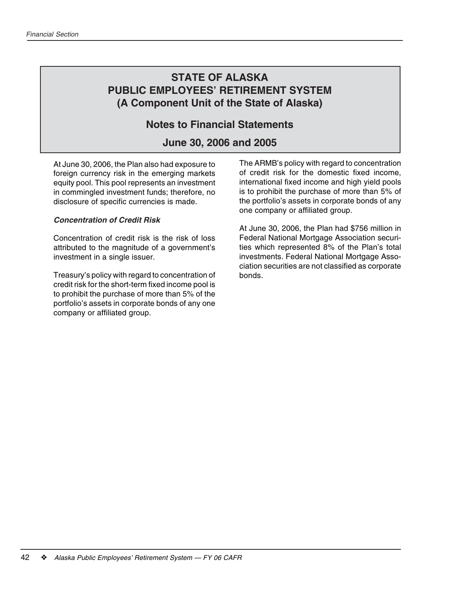#### **Notes to Financial Statements**

#### **June 30, 2006 and 2005**

At June 30, 2006, the Plan also had exposure to foreign currency risk in the emerging markets equity pool. This pool represents an investment in commingled investment funds; therefore, no disclosure of specific currencies is made.

#### **Concentration of Credit Risk**

Concentration of credit risk is the risk of loss attributed to the magnitude of a government's investment in a single issuer.

Treasury's policy with regard to concentration of credit risk for the short-term fixed income pool is to prohibit the purchase of more than 5% of the portfolio's assets in corporate bonds of any one company or affiliated group.

The ARMB's policy with regard to concentration of credit risk for the domestic fixed income, international fixed income and high yield pools is to prohibit the purchase of more than 5% of the portfolio's assets in corporate bonds of any one company or affiliated group.

At June 30, 2006, the Plan had \$756 million in Federal National Mortgage Association securities which represented 8% of the Plan's total investments. Federal National Mortgage Association securities are not classified as corporate bonds.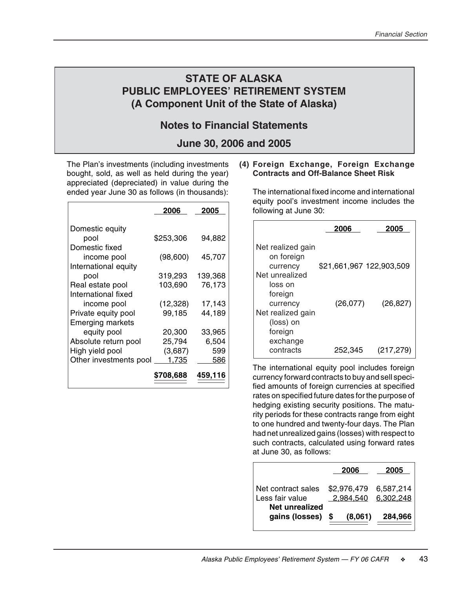### **Notes to Financial Statements**

### **June 30, 2006 and 2005**

The Plan's investments (including investments bought, sold, as well as held during the year) appreciated (depreciated) in value during the ended year June 30 as follows (in thousands):

|                         | 2006      | 2005    |
|-------------------------|-----------|---------|
| Domestic equity         |           |         |
| pool                    | \$253,306 | 94,882  |
| Domestic fixed          |           |         |
| income pool             | (98,600)  | 45,707  |
| International equity    |           |         |
| pool                    | 319,293   | 139,368 |
| Real estate pool        | 103,690   | 76,173  |
| International fixed     |           |         |
| income pool             | (12, 328) | 17,143  |
| Private equity pool     | 99,185    | 44,189  |
| <b>Emerging markets</b> |           |         |
| equity pool             | 20,300    | 33,965  |
| Absolute return pool    | 25,794    | 6,504   |
| High yield pool         | (3,687)   | 599     |
| Other investments pool  | 1,735     | 586     |
|                         | \$708,688 | 459,116 |

**(4) Foreign Exchange, Foreign Exchange Contracts and Off-Balance Sheet Risk**

The international fixed income and international equity pool's investment income includes the following at June 30:

|                                                                                     | 2006                     | 2005      |
|-------------------------------------------------------------------------------------|--------------------------|-----------|
| Net realized gain<br>on foreign<br>currency<br>Net unrealized<br>loss on<br>foreign | \$21,661,967 122,903,509 |           |
| currency<br>Net realized gain<br>(loss) on<br>foreign                               | (26, 077)                | (26, 827) |
| exchange<br>contracts                                                               | 252,345                  | (217,279) |

The international equity pool includes foreign currency forward contracts to buy and sell specified amounts of foreign currencies at specified rates on specified future dates for the purpose of hedging existing security positions. The maturity periods for these contracts range from eight to one hundred and twenty-four days. The Plan had net unrealized gains (losses) with respect to such contracts, calculated using forward rates at June 30, as follows:

|                                       | 2006                     | 2005                   |
|---------------------------------------|--------------------------|------------------------|
| Net contract sales<br>Less fair value | \$2,976,479<br>2,984,540 | 6,587,214<br>6,302,248 |
| Net unrealized<br>gains (losses)      | (8,061)                  | 284,966                |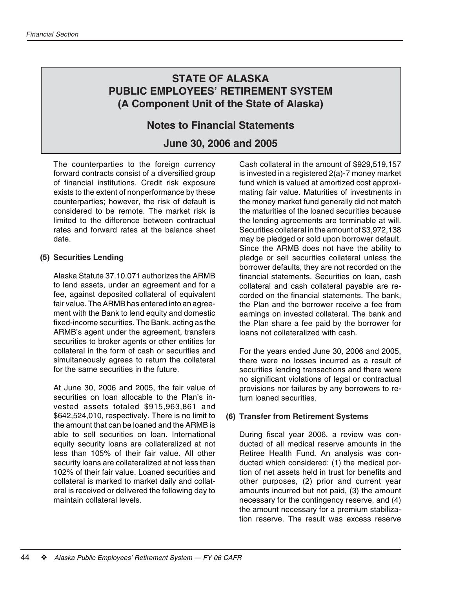### **Notes to Financial Statements**

#### **June 30, 2006 and 2005**

The counterparties to the foreign currency forward contracts consist of a diversified group of financial institutions. Credit risk exposure exists to the extent of nonperformance by these counterparties; however, the risk of default is considered to be remote. The market risk is limited to the difference between contractual rates and forward rates at the balance sheet date.

#### **(5) Securities Lending**

Alaska Statute 37.10.071 authorizes the ARMB to lend assets, under an agreement and for a fee, against deposited collateral of equivalent fair value. The ARMB has entered into an agreement with the Bank to lend equity and domestic fixed-income securities. The Bank, acting as the ARMB's agent under the agreement, transfers securities to broker agents or other entities for collateral in the form of cash or securities and simultaneously agrees to return the collateral for the same securities in the future.

At June 30, 2006 and 2005, the fair value of securities on loan allocable to the Plan's invested assets totaled \$915,963,861 and \$642,524,010, respectively. There is no limit to the amount that can be loaned and the ARMB is able to sell securities on loan. International equity security loans are collateralized at not less than 105% of their fair value. All other security loans are collateralized at not less than 102% of their fair value. Loaned securities and collateral is marked to market daily and collateral is received or delivered the following day to maintain collateral levels.

Cash collateral in the amount of \$929,519,157 is invested in a registered 2(a)-7 money market fund which is valued at amortized cost approximating fair value. Maturities of investments in the money market fund generally did not match the maturities of the loaned securities because the lending agreements are terminable at will. Securities collateral in the amount of \$3,972,138 may be pledged or sold upon borrower default. Since the ARMB does not have the ability to pledge or sell securities collateral unless the borrower defaults, they are not recorded on the financial statements. Securities on loan, cash collateral and cash collateral payable are recorded on the financial statements. The bank, the Plan and the borrower receive a fee from earnings on invested collateral. The bank and the Plan share a fee paid by the borrower for loans not collateralized with cash.

For the years ended June 30, 2006 and 2005, there were no losses incurred as a result of securities lending transactions and there were no significant violations of legal or contractual provisions nor failures by any borrowers to return loaned securities.

#### **(6) Transfer from Retirement Systems**

During fiscal year 2006, a review was conducted of all medical reserve amounts in the Retiree Health Fund. An analysis was conducted which considered: (1) the medical portion of net assets held in trust for benefits and other purposes, (2) prior and current year amounts incurred but not paid, (3) the amount necessary for the contingency reserve, and (4) the amount necessary for a premium stabilization reserve. The result was excess reserve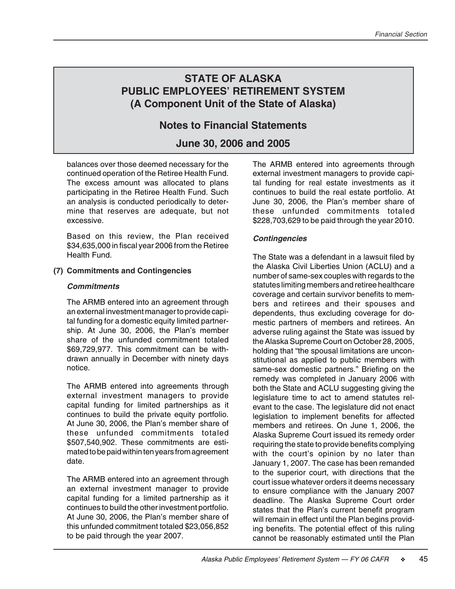### **Notes to Financial Statements**

#### **June 30, 2006 and 2005**

balances over those deemed necessary for the continued operation of the Retiree Health Fund. The excess amount was allocated to plans participating in the Retiree Health Fund. Such an analysis is conducted periodically to determine that reserves are adequate, but not excessive.

Based on this review, the Plan received \$34,635,000 in fiscal year 2006 from the Retiree Health Fund.

#### **(7) Commitments and Contingencies**

#### **Commitments**

The ARMB entered into an agreement through an external investment manager to provide capital funding for a domestic equity limited partnership. At June 30, 2006, the Plan's member share of the unfunded commitment totaled \$69,729,977. This commitment can be withdrawn annually in December with ninety days notice.

The ARMB entered into agreements through external investment managers to provide capital funding for limited partnerships as it continues to build the private equity portfolio. At June 30, 2006, the Plan's member share of these unfunded commitments totaled \$507,540,902. These commitments are estimated to be paid within ten years from agreement date.

The ARMB entered into an agreement through an external investment manager to provide capital funding for a limited partnership as it continues to build the other investment portfolio. At June 30, 2006, the Plan's member share of this unfunded commitment totaled \$23,056,852 to be paid through the year 2007.

The ARMB entered into agreements through external investment managers to provide capital funding for real estate investments as it continues to build the real estate portfolio. At June 30, 2006, the Plan's member share of these unfunded commitments totaled \$228,703,629 to be paid through the year 2010.

#### **Contingencies**

The State was a defendant in a lawsuit filed by the Alaska Civil Liberties Union (ACLU) and a number of same-sex couples with regards to the statutes limiting members and retiree healthcare coverage and certain survivor benefits to members and retirees and their spouses and dependents, thus excluding coverage for domestic partners of members and retirees. An adverse ruling against the State was issued by the Alaska Supreme Court on October 28, 2005, holding that "the spousal limitations are unconstitutional as applied to public members with same-sex domestic partners." Briefing on the remedy was completed in January 2006 with both the State and ACLU suggesting giving the legislature time to act to amend statutes relevant to the case. The legislature did not enact legislation to implement benefits for affected members and retirees. On June 1, 2006, the Alaska Supreme Court issued its remedy order requiring the state to provide benefits complying with the court's opinion by no later than January 1, 2007. The case has been remanded to the superior court, with directions that the court issue whatever orders it deems necessary to ensure compliance with the January 2007 deadline. The Alaska Supreme Court order states that the Plan's current benefit program will remain in effect until the Plan begins providing benefits. The potential effect of this ruling cannot be reasonably estimated until the Plan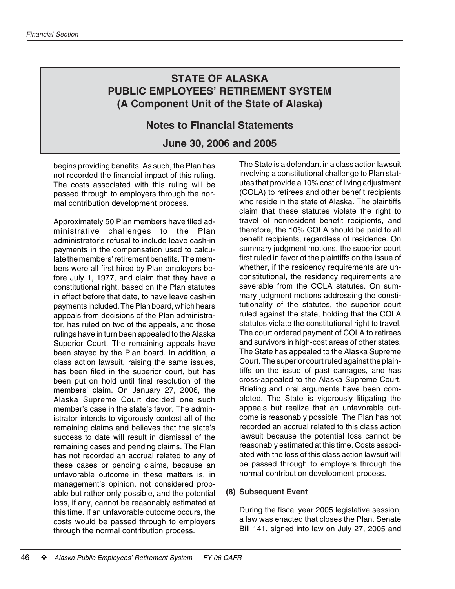### **Notes to Financial Statements**

#### **June 30, 2006 and 2005**

begins providing benefits. As such, the Plan has not recorded the financial impact of this ruling. The costs associated with this ruling will be passed through to employers through the normal contribution development process.

Approximately 50 Plan members have filed administrative challenges to the Plan administrator's refusal to include leave cash-in payments in the compensation used to calculate the members' retirement benefits. The members were all first hired by Plan employers before July 1, 1977, and claim that they have a constitutional right, based on the Plan statutes in effect before that date, to have leave cash-in payments included. The Plan board, which hears appeals from decisions of the Plan administrator, has ruled on two of the appeals, and those rulings have in turn been appealed to the Alaska Superior Court. The remaining appeals have been stayed by the Plan board. In addition, a class action lawsuit, raising the same issues, has been filed in the superior court, but has been put on hold until final resolution of the members' claim. On January 27, 2006, the Alaska Supreme Court decided one such member's case in the state's favor. The administrator intends to vigorously contest all of the remaining claims and believes that the state's success to date will result in dismissal of the remaining cases and pending claims. The Plan has not recorded an accrual related to any of these cases or pending claims, because an unfavorable outcome in these matters is, in management's opinion, not considered probable but rather only possible, and the potential loss, if any, cannot be reasonably estimated at this time. If an unfavorable outcome occurs, the costs would be passed through to employers through the normal contribution process.

The State is a defendant in a class action lawsuit involving a constitutional challenge to Plan statutes that provide a 10% cost of living adjustment (COLA) to retirees and other benefit recipients who reside in the state of Alaska. The plaintiffs claim that these statutes violate the right to travel of nonresident benefit recipients, and therefore, the 10% COLA should be paid to all benefit recipients, regardless of residence. On summary judgment motions, the superior court first ruled in favor of the plaintiffs on the issue of whether, if the residency requirements are unconstitutional, the residency requirements are severable from the COLA statutes. On summary judgment motions addressing the constitutionality of the statutes, the superior court ruled against the state, holding that the COLA statutes violate the constitutional right to travel. The court ordered payment of COLA to retirees and survivors in high-cost areas of other states. The State has appealed to the Alaska Supreme Court. The superior court ruled against the plaintiffs on the issue of past damages, and has cross-appealed to the Alaska Supreme Court. Briefing and oral arguments have been completed. The State is vigorously litigating the appeals but realize that an unfavorable outcome is reasonably possible. The Plan has not recorded an accrual related to this class action lawsuit because the potential loss cannot be reasonably estimated at this time. Costs associated with the loss of this class action lawsuit will be passed through to employers through the normal contribution development process.

#### **(8) Subsequent Event**

During the fiscal year 2005 legislative session, a law was enacted that closes the Plan. Senate Bill 141, signed into law on July 27, 2005 and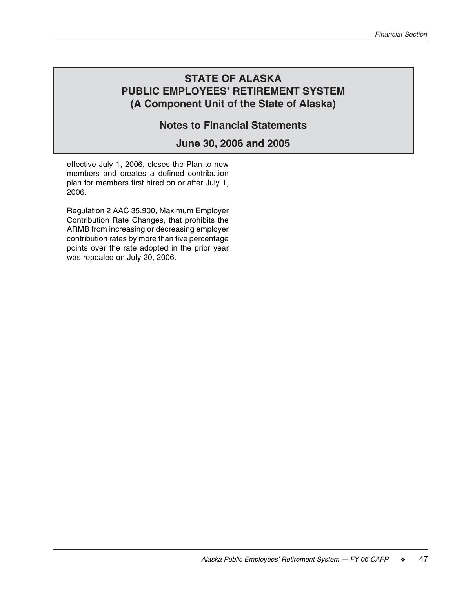### **Notes to Financial Statements**

#### **June 30, 2006 and 2005**

effective July 1, 2006, closes the Plan to new members and creates a defined contribution plan for members first hired on or after July 1, 2006.

Regulation 2 AAC 35.900, Maximum Employer Contribution Rate Changes, that prohibits the ARMB from increasing or decreasing employer contribution rates by more than five percentage points over the rate adopted in the prior year was repealed on July 20, 2006.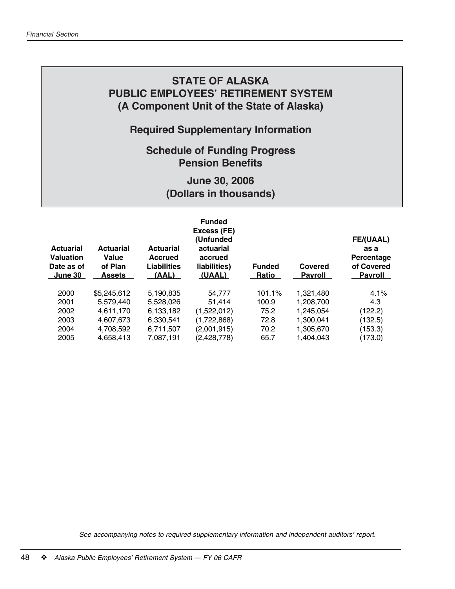### **Required Supplementary Information**

# **Schedule of Funding Progress Pension Benefits**

# **June 30, 2006 (Dollars in thousands)**

| <b>Actuarial</b><br><b>Valuation</b><br>Date as of<br>June 30 | <b>Actuarial</b><br><b>Value</b><br>of Plan<br>Assets | <b>Actuarial</b><br><b>Accrued</b><br><b>Liabilities</b><br>(AAL) | <b>Funded</b><br>Excess (FE)<br>(Unfunded<br>actuarial<br>accrued<br>liabilities)<br>(UAAL) | <b>Funded</b><br>Ratio | Covered<br><b>Payroll</b> | <b>FE/(UAAL)</b><br>as a<br>Percentage<br>of Covered<br><b>Payroll</b> |
|---------------------------------------------------------------|-------------------------------------------------------|-------------------------------------------------------------------|---------------------------------------------------------------------------------------------|------------------------|---------------------------|------------------------------------------------------------------------|
| 2000                                                          | \$5,245,612                                           | 5,190,835                                                         | 54.777                                                                                      | 101.1%                 | 1.321.480                 | 4.1%                                                                   |
| 2001                                                          | 5.579.440                                             | 5.528.026                                                         | 51.414                                                                                      | 100.9                  | 1.208.700                 | 4.3                                                                    |
| 2002                                                          | 4,611,170                                             | 6,133,182                                                         | (1,522,012)                                                                                 | 75.2                   | 1.245.054                 | (122.2)                                                                |
| 2003                                                          | 4.607.673                                             | 6.330.541                                                         | (1,722,868)                                                                                 | 72.8                   | 1.300.041                 | (132.5)                                                                |
| 2004                                                          | 4,708,592                                             | 6.711.507                                                         | (2,001,915)                                                                                 | 70.2                   | 1,305,670                 | (153.3)                                                                |
| 2005                                                          | 4.658.413                                             | 7.087.191                                                         | (2,428,778)                                                                                 | 65.7                   | 1.404.043                 | (173.0)                                                                |

See accompanying notes to required supplementary information and independent auditors' report.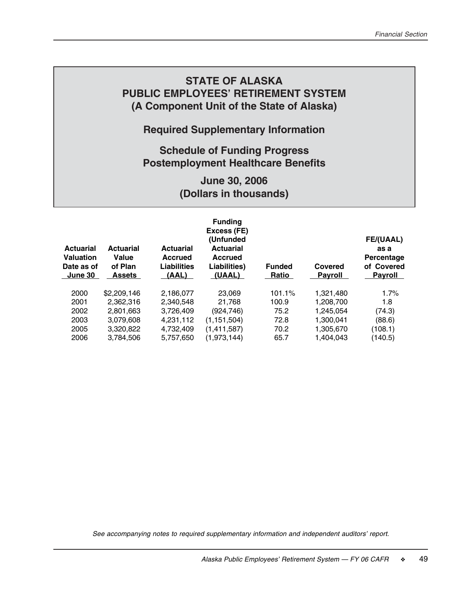### **Required Supplementary Information**

### **Schedule of Funding Progress Postemployment Healthcare Benefits**

# **June 30, 2006 (Dollars in thousands)**

| <b>Actuarial</b><br><b>Valuation</b><br>Date as of<br>June 30 | <b>Actuarial</b><br><b>Value</b><br>of Plan<br><b>Assets</b> | <b>Actuarial</b><br>Accrued<br><b>Liabilities</b><br>(AAL) | <b>Funding</b><br>Excess (FE)<br>(Unfunded<br><b>Actuarial</b><br><b>Accrued</b><br><b>Liabilities)</b><br>(UAAL) | <b>Funded</b><br>Ratio | Covered<br><b>Payroll</b> | FE/(UAAL)<br>as a<br>Percentage<br>of Covered<br><b>Payroll</b> |
|---------------------------------------------------------------|--------------------------------------------------------------|------------------------------------------------------------|-------------------------------------------------------------------------------------------------------------------|------------------------|---------------------------|-----------------------------------------------------------------|
| 2000                                                          | \$2,209,146                                                  | 2.186.077                                                  | 23,069                                                                                                            | 101.1%                 | 1.321.480                 | 1.7%                                                            |
| 2001                                                          | 2.362.316                                                    | 2.340.548                                                  | 21.768                                                                                                            | 100.9                  | 1.208.700                 | 1.8                                                             |
| 2002                                                          | 2,801,663                                                    | 3,726,409                                                  | (924, 746)                                                                                                        | 75.2                   | 1,245,054                 | (74.3)                                                          |
| 2003                                                          | 3.079.608                                                    | 4,231,112                                                  | (1, 151, 504)                                                                                                     | 72.8                   | 1.300.041                 | (88.6)                                                          |
| 2005                                                          | 3,320,822                                                    | 4,732,409                                                  | (1,411,587)                                                                                                       | 70.2                   | 1,305,670                 | (108.1)                                                         |
| 2006                                                          | 3,784,506                                                    | 5,757,650                                                  | (1.973.144)                                                                                                       | 65.7                   | 1,404,043                 | (140.5)                                                         |

See accompanying notes to required supplementary information and independent auditors' report.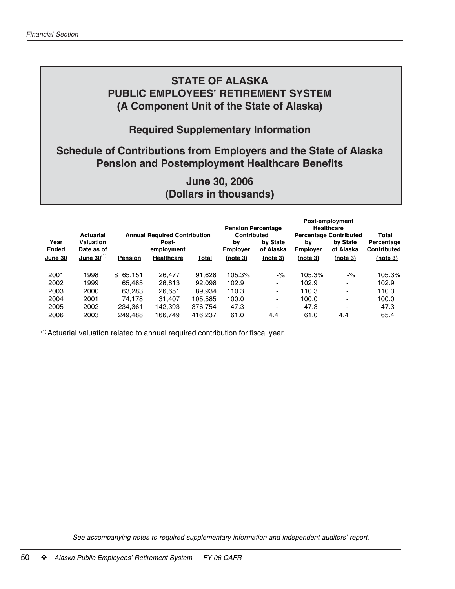### **Required Supplementary Information**

# **Schedule of Contributions from Employers and the State of Alaska Pension and Postemployment Healthcare Benefits**

# **June 30, 2006 (Dollars in thousands)**

|                      | <b>Actuarial</b>        | <b>Annual Required Contribution</b> |                     |         | <b>Pension Percentage</b><br><b>Contributed</b> |                          | Post-employment<br><b>Healthcare</b><br><b>Percentage Contributed</b> |                          | Total                            |  |
|----------------------|-------------------------|-------------------------------------|---------------------|---------|-------------------------------------------------|--------------------------|-----------------------------------------------------------------------|--------------------------|----------------------------------|--|
| Year<br><b>Ended</b> | Valuation<br>Date as of |                                     | Post-<br>employment |         | by<br><b>Employer</b>                           | by State<br>of Alaska    | by<br><b>Employer</b>                                                 | by State<br>of Alaska    | Percentage<br><b>Contributed</b> |  |
| June 30              | June $30^{(1)}$         | <b>Pension</b>                      | <b>Healthcare</b>   | Total   | (note 3)                                        | (note 3)                 | (note 3)                                                              | (note 3)                 | (note 3)                         |  |
| 2001                 | 1998                    | \$65,151                            | 26.477              | 91.628  | 105.3%                                          | $-$ %                    | 105.3%                                                                | -%                       | 105.3%                           |  |
| 2002                 | 1999                    | 65.485                              | 26,613              | 92.098  | 102.9                                           | ٠                        | 102.9                                                                 | $\overline{\phantom{0}}$ | 102.9                            |  |
| 2003                 | 2000                    | 63.283                              | 26.651              | 89.934  | 110.3                                           | ۰                        | 110.3                                                                 | $\overline{\phantom{a}}$ | 110.3                            |  |
| 2004                 | 2001                    | 74.178                              | 31.407              | 105,585 | 100.0                                           | ۰                        | 100.0                                                                 | $\overline{\phantom{0}}$ | 100.0                            |  |
| 2005                 | 2002                    | 234.361                             | 142.393             | 376.754 | 47.3                                            | $\overline{\phantom{0}}$ | 47.3                                                                  | $\overline{\phantom{a}}$ | 47.3                             |  |
| 2006                 | 2003                    | 249.488                             | 166.749             | 416.237 | 61.0                                            | 4.4                      | 61.0                                                                  | 4.4                      | 65.4                             |  |

(1) Actuarial valuation related to annual required contribution for fiscal year.

See accompanying notes to required supplementary information and independent auditors' report.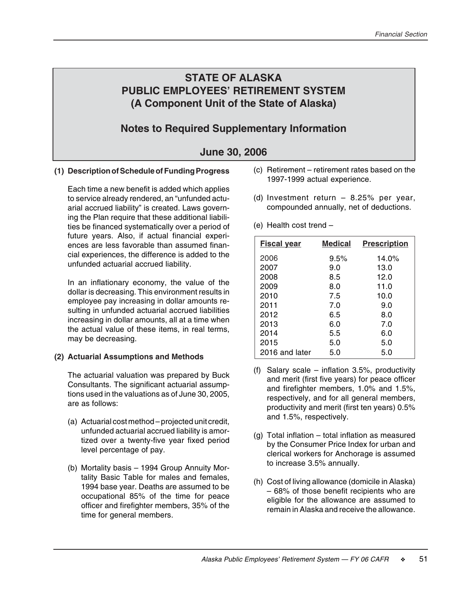# **Notes to Required Supplementary Information**

#### **June 30, 2006**

#### **(1) Description of Schedule of Funding Progress**

Each time a new benefit is added which applies to service already rendered, an "unfunded actuarial accrued liability" is created. Laws governing the Plan require that these additional liabilities be financed systematically over a period of future years. Also, if actual financial experiences are less favorable than assumed financial experiences, the difference is added to the unfunded actuarial accrued liability.

In an inflationary economy, the value of the dollar is decreasing. This environment results in employee pay increasing in dollar amounts resulting in unfunded actuarial accrued liabilities increasing in dollar amounts, all at a time when the actual value of these items, in real terms, may be decreasing.

#### **(2) Actuarial Assumptions and Methods**

The actuarial valuation was prepared by Buck Consultants. The significant actuarial assumptions used in the valuations as of June 30, 2005, are as follows:

- (a) Actuarial cost method projected unit credit, unfunded actuarial accrued liability is amortized over a twenty-five year fixed period level percentage of pay.
- (b) Mortality basis 1994 Group Annuity Mortality Basic Table for males and females, 1994 base year. Deaths are assumed to be occupational 85% of the time for peace officer and firefighter members, 35% of the time for general members.
- (c) Retirement retirement rates based on the 1997-1999 actual experience.
- (d) Investment return 8.25% per year, compounded annually, net of deductions.
- (e) Health cost trend –

| <b>Fiscal year</b> | <b>Medical</b> | <b>Prescription</b> |
|--------------------|----------------|---------------------|
| 2006               | 9.5%           | 14.0%               |
| 2007               | 9.0            | 13.0                |
| 2008               | 8.5            | 12.0                |
| 2009               | 8.0            | 11.0                |
| 2010               | 7.5            | 10.0                |
| 2011               | 7.0            | 9.0                 |
| 2012               | 6.5            | 8.0                 |
| 2013               | 6.0            | 7.0                 |
| 2014               | 5.5            | 6.0                 |
| 2015               | 5.0            | 5.0                 |
| 2016 and later     | 5.0            | 5.0                 |

- (f) Salary scale inflation 3.5%, productivity and merit (first five years) for peace officer and firefighter members, 1.0% and 1.5%, respectively, and for all general members, productivity and merit (first ten years) 0.5% and 1.5%, respectively.
- (g) Total inflation total inflation as measured by the Consumer Price Index for urban and clerical workers for Anchorage is assumed to increase 3.5% annually.
- (h) Cost of living allowance (domicile in Alaska) – 68% of those benefit recipients who are eligible for the allowance are assumed to remain in Alaska and receive the allowance.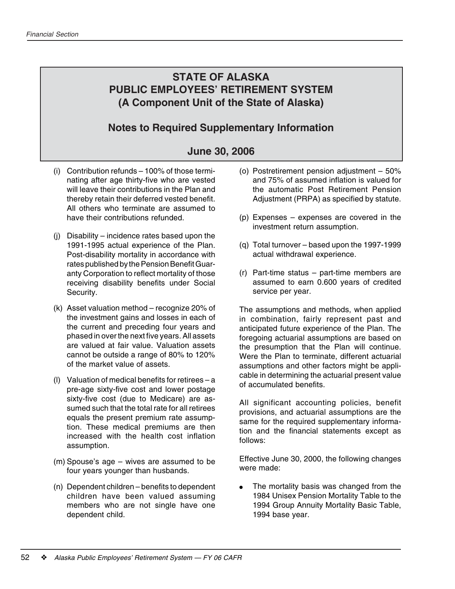# **Notes to Required Supplementary Information**

### **June 30, 2006**

- (i) Contribution refunds 100% of those terminating after age thirty-five who are vested will leave their contributions in the Plan and thereby retain their deferred vested benefit. All others who terminate are assumed to have their contributions refunded.
- (j) Disability incidence rates based upon the 1991-1995 actual experience of the Plan. Post-disability mortality in accordance with rates published by the Pension Benefit Guaranty Corporation to reflect mortality of those receiving disability benefits under Social Security.
- (k) Asset valuation method recognize 20% of the investment gains and losses in each of the current and preceding four years and phased in over the next five years. All assets are valued at fair value. Valuation assets cannot be outside a range of 80% to 120% of the market value of assets.
- (l) Valuation of medical benefits for retirees a pre-age sixty-five cost and lower postage sixty-five cost (due to Medicare) are assumed such that the total rate for all retirees equals the present premium rate assumption. These medical premiums are then increased with the health cost inflation assumption.
- (m) Spouse's age wives are assumed to be four years younger than husbands.
- (n) Dependent children benefits to dependent children have been valued assuming members who are not single have one dependent child.
- (o) Postretirement pension adjustment 50% and 75% of assumed inflation is valued for the automatic Post Retirement Pension Adjustment (PRPA) as specified by statute.
- (p) Expenses expenses are covered in the investment return assumption.
- (q) Total turnover based upon the 1997-1999 actual withdrawal experience.
- (r) Part-time status part-time members are assumed to earn 0.600 years of credited service per year.

The assumptions and methods, when applied in combination, fairly represent past and anticipated future experience of the Plan. The foregoing actuarial assumptions are based on the presumption that the Plan will continue. Were the Plan to terminate, different actuarial assumptions and other factors might be applicable in determining the actuarial present value of accumulated benefits.

All significant accounting policies, benefit provisions, and actuarial assumptions are the same for the required supplementary information and the financial statements except as follows:

Effective June 30, 2000, the following changes were made:

The mortality basis was changed from the 1984 Unisex Pension Mortality Table to the 1994 Group Annuity Mortality Basic Table, 1994 base year.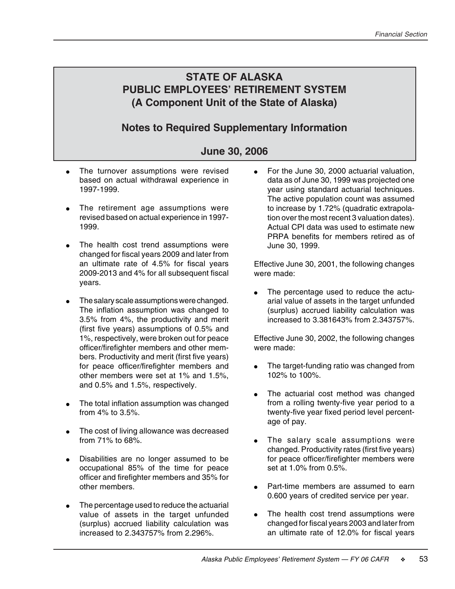# **Notes to Required Supplementary Information**

#### **June 30, 2006**

- The turnover assumptions were revised based on actual withdrawal experience in 1997-1999.
- The retirement age assumptions were revised based on actual experience in 1997- 1999.
- The health cost trend assumptions were changed for fiscal years 2009 and later from an ultimate rate of 4.5% for fiscal years 2009-2013 and 4% for all subsequent fiscal years.
- The salary scale assumptions were changed. The inflation assumption was changed to 3.5% from 4%, the productivity and merit (first five years) assumptions of 0.5% and 1%, respectively, were broken out for peace officer/firefighter members and other members. Productivity and merit (first five years) for peace officer/firefighter members and other members were set at 1% and 1.5%, and 0.5% and 1.5%, respectively.
- The total inflation assumption was changed from 4% to 3.5%.
- The cost of living allowance was decreased from 71% to 68%.
- Disabilities are no longer assumed to be occupational 85% of the time for peace officer and firefighter members and 35% for other members.
- The percentage used to reduce the actuarial value of assets in the target unfunded (surplus) accrued liability calculation was increased to 2.343757% from 2.296%.

For the June 30, 2000 actuarial valuation, data as of June 30, 1999 was projected one year using standard actuarial techniques. The active population count was assumed to increase by 1.72% (quadratic extrapolation over the most recent 3 valuation dates). Actual CPI data was used to estimate new PRPA benefits for members retired as of June 30, 1999.

Effective June 30, 2001, the following changes were made:

● The percentage used to reduce the actuarial value of assets in the target unfunded (surplus) accrued liability calculation was increased to 3.381643% from 2.343757%.

Effective June 30, 2002, the following changes were made:

- The target-funding ratio was changed from 102% to 100%.
- The actuarial cost method was changed from a rolling twenty-five year period to a twenty-five year fixed period level percentage of pay.
- The salary scale assumptions were changed. Productivity rates (first five years) for peace officer/firefighter members were set at 1.0% from 0.5%.
- Part-time members are assumed to earn 0.600 years of credited service per year.
- The health cost trend assumptions were changed for fiscal years 2003 and later from an ultimate rate of 12.0% for fiscal years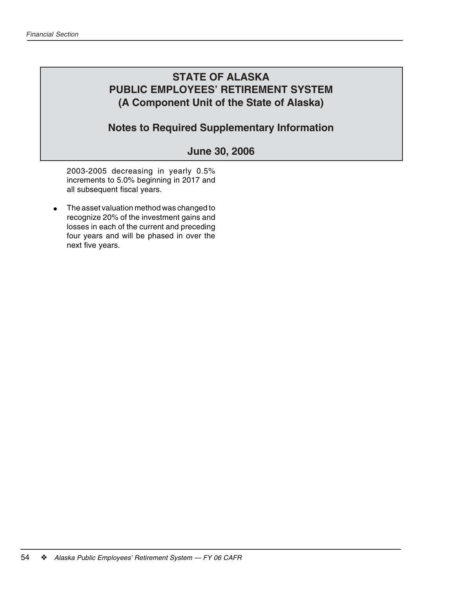# **Notes to Required Supplementary Information**

### **June 30, 2006**

2003-2005 decreasing in yearly 0.5% increments to 5.0% beginning in 2017 and all subsequent fiscal years.

● The asset valuation method was changed to recognize 20% of the investment gains and losses in each of the current and preceding four years and will be phased in over the next five years.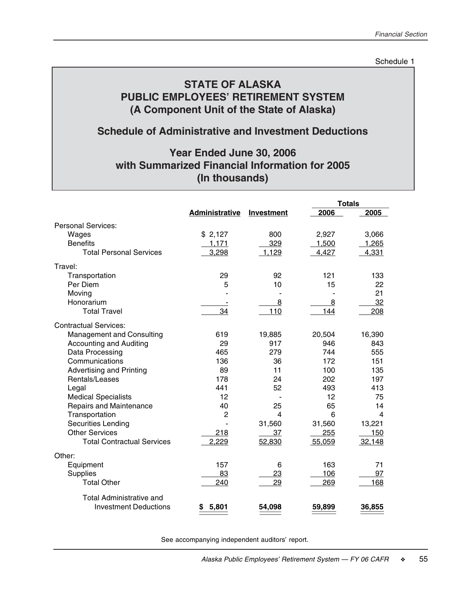Schedule 1

# **STATE OF ALASKA PUBLIC EMPLOYEES' RETIREMENT SYSTEM (A Component Unit of the State of Alaska)**

# **Schedule of Administrative and Investment Deductions**

# **Year Ended June 30, 2006 with Summarized Financial Information for 2005 (In thousands)**

|                                   |                       |                   | <b>Totals</b> |        |  |
|-----------------------------------|-----------------------|-------------------|---------------|--------|--|
|                                   | <b>Administrative</b> | <b>Investment</b> | 2006          | 2005   |  |
| <b>Personal Services:</b>         |                       |                   |               |        |  |
| Wages                             | \$2,127               | 800               | 2,927         | 3,066  |  |
| <b>Benefits</b>                   | 1,171                 | 329               | 1,500         | 1,265  |  |
| <b>Total Personal Services</b>    | 3,298                 | 1,129             | 4,427         | 4,331  |  |
| Travel:                           |                       |                   |               |        |  |
| Transportation                    | 29                    | 92                | 121           | 133    |  |
| Per Diem                          | 5                     | 10                | 15            | 22     |  |
| Moving                            |                       |                   |               | 21     |  |
| Honorarium                        |                       | 8                 | 8             | 32     |  |
| <b>Total Travel</b>               | 34                    | 110               | 144           | 208    |  |
| <b>Contractual Services:</b>      |                       |                   |               |        |  |
| <b>Management and Consulting</b>  | 619                   | 19,885            | 20,504        | 16,390 |  |
| <b>Accounting and Auditing</b>    | 29                    | 917               | 946           | 843    |  |
| Data Processing                   | 465                   | 279               | 744           | 555    |  |
| Communications                    | 136                   | 36                | 172           | 151    |  |
| <b>Advertising and Printing</b>   | 89                    | 11                | 100           | 135    |  |
| Rentals/Leases                    | 178                   | 24                | 202           | 197    |  |
| Legal                             | 441                   | 52                | 493           | 413    |  |
| <b>Medical Specialists</b>        | 12                    |                   | 12            | 75     |  |
| <b>Repairs and Maintenance</b>    | 40                    | 25                | 65            | 14     |  |
| Transportation                    | 2                     | 4                 | 6             | 4      |  |
| <b>Securities Lending</b>         |                       | 31,560            | 31,560        | 13,221 |  |
| <b>Other Services</b>             | 218                   | 37                | 255           | 150    |  |
| <b>Total Contractual Services</b> | 2,229                 | 52,830            | 55,059        | 32,148 |  |
| Other:                            |                       |                   |               |        |  |
| Equipment                         | 157                   | 6                 | 163           | 71     |  |
| <b>Supplies</b>                   | 83                    | 23                | 106           | 97     |  |
| <b>Total Other</b>                | 240                   | 29                | 269           | 168    |  |
| <b>Total Administrative and</b>   |                       |                   |               |        |  |
| <b>Investment Deductions</b>      | 5,801<br>\$           | 54,098            | 59,899        | 36,855 |  |

See accompanying independent auditors' report.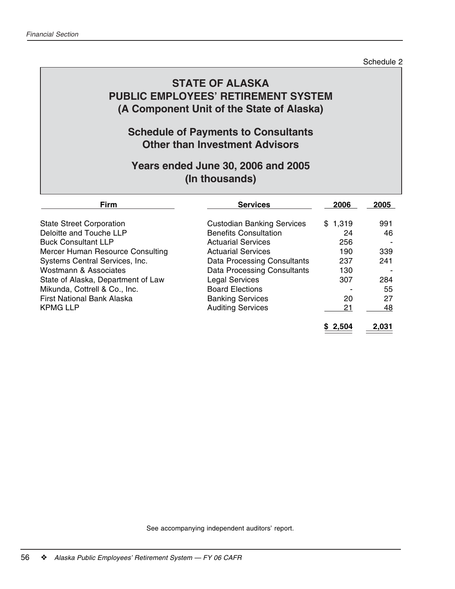Schedule 2

# **STATE OF ALASKA PUBLIC EMPLOYEES' RETIREMENT SYSTEM (A Component Unit of the State of Alaska)**

# **Schedule of Payments to Consultants Other than Investment Advisors**

# **Years ended June 30, 2006 and 2005 (In thousands)**

| Firm                               | <b>Services</b>                    | 2006    | 2005  |
|------------------------------------|------------------------------------|---------|-------|
| <b>State Street Corporation</b>    | <b>Custodian Banking Services</b>  | \$1,319 | 991   |
| Deloitte and Touche LLP            | <b>Benefits Consultation</b>       | 24      | 46    |
| <b>Buck Consultant LLP</b>         | <b>Actuarial Services</b>          | 256     |       |
| Mercer Human Resource Consulting   | <b>Actuarial Services</b>          | 190     | 339   |
| Systems Central Services, Inc.     | Data Processing Consultants        | 237     | 241   |
| Wostmann & Associates              | <b>Data Processing Consultants</b> | 130     |       |
| State of Alaska, Department of Law | <b>Legal Services</b>              | 307     | 284   |
| Mikunda, Cottrell & Co., Inc.      | <b>Board Elections</b>             |         | 55    |
| First National Bank Alaska         | <b>Banking Services</b>            | 20      | 27    |
| <b>KPMG LLP</b>                    | <b>Auditing Services</b>           | 21      | 48    |
|                                    |                                    | 2.504   | 2.031 |

See accompanying independent auditors' report.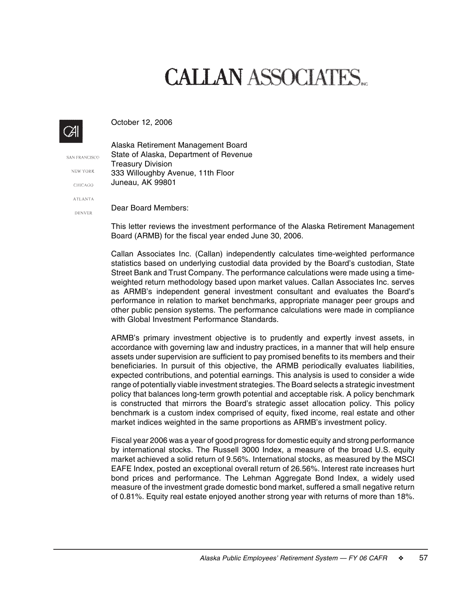# **CALLAN ASSOCIATES.**



October 12, 2006

**SAN FRANCISCO** NEW YORK **CHICAGO ATLANTA** DENVER

Alaska Retirement Management Board State of Alaska, Department of Revenue Treasury Division 333 Willoughby Avenue, 11th Floor Juneau, AK 99801

Dear Board Members:

This letter reviews the investment performance of the Alaska Retirement Management Board (ARMB) for the fiscal year ended June 30, 2006.

Callan Associates Inc. (Callan) independently calculates time-weighted performance statistics based on underlying custodial data provided by the Board's custodian, State Street Bank and Trust Company. The performance calculations were made using a timeweighted return methodology based upon market values. Callan Associates Inc. serves as ARMB's independent general investment consultant and evaluates the Board's performance in relation to market benchmarks, appropriate manager peer groups and other public pension systems. The performance calculations were made in compliance with Global Investment Performance Standards.

ARMB's primary investment objective is to prudently and expertly invest assets, in accordance with governing law and industry practices, in a manner that will help ensure assets under supervision are sufficient to pay promised benefits to its members and their beneficiaries. In pursuit of this objective, the ARMB periodically evaluates liabilities, expected contributions, and potential earnings. This analysis is used to consider a wide range of potentially viable investment strategies. The Board selects a strategic investment policy that balances long-term growth potential and acceptable risk. A policy benchmark is constructed that mirrors the Board's strategic asset allocation policy. This policy benchmark is a custom index comprised of equity, fixed income, real estate and other market indices weighted in the same proportions as ARMB's investment policy.

Fiscal year 2006 was a year of good progress for domestic equity and strong performance by international stocks. The Russell 3000 Index, a measure of the broad U.S. equity market achieved a solid return of 9.56%. International stocks, as measured by the MSCI EAFE Index, posted an exceptional overall return of 26.56%. Interest rate increases hurt bond prices and performance. The Lehman Aggregate Bond Index, a widely used measure of the investment grade domestic bond market, suffered a small negative return of 0.81%. Equity real estate enjoyed another strong year with returns of more than 18%.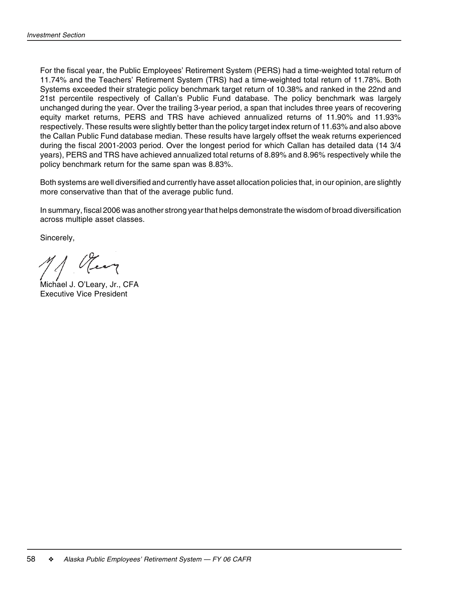For the fiscal year, the Public Employees' Retirement System (PERS) had a time-weighted total return of 11.74% and the Teachers' Retirement System (TRS) had a time-weighted total return of 11.78%. Both Systems exceeded their strategic policy benchmark target return of 10.38% and ranked in the 22nd and 21st percentile respectively of Callan's Public Fund database. The policy benchmark was largely unchanged during the year. Over the trailing 3-year period, a span that includes three years of recovering equity market returns, PERS and TRS have achieved annualized returns of 11.90% and 11.93% respectively. These results were slightly better than the policy target index return of 11.63% and also above the Callan Public Fund database median. These results have largely offset the weak returns experienced during the fiscal 2001-2003 period. Over the longest period for which Callan has detailed data (14 3/4 years), PERS and TRS have achieved annualized total returns of 8.89% and 8.96% respectively while the policy benchmark return for the same span was 8.83%.

Both systems are well diversified and currently have asset allocation policies that, in our opinion, are slightly more conservative than that of the average public fund.

In summary, fiscal 2006 was another strong year that helps demonstrate the wisdom of broad diversification across multiple asset classes.

Sincerely,

Very

Michael J. O'Leary, Jr., CFA Executive Vice President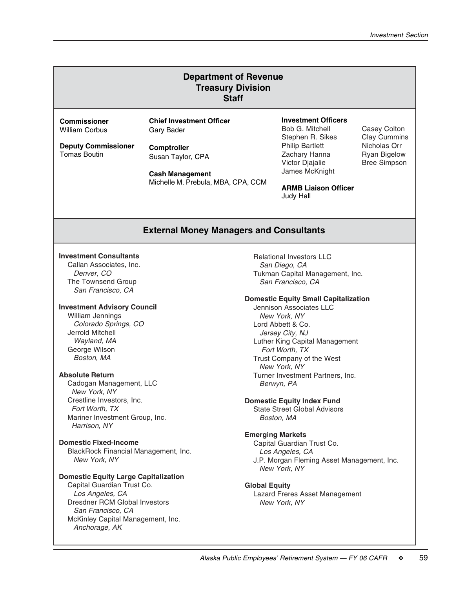#### **Department of Revenue Treasury Division Staff**

**Commissioner** William Corbus

**Chief Investment Officer** Gary Bader

**Deputy Commissioner** Tomas Boutin

**Comptroller** Susan Taylor, CPA

**Cash Management** Michelle M. Prebula, MBA, CPA, CCM **Investment Officers**

Bob G. Mitchell Casey Colton Stephen R. Sikes Clay Cummins Philip Bartlett Nicholas Orr Zachary Hanna Ryan Bigelow Victor Diajalie Bree Simpson James McKnight

**ARMB Liaison Officer** Judy Hall

#### **External Money Managers and Consultants**

#### **Investment Consultants**

 Callan Associates, Inc. Denver, CO The Townsend Group San Francisco, CA

#### **Investment Advisory Council**

 William Jennings Colorado Springs, CO Jerrold Mitchell Wayland, MA George Wilson Boston, MA

#### **Absolute Return**

 Cadogan Management, LLC New York, NY Crestline Investors, Inc. Fort Worth, TX Mariner Investment Group, Inc. Harrison, NY

#### **Domestic Fixed-Income**

 BlackRock Financial Management, Inc. New York, NY

#### **Domestic Equity Large Capitalization**

 Capital Guardian Trust Co. Los Angeles, CA Dresdner RCM Global Investors San Francisco, CA McKinley Capital Management, Inc. Anchorage, AK

 Relational Investors LLC San Diego, CA Tukman Capital Management, Inc. San Francisco, CA

#### **Domestic Equity Small Capitalization**

 Jennison Associates LLC New York, NY Lord Abbett & Co. Jersey City, NJ Luther King Capital Management Fort Worth, TX Trust Company of the West New York, NY Turner Investment Partners, Inc. Berwyn, PA

#### **Domestic Equity Index Fund**

 State Street Global Advisors Boston, MA

#### **Emerging Markets**

 Capital Guardian Trust Co. Los Angeles, CA J.P. Morgan Fleming Asset Management, Inc. New York, NY

#### **Global Equity**

 Lazard Freres Asset Management New York, NY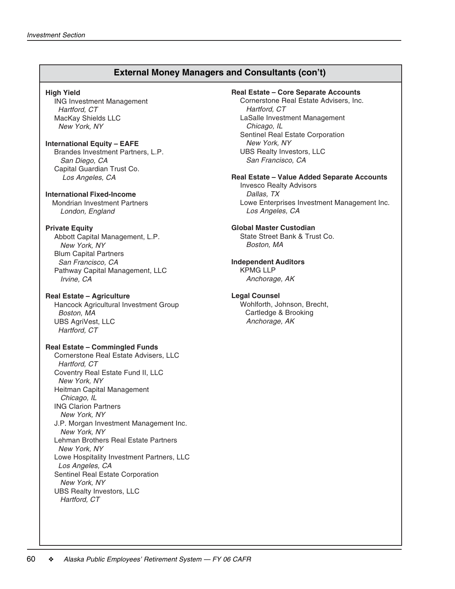#### **External Money Managers and Consultants (con't)**

#### **High Yield**

 ING Investment Management Hartford, CT MacKay Shields LLC New York, NY

#### **International Equity – EAFE**

 Brandes Investment Partners, L.P. San Diego, CA Capital Guardian Trust Co. Los Angeles, CA

#### **International Fixed-Income**

 Mondrian Investment Partners London, England

#### **Private Equity**

 Abbott Capital Management, L.P. New York, NY Blum Capital Partners San Francisco, CA Pathway Capital Management, LLC Irvine, CA

**Real Estate – Agriculture** Hancock Agricultural Investment Group Boston, MA UBS AgriVest, LLC Hartford, CT

#### **Real Estate – Commingled Funds**

 Cornerstone Real Estate Advisers, LLC Hartford, CT Coventry Real Estate Fund II, LLC New York, NY Heitman Capital Management Chicago, IL ING Clarion Partners New York, NY J.P. Morgan Investment Management Inc. New York, NY Lehman Brothers Real Estate Partners New York, NY Lowe Hospitality Investment Partners, LLC Los Angeles, CA Sentinel Real Estate Corporation New York, NY UBS Realty Investors, LLC Hartford, CT

#### **Real Estate – Core Separate Accounts** Cornerstone Real Estate Advisers, Inc.

 Hartford, CT LaSalle Investment Management Chicago, IL Sentinel Real Estate Corporation New York, NY UBS Realty Investors, LLC San Francisco, CA

#### **Real Estate – Value Added Separate Accounts**

 Invesco Realty Advisors Dallas, TX Lowe Enterprises Investment Management Inc. Los Angeles, CA

#### **Global Master Custodian**

 State Street Bank & Trust Co. Boston, MA

#### **Independent Auditors** KPMG LLP

Anchorage, AK

#### **Legal Counsel**

 Wohlforth, Johnson, Brecht, Cartledge & Brooking Anchorage, AK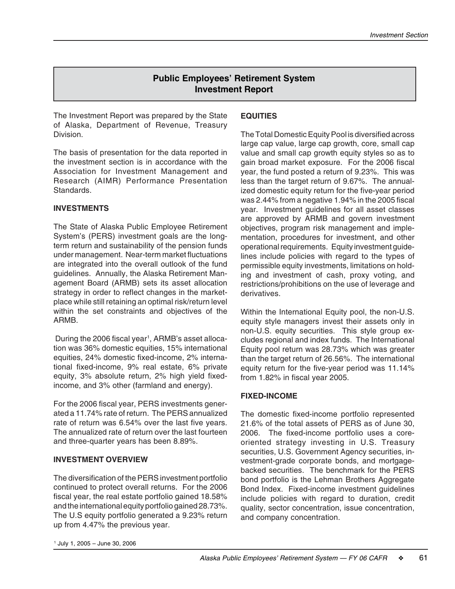#### **Public Employees' Retirement System Investment Report**

The Investment Report was prepared by the State of Alaska, Department of Revenue, Treasury Division.

The basis of presentation for the data reported in the investment section is in accordance with the Association for Investment Management and Research (AIMR) Performance Presentation Standards.

#### **INVESTMENTS**

The State of Alaska Public Employee Retirement System's (PERS) investment goals are the longterm return and sustainability of the pension funds under management. Near-term market fluctuations are integrated into the overall outlook of the fund guidelines. Annually, the Alaska Retirement Management Board (ARMB) sets its asset allocation strategy in order to reflect changes in the marketplace while still retaining an optimal risk/return level within the set constraints and objectives of the ARMB.

During the 2006 fiscal year<sup>1</sup>, ARMB's asset allocation was 36% domestic equities, 15% international equities, 24% domestic fixed-income, 2% international fixed-income, 9% real estate, 6% private equity, 3% absolute return, 2% high yield fixedincome, and 3% other (farmland and energy).

For the 2006 fiscal year, PERS investments generated a 11.74% rate of return. The PERS annualized rate of return was 6.54% over the last five years. The annualized rate of return over the last fourteen and three-quarter years has been 8.89%.

#### **INVESTMENT OVERVIEW**

The diversification of the PERS investment portfolio continued to protect overall returns. For the 2006 fiscal year, the real estate portfolio gained 18.58% and the international equity portfolio gained 28.73%. The U.S equity portfolio generated a 9.23% return up from 4.47% the previous year.

#### **EQUITIES**

The Total Domestic Equity Pool is diversified across large cap value, large cap growth, core, small cap value and small cap growth equity styles so as to gain broad market exposure. For the 2006 fiscal year, the fund posted a return of 9.23%. This was less than the target return of 9.67%. The annualized domestic equity return for the five-year period was 2.44% from a negative 1.94% in the 2005 fiscal year. Investment guidelines for all asset classes are approved by ARMB and govern investment objectives, program risk management and implementation, procedures for investment, and other operational requirements. Equity investment guidelines include policies with regard to the types of permissible equity investments, limitations on holding and investment of cash, proxy voting, and restrictions/prohibitions on the use of leverage and derivatives.

Within the International Equity pool, the non-U.S. equity style managers invest their assets only in non-U.S. equity securities. This style group excludes regional and index funds. The International Equity pool return was 28.73% which was greater than the target return of 26.56%. The international equity return for the five-year period was 11.14% from 1.82% in fiscal year 2005.

#### **FIXED-INCOME**

The domestic fixed-income portfolio represented 21.6% of the total assets of PERS as of June 30, 2006. The fixed-income portfolio uses a coreoriented strategy investing in U.S. Treasury securities, U.S. Government Agency securities, investment-grade corporate bonds, and mortgagebacked securities. The benchmark for the PERS bond portfolio is the Lehman Brothers Aggregate Bond Index. Fixed-income investment guidelines include policies with regard to duration, credit quality, sector concentration, issue concentration, and company concentration.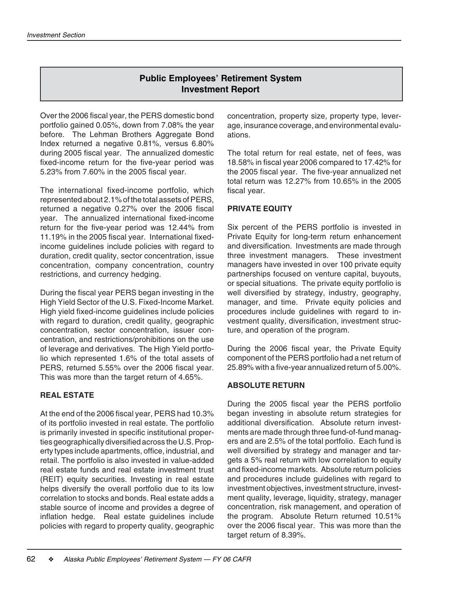#### **Public Employees' Retirement System Investment Report**

Over the 2006 fiscal year, the PERS domestic bond portfolio gained 0.05%, down from 7.08% the year before. The Lehman Brothers Aggregate Bond Index returned a negative 0.81%, versus 6.80% during 2005 fiscal year. The annualized domestic fixed-income return for the five-year period was 5.23% from 7.60% in the 2005 fiscal year.

The international fixed-income portfolio, which represented about 2.1% of the total assets of PERS, returned a negative 0.27% over the 2006 fiscal year. The annualized international fixed-income return for the five-year period was 12.44% from 11.19% in the 2005 fiscal year. International fixedincome guidelines include policies with regard to duration, credit quality, sector concentration, issue concentration, company concentration, country restrictions, and currency hedging.

During the fiscal year PERS began investing in the High Yield Sector of the U.S. Fixed-Income Market. High yield fixed-income guidelines include policies with regard to duration, credit quality, geographic concentration, sector concentration, issuer concentration, and restrictions/prohibitions on the use of leverage and derivatives. The High Yield portfolio which represented 1.6% of the total assets of PERS, returned 5.55% over the 2006 fiscal year. This was more than the target return of 4.65%.

#### **REAL ESTATE**

At the end of the 2006 fiscal year, PERS had 10.3% of its portfolio invested in real estate. The portfolio is primarily invested in specific institutional properties geographically diversified across the U.S. Property types include apartments, office, industrial, and retail. The portfolio is also invested in value-added real estate funds and real estate investment trust (REIT) equity securities. Investing in real estate helps diversify the overall portfolio due to its low correlation to stocks and bonds. Real estate adds a stable source of income and provides a degree of inflation hedge. Real estate guidelines include policies with regard to property quality, geographic concentration, property size, property type, leverage, insurance coverage, and environmental evaluations.

The total return for real estate, net of fees, was 18.58% in fiscal year 2006 compared to 17.42% for the 2005 fiscal year. The five-year annualized net total return was 12.27% from 10.65% in the 2005 fiscal year.

#### **PRIVATE EQUITY**

Six percent of the PERS portfolio is invested in Private Equity for long-term return enhancement and diversification. Investments are made through three investment managers. These investment managers have invested in over 100 private equity partnerships focused on venture capital, buyouts, or special situations. The private equity portfolio is well diversified by strategy, industry, geography, manager, and time. Private equity policies and procedures include guidelines with regard to investment quality, diversification, investment structure, and operation of the program.

During the 2006 fiscal year, the Private Equity component of the PERS portfolio had a net return of 25.89% with a five-year annualized return of 5.00%.

#### **ABSOLUTE RETURN**

During the 2005 fiscal year the PERS portfolio began investing in absolute return strategies for additional diversification. Absolute return investments are made through three fund-of-fund managers and are 2.5% of the total portfolio. Each fund is well diversified by strategy and manager and targets a 5% real return with low correlation to equity and fixed-income markets. Absolute return policies and procedures include guidelines with regard to investment objectives, investment structure, investment quality, leverage, liquidity, strategy, manager concentration, risk management, and operation of the program. Absolute Return returned 10.51% over the 2006 fiscal year. This was more than the target return of 8.39%.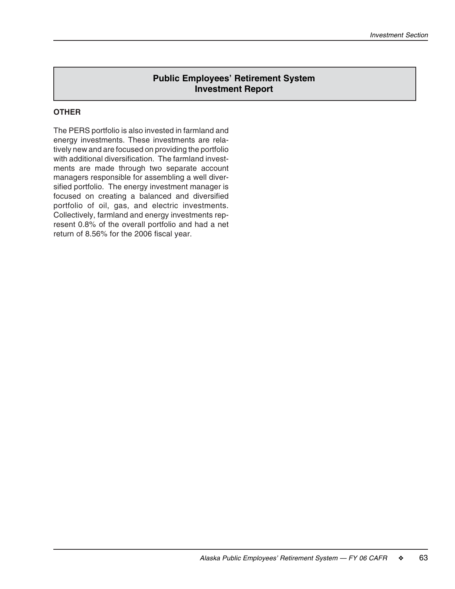#### **Public Employees' Retirement System Investment Report**

#### **OTHER**

The PERS portfolio is also invested in farmland and energy investments. These investments are relatively new and are focused on providing the portfolio with additional diversification. The farmland investments are made through two separate account managers responsible for assembling a well diversified portfolio. The energy investment manager is focused on creating a balanced and diversified portfolio of oil, gas, and electric investments. Collectively, farmland and energy investments represent 0.8% of the overall portfolio and had a net return of 8.56% for the 2006 fiscal year.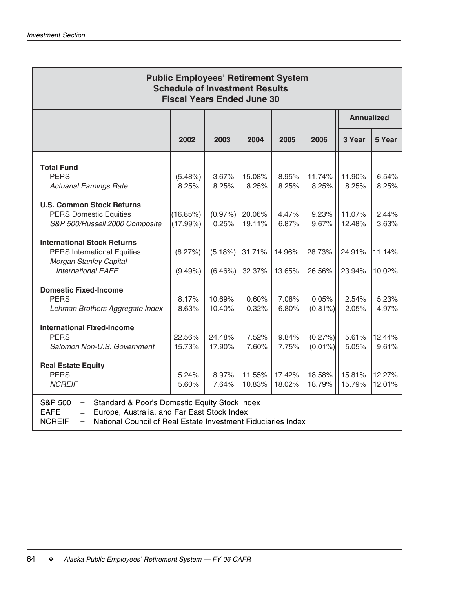| <b>Public Employees' Retirement System</b><br><b>Schedule of Investment Results</b><br><b>Fiscal Years Ended June 30</b>                                                                                                     |                       |                     |                  |                  |                          |                   |                  |  |
|------------------------------------------------------------------------------------------------------------------------------------------------------------------------------------------------------------------------------|-----------------------|---------------------|------------------|------------------|--------------------------|-------------------|------------------|--|
|                                                                                                                                                                                                                              |                       |                     |                  |                  |                          | <b>Annualized</b> |                  |  |
|                                                                                                                                                                                                                              | 2002                  | 2003                | 2004             | 2005             | 2006                     | 3 Year            | 5 Year           |  |
| <b>Total Fund</b><br><b>PERS</b><br><b>Actuarial Earnings Rate</b>                                                                                                                                                           | (5.48%)<br>8.25%      | 3.67%<br>8.25%      | 15.08%<br>8.25%  | 8.95%<br>8.25%   | 11.74%<br>8.25%          | 11.90%<br>8.25%   | 6.54%<br>8.25%   |  |
| <b>U.S. Common Stock Returns</b><br><b>PERS Domestic Equities</b><br>S&P 500/Russell 2000 Composite                                                                                                                          | (16.85%)<br>(17.99%)  | $(0.97\%)$<br>0.25% | 20.06%<br>19.11% | 4.47%<br>6.87%   | 9.23%<br>9.67%           | 11.07%<br>12.48%  | 2.44%<br>3.63%   |  |
| <b>International Stock Returns</b><br><b>PERS International Equities</b><br><b>Morgan Stanley Capital</b><br><b>International EAFE</b>                                                                                       | (8.27%)<br>$(9.49\%)$ | (5.18%)<br>(6.46%)  | 31.71%<br>32.37% | 14.96%<br>13.65% | 28.73%<br>26.56%         | 24.91%<br>23.94%  | 11.14%<br>10.02% |  |
| <b>Domestic Fixed-Income</b><br><b>PERS</b><br>Lehman Brothers Aggregate Index                                                                                                                                               | 8.17%<br>8.63%        | 10.69%<br>10.40%    | 0.60%<br>0.32%   | 7.08%<br>6.80%   | 0.05%<br>$(0.81\%)$      | 2.54%<br>2.05%    | 5.23%<br>4.97%   |  |
| <b>International Fixed-Income</b><br><b>PERS</b><br>Salomon Non-U.S. Government                                                                                                                                              | 22.56%<br>15.73%      | 24.48%<br>17.90%    | 7.52%<br>7.60%   | 9.84%<br>7.75%   | $(0.27\%)$<br>$(0.01\%)$ | 5.61%<br>5.05%    | 12.44%<br>9.61%  |  |
| <b>Real Estate Equity</b><br><b>PERS</b><br><b>NCREIF</b>                                                                                                                                                                    | 5.24%<br>5.60%        | 8.97%<br>7.64%      | 11.55%<br>10.83% | 17.42%<br>18.02% | 18.58%<br>18.79%         | 15.81%<br>15.79%  | 12.27%<br>12.01% |  |
| Standard & Poor's Domestic Equity Stock Index<br>S&P 500<br>$=$<br>Europe, Australia, and Far East Stock Index<br><b>EAFE</b><br>$=$<br>National Council of Real Estate Investment Fiduciaries Index<br><b>NCREIF</b><br>$=$ |                       |                     |                  |                  |                          |                   |                  |  |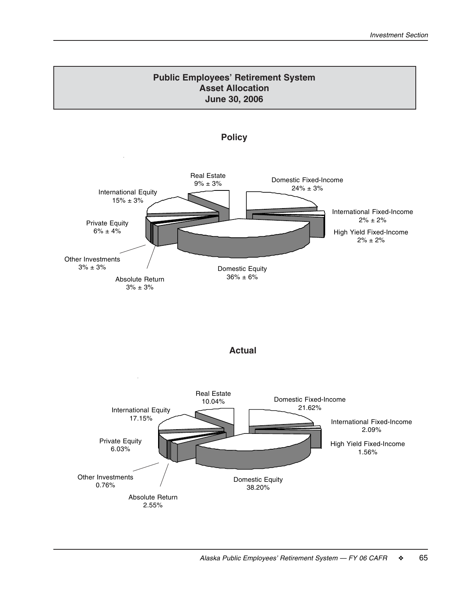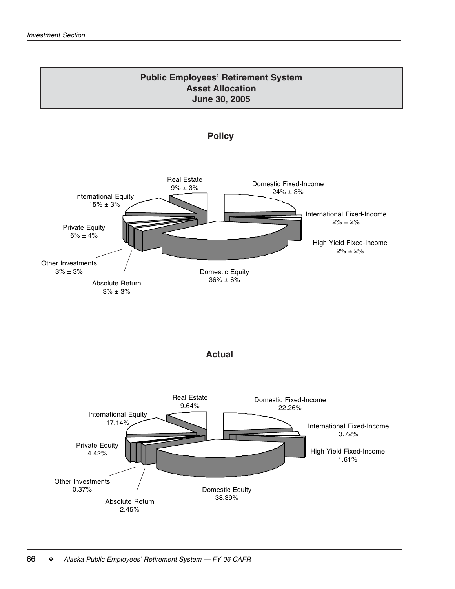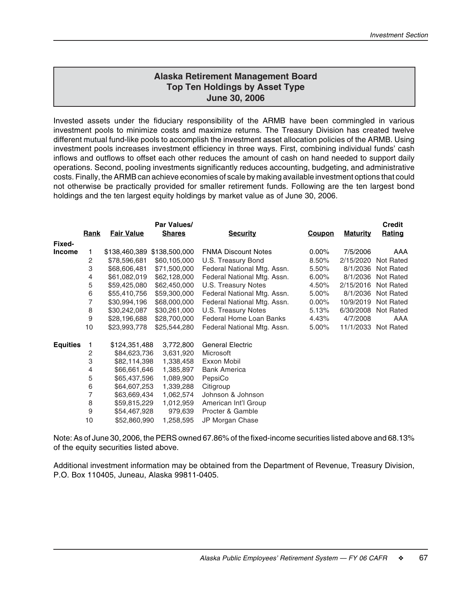#### **Alaska Retirement Management Board Top Ten Holdings by Asset Type June 30, 2006**

Invested assets under the fiduciary responsibility of the ARMB have been commingled in various investment pools to minimize costs and maximize returns. The Treasury Division has created twelve different mutual fund-like pools to accomplish the investment asset allocation policies of the ARMB. Using investment pools increases investment efficiency in three ways. First, combining individual funds' cash inflows and outflows to offset each other reduces the amount of cash on hand needed to support daily operations. Second, pooling investments significantly reduces accounting, budgeting, and administrative costs. Finally, the ARMB can achieve economies of scale by making available investment options that could not otherwise be practically provided for smaller retirement funds. Following are the ten largest bond holdings and the ten largest equity holdings by market value as of June 30, 2006.

|                  |                   | Par Values/   |                                                                                                                                                               |          |                 | <b>Credit</b>    |
|------------------|-------------------|---------------|---------------------------------------------------------------------------------------------------------------------------------------------------------------|----------|-----------------|------------------|
|                  | <b>Fair Value</b> | <b>Shares</b> | <b>Security</b>                                                                                                                                               | Coupon   | <b>Maturity</b> | Rating           |
|                  |                   |               |                                                                                                                                                               |          |                 |                  |
| 1                | \$138,460,389     | \$138,500,000 | <b>FNMA Discount Notes</b>                                                                                                                                    | $0.00\%$ | 7/5/2006        | AAA              |
| 2                | \$78,596,681      | \$60,105,000  | U.S. Treasury Bond                                                                                                                                            | 8.50%    | 2/15/2020       | <b>Not Rated</b> |
| 3                | \$68,606,481      | \$71,500,000  | Federal National Mtg. Assn.                                                                                                                                   | 5.50%    | 8/1/2036        | Not Rated        |
| 4                | \$61,082,019      | \$62,128,000  | Federal National Mtg. Assn.                                                                                                                                   | 6.00%    | 8/1/2036        | Not Rated        |
| 5                | \$59,425,080      | \$62,450,000  | <b>U.S. Treasury Notes</b>                                                                                                                                    | 4.50%    | 2/15/2016       | Not Rated        |
| 6                | \$55,410,756      | \$59,300,000  | Federal National Mtg. Assn.                                                                                                                                   | 5.00%    | 8/1/2036        | Not Rated        |
| 7                | \$30,994,196      | \$68,000,000  | Federal National Mtg. Assn.                                                                                                                                   | $0.00\%$ | 10/9/2019       | Not Rated        |
| 8                | \$30,242,087      | \$30,261,000  | U.S. Treasury Notes                                                                                                                                           | 5.13%    | 6/30/2008       | Not Rated        |
| 9                | \$28,196,688      | \$28,700,000  | Federal Home Loan Banks                                                                                                                                       | 4.43%    | 4/7/2008        | AAA              |
| 10               | \$23,993,778      | \$25,544,280  | Federal National Mtg. Assn.                                                                                                                                   | 5.00%    | 11/1/2033       | Not Rated        |
| <b>Equities</b>  |                   | 3,772,800     | <b>General Electric</b>                                                                                                                                       |          |                 |                  |
| 2                |                   | 3,631,920     | Microsoft                                                                                                                                                     |          |                 |                  |
| 3                |                   | 1,338,458     | Exxon Mobil                                                                                                                                                   |          |                 |                  |
| 4                |                   | 1,385,897     | <b>Bank America</b>                                                                                                                                           |          |                 |                  |
|                  |                   | 1,089,900     | PepsiCo                                                                                                                                                       |          |                 |                  |
| 6                |                   | 1,339,288     | Citigroup                                                                                                                                                     |          |                 |                  |
|                  |                   | 1,062,574     | Johnson & Johnson                                                                                                                                             |          |                 |                  |
| 8                |                   | 1,012,959     | American Int'l Group                                                                                                                                          |          |                 |                  |
| $\boldsymbol{9}$ |                   | 979,639       | Procter & Gamble                                                                                                                                              |          |                 |                  |
| 10               |                   | 1,258,595     | JP Morgan Chase                                                                                                                                               |          |                 |                  |
|                  | 5<br>7            | <b>Rank</b>   | \$124,351,488<br>\$84,623,736<br>\$82,114,398<br>\$66,661,646<br>\$65,437,596<br>\$64,607,253<br>\$63,669,434<br>\$59,815,229<br>\$54,467,928<br>\$52,860,990 |          |                 |                  |

Note: As of June 30, 2006, the PERS owned 67.86% of the fixed-income securities listed above and 68.13% of the equity securities listed above.

Additional investment information may be obtained from the Department of Revenue, Treasury Division, P.O. Box 110405, Juneau, Alaska 99811-0405.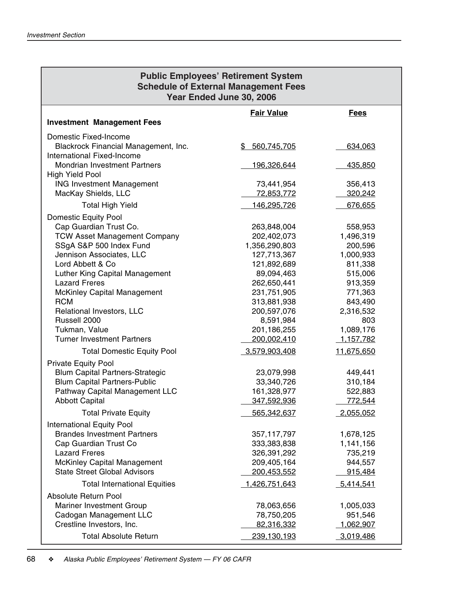| <b>Public Employees' Retirement System</b><br><b>Schedule of External Management Fees</b><br>Year Ended June 30, 2006                                                                                                                                                                                                                               |                                                                                                                                                                                 |                                                                                                                                      |  |  |  |  |
|-----------------------------------------------------------------------------------------------------------------------------------------------------------------------------------------------------------------------------------------------------------------------------------------------------------------------------------------------------|---------------------------------------------------------------------------------------------------------------------------------------------------------------------------------|--------------------------------------------------------------------------------------------------------------------------------------|--|--|--|--|
|                                                                                                                                                                                                                                                                                                                                                     | <b>Fair Value</b>                                                                                                                                                               | <b>Fees</b>                                                                                                                          |  |  |  |  |
| <b>Investment Management Fees</b>                                                                                                                                                                                                                                                                                                                   |                                                                                                                                                                                 |                                                                                                                                      |  |  |  |  |
| Domestic Fixed-Income<br>Blackrock Financial Management, Inc.<br>International Fixed-Income                                                                                                                                                                                                                                                         | \$560,745,705                                                                                                                                                                   | 634,063                                                                                                                              |  |  |  |  |
| <b>Mondrian Investment Partners</b><br><b>High Yield Pool</b>                                                                                                                                                                                                                                                                                       | 196,326,644                                                                                                                                                                     | 435,850                                                                                                                              |  |  |  |  |
| <b>ING Investment Management</b><br>MacKay Shields, LLC                                                                                                                                                                                                                                                                                             | 73,441,954<br>72,853,772                                                                                                                                                        | 356,413<br>320,242                                                                                                                   |  |  |  |  |
| <b>Total High Yield</b>                                                                                                                                                                                                                                                                                                                             | 146,295,726                                                                                                                                                                     | 676,655                                                                                                                              |  |  |  |  |
| <b>Domestic Equity Pool</b><br>Cap Guardian Trust Co.<br><b>TCW Asset Management Company</b><br>SSgA S&P 500 Index Fund<br>Jennison Associates, LLC<br>Lord Abbett & Co<br>Luther King Capital Management<br><b>Lazard Freres</b><br><b>McKinley Capital Management</b><br><b>RCM</b><br>Relational Investors, LLC<br>Russell 2000<br>Tukman, Value | 263,848,004<br>202,402,073<br>1,356,290,803<br>127,713,367<br>121,892,689<br>89,094,463<br>262,650,441<br>231,751,905<br>313,881,938<br>200,597,076<br>8,591,984<br>201,186,255 | 558,953<br>1,496,319<br>200,596<br>1,000,933<br>811,338<br>515,006<br>913,359<br>771,363<br>843,490<br>2,316,532<br>803<br>1,089,176 |  |  |  |  |
| <b>Turner Investment Partners</b>                                                                                                                                                                                                                                                                                                                   | 200,002,410                                                                                                                                                                     | 1,157,782                                                                                                                            |  |  |  |  |
| <b>Total Domestic Equity Pool</b>                                                                                                                                                                                                                                                                                                                   | 3,579,903,408                                                                                                                                                                   | 11,675,650                                                                                                                           |  |  |  |  |
| <b>Private Equity Pool</b><br><b>Blum Capital Partners-Strategic</b><br><b>Blum Capital Partners-Public</b><br>Pathway Capital Management LLC<br><b>Abbott Capital</b>                                                                                                                                                                              | 23,079,998<br>33,340,726<br>161,328,977<br>347,592,936                                                                                                                          | 449,441<br>310,184<br>522,883<br>772,544                                                                                             |  |  |  |  |
| <b>Total Private Equity</b>                                                                                                                                                                                                                                                                                                                         | 565,342,637                                                                                                                                                                     | 2,055,052                                                                                                                            |  |  |  |  |
| <b>International Equity Pool</b><br><b>Brandes Investment Partners</b><br>Cap Guardian Trust Co<br><b>Lazard Freres</b><br><b>McKinley Capital Management</b><br><b>State Street Global Advisors</b>                                                                                                                                                | 357, 117, 797<br>333,383,838<br>326,391,292<br>209,405,164<br>200,453,552                                                                                                       | 1,678,125<br>1,141,156<br>735,219<br>944,557<br>915,484                                                                              |  |  |  |  |
| <b>Total International Equities</b>                                                                                                                                                                                                                                                                                                                 | 1,426,751,643                                                                                                                                                                   | 5,414,541                                                                                                                            |  |  |  |  |
| Absolute Return Pool<br>Mariner Investment Group<br>Cadogan Management LLC<br>Crestline Investors, Inc.<br><b>Total Absolute Return</b>                                                                                                                                                                                                             | 78,063,656<br>78,750,205<br>82,316,332<br>239,130,193                                                                                                                           | 1,005,033<br>951,546<br>1,062,907<br>3,019,486                                                                                       |  |  |  |  |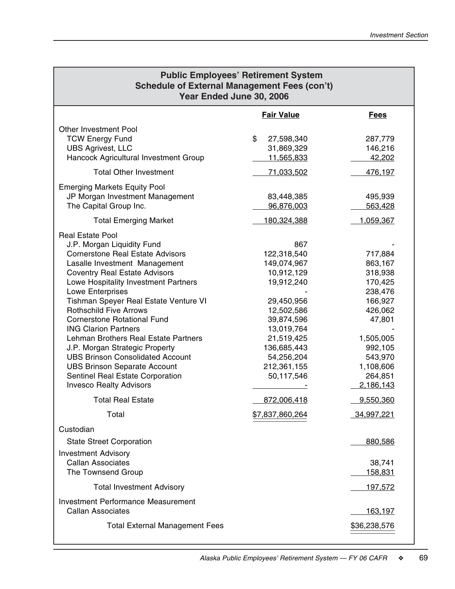| <b>Public Employees' Retirement System</b><br><b>Schedule of External Management Fees (con't)</b><br>Year Ended June 30, 2006                                                                                                                                                                                                                                                                                                                                                                                                                                                                                          |                                                                                                                                                                                               |                                                                                                                                                             |  |
|------------------------------------------------------------------------------------------------------------------------------------------------------------------------------------------------------------------------------------------------------------------------------------------------------------------------------------------------------------------------------------------------------------------------------------------------------------------------------------------------------------------------------------------------------------------------------------------------------------------------|-----------------------------------------------------------------------------------------------------------------------------------------------------------------------------------------------|-------------------------------------------------------------------------------------------------------------------------------------------------------------|--|
|                                                                                                                                                                                                                                                                                                                                                                                                                                                                                                                                                                                                                        | <b>Fair Value</b>                                                                                                                                                                             | <b>Fees</b>                                                                                                                                                 |  |
| <b>Other Investment Pool</b><br><b>TCW Energy Fund</b><br><b>UBS Agrivest, LLC</b><br>Hancock Agricultural Investment Group                                                                                                                                                                                                                                                                                                                                                                                                                                                                                            | \$<br>27,598,340<br>31,869,329<br>11,565,833                                                                                                                                                  | 287,779<br>146,216<br>42,202                                                                                                                                |  |
| <b>Total Other Investment</b>                                                                                                                                                                                                                                                                                                                                                                                                                                                                                                                                                                                          | 71,033,502                                                                                                                                                                                    | 476,197                                                                                                                                                     |  |
| <b>Emerging Markets Equity Pool</b><br>JP Morgan Investment Management<br>The Capital Group Inc.                                                                                                                                                                                                                                                                                                                                                                                                                                                                                                                       | 83,448,385<br>96,876,003                                                                                                                                                                      | 495,939<br>563,428                                                                                                                                          |  |
| <b>Total Emerging Market</b>                                                                                                                                                                                                                                                                                                                                                                                                                                                                                                                                                                                           | 180,324,388                                                                                                                                                                                   | 1,059,367                                                                                                                                                   |  |
| <b>Real Estate Pool</b><br>J.P. Morgan Liquidity Fund<br><b>Cornerstone Real Estate Advisors</b><br>Lasalle Investment Management<br><b>Coventry Real Estate Advisors</b><br>Lowe Hospitality Investment Partners<br>Lowe Enterprises<br>Tishman Speyer Real Estate Venture VI<br><b>Rothschild Five Arrows</b><br><b>Cornerstone Rotational Fund</b><br><b>ING Clarion Partners</b><br>Lehman Brothers Real Estate Partners<br>J.P. Morgan Strategic Property<br><b>UBS Brinson Consolidated Account</b><br><b>UBS Brinson Separate Account</b><br>Sentinel Real Estate Corporation<br><b>Invesco Realty Advisors</b> | 867<br>122,318,540<br>149,074,967<br>10,912,129<br>19,912,240<br>29,450,956<br>12,502,586<br>39,874,596<br>13,019,764<br>21,519,425<br>136,685,443<br>54,256,204<br>212,361,155<br>50,117,546 | 717,884<br>863,167<br>318,938<br>170,425<br>238,476<br>166,927<br>426,062<br>47,801<br>1,505,005<br>992,105<br>543,970<br>1,108,606<br>264,851<br>2,186,143 |  |
| <b>Total Real Estate</b>                                                                                                                                                                                                                                                                                                                                                                                                                                                                                                                                                                                               | 872,006,418                                                                                                                                                                                   | 9,550,360                                                                                                                                                   |  |
| Total                                                                                                                                                                                                                                                                                                                                                                                                                                                                                                                                                                                                                  | \$7,837,860,264                                                                                                                                                                               | 34,997,221                                                                                                                                                  |  |
| Custodian<br><b>State Street Corporation</b><br><b>Investment Advisory</b><br><b>Callan Associates</b>                                                                                                                                                                                                                                                                                                                                                                                                                                                                                                                 |                                                                                                                                                                                               | 880,586<br>38,741                                                                                                                                           |  |
| The Townsend Group                                                                                                                                                                                                                                                                                                                                                                                                                                                                                                                                                                                                     |                                                                                                                                                                                               | <u>158,831</u>                                                                                                                                              |  |
| <b>Total Investment Advisory</b>                                                                                                                                                                                                                                                                                                                                                                                                                                                                                                                                                                                       |                                                                                                                                                                                               | 197,572                                                                                                                                                     |  |
| <b>Investment Performance Measurement</b><br><b>Callan Associates</b>                                                                                                                                                                                                                                                                                                                                                                                                                                                                                                                                                  |                                                                                                                                                                                               | 163,197                                                                                                                                                     |  |
| <b>Total External Management Fees</b>                                                                                                                                                                                                                                                                                                                                                                                                                                                                                                                                                                                  |                                                                                                                                                                                               | \$36,238,576                                                                                                                                                |  |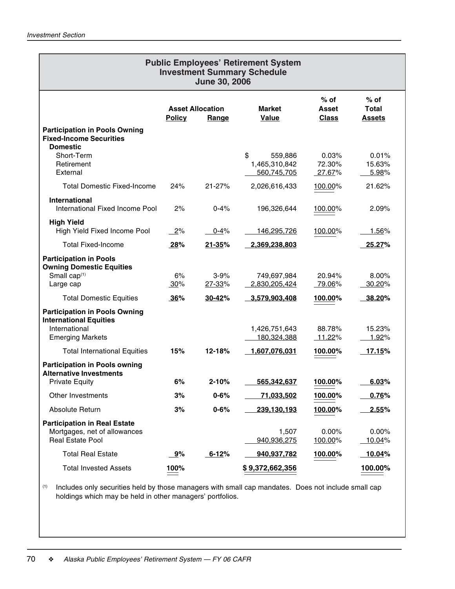| <b>Public Employees' Retirement System</b><br><b>Investment Summary Schedule</b><br><b>June 30, 2006</b>          |               |                                  |                                               |                                        |                                         |
|-------------------------------------------------------------------------------------------------------------------|---------------|----------------------------------|-----------------------------------------------|----------------------------------------|-----------------------------------------|
|                                                                                                                   | <b>Policy</b> | <b>Asset Allocation</b><br>Range | Market<br><b>Value</b>                        | $%$ of<br><b>Asset</b><br><b>Class</b> | $%$ of<br><b>Total</b><br><b>Assets</b> |
| <b>Participation in Pools Owning</b><br><b>Fixed-Income Securities</b><br><b>Domestic</b>                         |               |                                  |                                               |                                        |                                         |
| Short-Term<br>Retirement<br>External                                                                              |               |                                  | \$<br>559,886<br>1,465,310,842<br>560,745,705 | 0.03%<br>72.30%<br><u>27.67</u> %      | 0.01%<br>15.63%<br>5.98%                |
| <b>Total Domestic Fixed-Income</b>                                                                                | 24%           | 21-27%                           | 2,026,616,433                                 | 100.00%                                | 21.62%                                  |
| <b>International</b><br>International Fixed Income Pool                                                           | 2%            | $0 - 4%$                         | 196,326,644                                   | 100.00%                                | 2.09%                                   |
| <b>High Yield</b><br>High Yield Fixed Income Pool                                                                 | 2%            | $0 - 4%$                         | 146,295,726                                   | 100.00%                                | 1.56%                                   |
| <b>Total Fixed-Income</b>                                                                                         | 28%           | $21 - 35%$                       | 2,369,238,803                                 |                                        | <u>25.27</u> %                          |
| <b>Participation in Pools</b><br><b>Owning Domestic Equities</b><br>Small cap <sup>(1)</sup><br>Large cap         | 6%<br>30%     | $3 - 9%$<br>27-33%               | 749,697,984<br>2,830,205,424                  | 20.94%<br>$79.06\%$                    | 8.00%<br>30.20%                         |
| <b>Total Domestic Equities</b>                                                                                    | 36%           | <u>30-42%</u>                    | 3,579,903,408                                 | 100.00%                                | 38.20%                                  |
| <b>Participation in Pools Owning</b><br><b>International Equities</b><br>International<br><b>Emerging Markets</b> |               |                                  | 1,426,751,643<br>180,324,388                  | 88.78%<br>11.22%                       | 15.23%<br>1.92%                         |
| <b>Total International Equities</b>                                                                               | 15%           | 12-18%                           | 1,607,076,031                                 | 100.00%                                | 17.15%                                  |
| <b>Participation in Pools owning</b><br><b>Alternative Investments</b>                                            |               |                                  |                                               |                                        |                                         |
| <b>Private Equity</b>                                                                                             | 6%            | $2 - 10%$                        | 565,342,637                                   | 100.00%                                | 6.03%                                   |
| Other Investments                                                                                                 | 3%            | $0 - 6%$                         | 71,033,502                                    | 100.00%                                | 0.76%                                   |
| Absolute Return                                                                                                   | 3%            | $0 - 6%$                         | 239,130,193                                   | 100.00%                                | 2.55%                                   |
| <b>Participation in Real Estate</b><br>Mortgages, net of allowances<br>Real Estate Pool                           |               |                                  | 1,507<br>940,936,275                          | 0.00%<br>100.00%                       | 0.00%<br><u>10.04</u> %                 |
| <b>Total Real Estate</b>                                                                                          | <u>9%</u>     | $6 - 12%$                        | 940,937,782                                   | 100.00%                                | <u>10.04</u> %                          |
| <b>Total Invested Assets</b>                                                                                      | 100%          |                                  | \$9,372,662,356                               |                                        | 100.00%                                 |

(1) Includes only securities held by those managers with small cap mandates. Does not include small cap holdings which may be held in other managers' portfolios.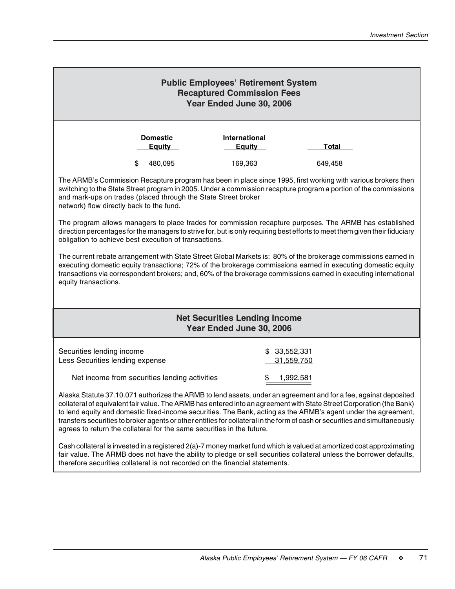| <b>Public Employees' Retirement System</b><br><b>Recaptured Commission Fees</b><br>Year Ended June 30, 2006                                                                                                                                                                                                                                                                                                                                                                                                                                                         |                                  |                                |                                                                                                                                                                                                                                   |  |
|---------------------------------------------------------------------------------------------------------------------------------------------------------------------------------------------------------------------------------------------------------------------------------------------------------------------------------------------------------------------------------------------------------------------------------------------------------------------------------------------------------------------------------------------------------------------|----------------------------------|--------------------------------|-----------------------------------------------------------------------------------------------------------------------------------------------------------------------------------------------------------------------------------|--|
|                                                                                                                                                                                                                                                                                                                                                                                                                                                                                                                                                                     | <b>Domestic</b><br><u>Equity</u> | International<br><b>Equity</b> | Total                                                                                                                                                                                                                             |  |
| \$                                                                                                                                                                                                                                                                                                                                                                                                                                                                                                                                                                  | 480,095                          | 169,363                        | 649,458                                                                                                                                                                                                                           |  |
| and mark-ups on trades (placed through the State Street broker<br>network) flow directly back to the fund.                                                                                                                                                                                                                                                                                                                                                                                                                                                          |                                  |                                | The ARMB's Commission Recapture program has been in place since 1995, first working with various brokers then<br>switching to the State Street program in 2005. Under a commission recapture program a portion of the commissions |  |
| The program allows managers to place trades for commission recapture purposes. The ARMB has established<br>direction percentages for the managers to strive for, but is only requiring best efforts to meet them given their fiduciary<br>obligation to achieve best execution of transactions.                                                                                                                                                                                                                                                                     |                                  |                                |                                                                                                                                                                                                                                   |  |
| The current rebate arrangement with State Street Global Markets is: 80% of the brokerage commissions earned in<br>executing domestic equity transactions; 72% of the brokerage commissions earned in executing domestic equity<br>transactions via correspondent brokers; and, 60% of the brokerage commissions earned in executing international<br>equity transactions.                                                                                                                                                                                           |                                  |                                |                                                                                                                                                                                                                                   |  |
| <b>Net Securities Lending Income</b><br>Year Ended June 30, 2006                                                                                                                                                                                                                                                                                                                                                                                                                                                                                                    |                                  |                                |                                                                                                                                                                                                                                   |  |
| Securities lending income<br>Less Securities lending expense                                                                                                                                                                                                                                                                                                                                                                                                                                                                                                        |                                  |                                | 33,552,331<br>31,559,750                                                                                                                                                                                                          |  |
| Net income from securities lending activities<br>1,992,581                                                                                                                                                                                                                                                                                                                                                                                                                                                                                                          |                                  |                                |                                                                                                                                                                                                                                   |  |
| Alaska Statute 37.10.071 authorizes the ARMB to lend assets, under an agreement and for a fee, against deposited<br>collateral of equivalent fair value. The ARMB has entered into an agreement with State Street Corporation (the Bank)<br>to lend equity and domestic fixed-income securities. The Bank, acting as the ARMB's agent under the agreement,<br>transfers securities to broker agents or other entities for collateral in the form of cash or securities and simultaneously<br>agrees to return the collateral for the same securities in the future. |                                  |                                |                                                                                                                                                                                                                                   |  |
| Cash collateral is invested in a registered 2(a)-7 money market fund which is valued at amortized cost approximating<br>fair value. The ARMB does not have the ability to pledge or sell securities collateral unless the borrower defaults,<br>therefore securities collateral is not recorded on the financial statements.                                                                                                                                                                                                                                        |                                  |                                |                                                                                                                                                                                                                                   |  |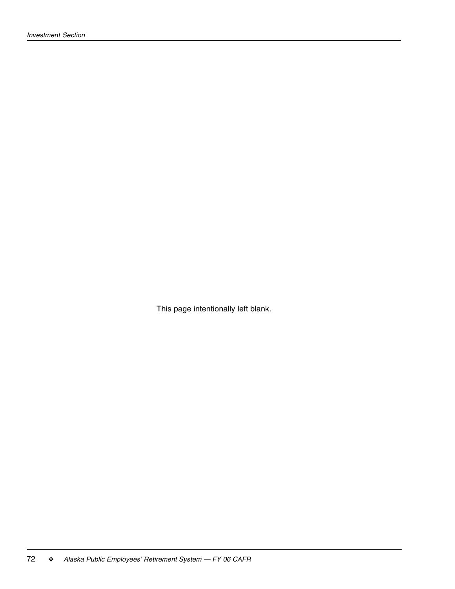This page intentionally left blank.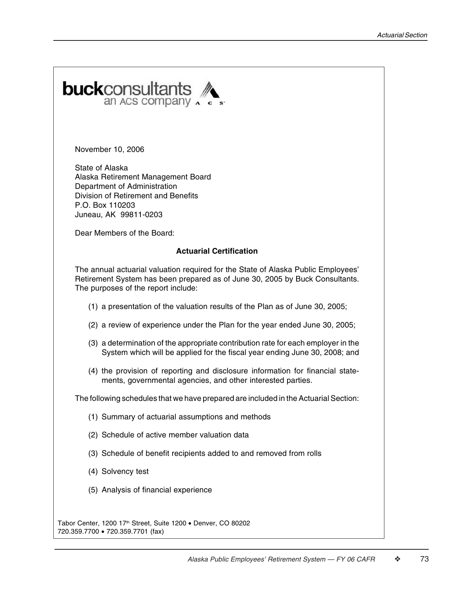| <b>buckconsultants</b> |                                                                                                                                                                                                          |  |  |
|------------------------|----------------------------------------------------------------------------------------------------------------------------------------------------------------------------------------------------------|--|--|
|                        |                                                                                                                                                                                                          |  |  |
|                        | November 10, 2006                                                                                                                                                                                        |  |  |
|                        | State of Alaska<br>Alaska Retirement Management Board<br>Department of Administration<br>Division of Retirement and Benefits<br>P.O. Box 110203<br>Juneau, AK 99811-0203                                 |  |  |
|                        | Dear Members of the Board:                                                                                                                                                                               |  |  |
|                        | <b>Actuarial Certification</b>                                                                                                                                                                           |  |  |
|                        | The annual actuarial valuation required for the State of Alaska Public Employees'<br>Retirement System has been prepared as of June 30, 2005 by Buck Consultants.<br>The purposes of the report include: |  |  |
|                        | (1) a presentation of the valuation results of the Plan as of June 30, 2005;                                                                                                                             |  |  |
|                        | (2) a review of experience under the Plan for the year ended June 30, 2005;                                                                                                                              |  |  |
|                        | (3) a determination of the appropriate contribution rate for each employer in the<br>System which will be applied for the fiscal year ending June 30, 2008; and                                          |  |  |
|                        | (4) the provision of reporting and disclosure information for financial state-<br>ments, governmental agencies, and other interested parties.                                                            |  |  |
|                        | The following schedules that we have prepared are included in the Actuarial Section:                                                                                                                     |  |  |
|                        | (1) Summary of actuarial assumptions and methods                                                                                                                                                         |  |  |
|                        | (2) Schedule of active member valuation data                                                                                                                                                             |  |  |
|                        | (3) Schedule of benefit recipients added to and removed from rolls                                                                                                                                       |  |  |
|                        | (4) Solvency test                                                                                                                                                                                        |  |  |
|                        | (5) Analysis of financial experience                                                                                                                                                                     |  |  |
|                        | Tabor Center, 1200 17 <sup>th</sup> Street, Suite 1200 · Denver, CO 80202                                                                                                                                |  |  |

720.359.7700 • 720.359.7701 (fax)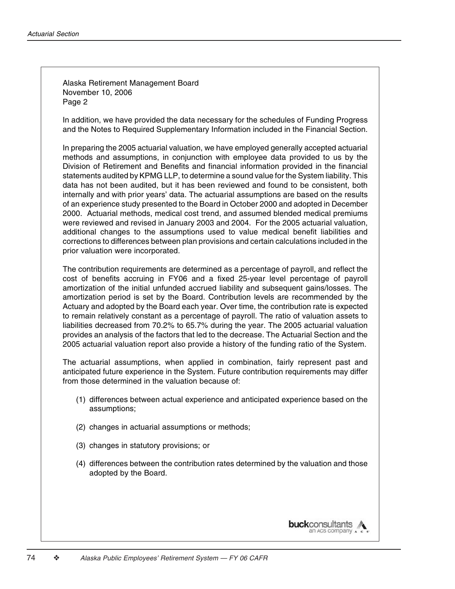Alaska Retirement Management Board November 10, 2006 Page 2

In addition, we have provided the data necessary for the schedules of Funding Progress and the Notes to Required Supplementary Information included in the Financial Section.

In preparing the 2005 actuarial valuation, we have employed generally accepted actuarial methods and assumptions, in conjunction with employee data provided to us by the Division of Retirement and Benefits and financial information provided in the financial statements audited by KPMG LLP, to determine a sound value for the System liability. This data has not been audited, but it has been reviewed and found to be consistent, both internally and with prior years' data. The actuarial assumptions are based on the results of an experience study presented to the Board in October 2000 and adopted in December 2000. Actuarial methods, medical cost trend, and assumed blended medical premiums were reviewed and revised in January 2003 and 2004. For the 2005 actuarial valuation, additional changes to the assumptions used to value medical benefit liabilities and corrections to differences between plan provisions and certain calculations included in the prior valuation were incorporated.

The contribution requirements are determined as a percentage of payroll, and reflect the cost of benefits accruing in FY06 and a fixed 25-year level percentage of payroll amortization of the initial unfunded accrued liability and subsequent gains/losses. The amortization period is set by the Board. Contribution levels are recommended by the Actuary and adopted by the Board each year. Over time, the contribution rate is expected to remain relatively constant as a percentage of payroll. The ratio of valuation assets to liabilities decreased from 70.2% to 65.7% during the year. The 2005 actuarial valuation provides an analysis of the factors that led to the decrease. The Actuarial Section and the 2005 actuarial valuation report also provide a history of the funding ratio of the System.

The actuarial assumptions, when applied in combination, fairly represent past and anticipated future experience in the System. Future contribution requirements may differ from those determined in the valuation because of:

- (1) differences between actual experience and anticipated experience based on the assumptions;
- (2) changes in actuarial assumptions or methods;
- (3) changes in statutory provisions; or
- (4) differences between the contribution rates determined by the valuation and those adopted by the Board.

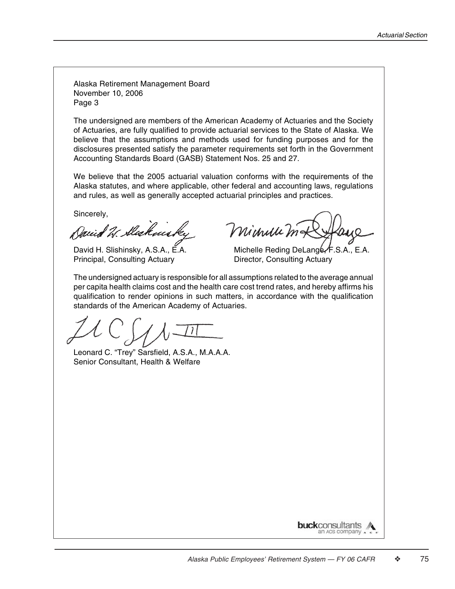Alaska Retirement Management Board November 10, 2006 Page 3

The undersigned are members of the American Academy of Actuaries and the Society of Actuaries, are fully qualified to provide actuarial services to the State of Alaska. We believe that the assumptions and methods used for funding purposes and for the disclosures presented satisfy the parameter requirements set forth in the Government Accounting Standards Board (GASB) Statement Nos. 25 and 27.

We believe that the 2005 actuarial valuation conforms with the requirements of the Alaska statutes, and where applicable, other federal and accounting laws, regulations and rules, as well as generally accepted actuarial principles and practices.

Sincerely,

Daniel W. Slickmak

David H. Slishinsky, A.S.A., E.A. Michelle Reding DeLange, F.S.A., E.A. Principal, Consulting Actuary **Director, Consulting Actuary** 

Minute mg

The undersigned actuary is responsible for all assumptions related to the average annual per capita health claims cost and the health care cost trend rates, and hereby affirms his qualification to render opinions in such matters, in accordance with the qualification standards of the American Academy of Actuaries.

Leonard C. "Trey" Sarsfield, A.S.A., M.A.A.A. Senior Consultant, Health & Welfare

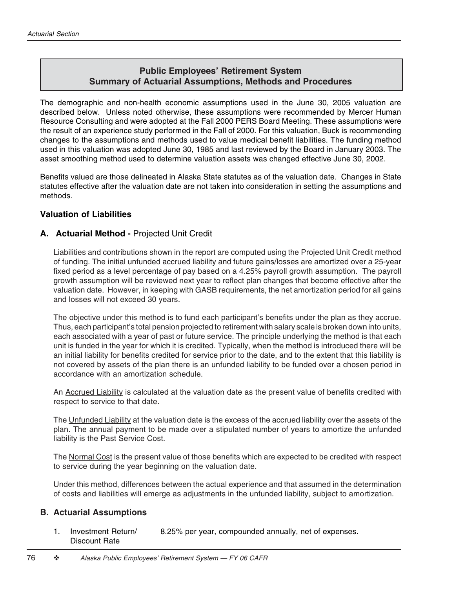The demographic and non-health economic assumptions used in the June 30, 2005 valuation are described below. Unless noted otherwise, these assumptions were recommended by Mercer Human Resource Consulting and were adopted at the Fall 2000 PERS Board Meeting. These assumptions were the result of an experience study performed in the Fall of 2000. For this valuation, Buck is recommending changes to the assumptions and methods used to value medical benefit liabilities. The funding method used in this valuation was adopted June 30, 1985 and last reviewed by the Board in January 2003. The asset smoothing method used to determine valuation assets was changed effective June 30, 2002.

Benefits valued are those delineated in Alaska State statutes as of the valuation date. Changes in State statutes effective after the valuation date are not taken into consideration in setting the assumptions and methods.

#### **Valuation of Liabilities**

#### **A. Actuarial Method -** Projected Unit Credit

Liabilities and contributions shown in the report are computed using the Projected Unit Credit method of funding. The initial unfunded accrued liability and future gains/losses are amortized over a 25-year fixed period as a level percentage of pay based on a 4.25% payroll growth assumption. The payroll growth assumption will be reviewed next year to reflect plan changes that become effective after the valuation date. However, in keeping with GASB requirements, the net amortization period for all gains and losses will not exceed 30 years.

The objective under this method is to fund each participant's benefits under the plan as they accrue. Thus, each participant's total pension projected to retirement with salary scale is broken down into units, each associated with a year of past or future service. The principle underlying the method is that each unit is funded in the year for which it is credited. Typically, when the method is introduced there will be an initial liability for benefits credited for service prior to the date, and to the extent that this liability is not covered by assets of the plan there is an unfunded liability to be funded over a chosen period in accordance with an amortization schedule.

An Accrued Liability is calculated at the valuation date as the present value of benefits credited with respect to service to that date.

The Unfunded Liability at the valuation date is the excess of the accrued liability over the assets of the plan. The annual payment to be made over a stipulated number of years to amortize the unfunded liability is the Past Service Cost.

The Normal Cost is the present value of those benefits which are expected to be credited with respect to service during the year beginning on the valuation date.

Under this method, differences between the actual experience and that assumed in the determination of costs and liabilities will emerge as adjustments in the unfunded liability, subject to amortization.

#### **B. Actuarial Assumptions**

1. Investment Return/ 8.25% per year, compounded annually, net of expenses. Discount Rate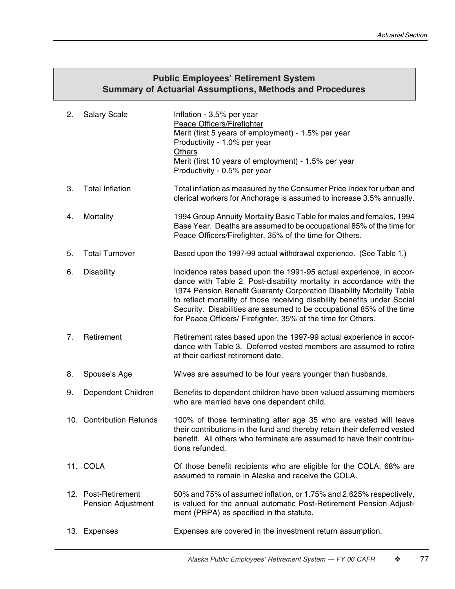| 2. | <b>Salary Scale</b>                       | Inflation - 3.5% per year<br>Peace Officers/Firefighter<br>Merit (first 5 years of employment) - 1.5% per year<br>Productivity - 1.0% per year<br>Others<br>Merit (first 10 years of employment) - 1.5% per year<br>Productivity - 0.5% per year                                                                                                                                                                                         |
|----|-------------------------------------------|------------------------------------------------------------------------------------------------------------------------------------------------------------------------------------------------------------------------------------------------------------------------------------------------------------------------------------------------------------------------------------------------------------------------------------------|
| 3. | <b>Total Inflation</b>                    | Total inflation as measured by the Consumer Price Index for urban and<br>clerical workers for Anchorage is assumed to increase 3.5% annually.                                                                                                                                                                                                                                                                                            |
| 4. | Mortality                                 | 1994 Group Annuity Mortality Basic Table for males and females, 1994<br>Base Year. Deaths are assumed to be occupational 85% of the time for<br>Peace Officers/Firefighter, 35% of the time for Others.                                                                                                                                                                                                                                  |
| 5. | <b>Total Turnover</b>                     | Based upon the 1997-99 actual withdrawal experience. (See Table 1.)                                                                                                                                                                                                                                                                                                                                                                      |
| 6. | <b>Disability</b>                         | Incidence rates based upon the 1991-95 actual experience, in accor-<br>dance with Table 2. Post-disability mortality in accordance with the<br>1974 Pension Benefit Guaranty Corporation Disability Mortality Table<br>to reflect mortality of those receiving disability benefits under Social<br>Security. Disabilities are assumed to be occupational 85% of the time<br>for Peace Officers/ Firefighter, 35% of the time for Others. |
| 7. | Retirement                                | Retirement rates based upon the 1997-99 actual experience in accor-<br>dance with Table 3. Deferred vested members are assumed to retire<br>at their earliest retirement date.                                                                                                                                                                                                                                                           |
| 8. | Spouse's Age                              | Wives are assumed to be four years younger than husbands.                                                                                                                                                                                                                                                                                                                                                                                |
| 9. | Dependent Children                        | Benefits to dependent children have been valued assuming members<br>who are married have one dependent child.                                                                                                                                                                                                                                                                                                                            |
|    | 10. Contribution Refunds                  | 100% of those terminating after age 35 who are vested will leave<br>their contributions in the fund and thereby retain their deferred vested<br>benefit. All others who terminate are assumed to have their contribu-<br>tions refunded.                                                                                                                                                                                                 |
|    | 11. COLA                                  | Of those benefit recipients who are eligible for the COLA, 68% are<br>assumed to remain in Alaska and receive the COLA.                                                                                                                                                                                                                                                                                                                  |
|    | 12. Post-Retirement<br>Pension Adjustment | 50% and 75% of assumed inflation, or 1.75% and 2.625% respectively,<br>is valued for the annual automatic Post-Retirement Pension Adjust-<br>ment (PRPA) as specified in the statute.                                                                                                                                                                                                                                                    |
|    | 13. Expenses                              | Expenses are covered in the investment return assumption.                                                                                                                                                                                                                                                                                                                                                                                |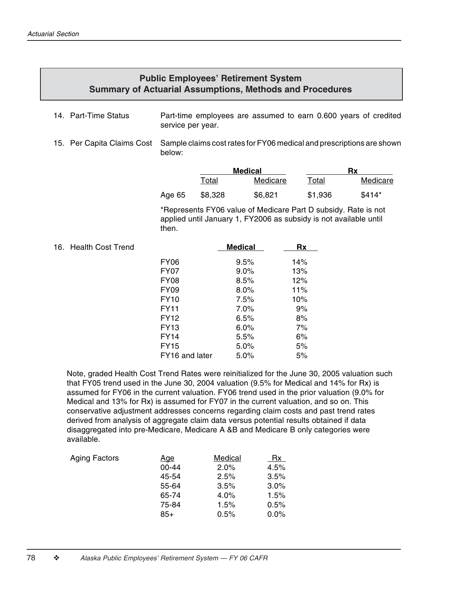- 14. Part-Time Status Part-time employees are assumed to earn 0.600 years of credited service per year.
- 15. Per Capita Claims Cost Sample claims cost rates for FY06 medical and prescriptions are shown below:

|        | Medical |          | Rx      |          |
|--------|---------|----------|---------|----------|
|        | Total   | Medicare | Total   | Medicare |
| Age 65 | \$8,328 | \$6,821  | \$1,936 | $$414*$  |

\*Represents FY06 value of Medicare Part D subsidy. Rate is not applied until January 1, FY2006 as subsidy is not available until then.

| 16. Health Cost Trend |                | <b>Medical</b> | Rx  |
|-----------------------|----------------|----------------|-----|
|                       | <b>FY06</b>    | 9.5%           | 14% |
|                       | <b>FY07</b>    | $9.0\%$        | 13% |
|                       | <b>FY08</b>    | 8.5%           | 12% |
|                       | <b>FY09</b>    | 8.0%           | 11% |
|                       | <b>FY10</b>    | 7.5%           | 10% |
|                       | <b>FY11</b>    | 7.0%           | 9%  |
|                       | <b>FY12</b>    | 6.5%           | 8%  |
|                       | <b>FY13</b>    | 6.0%           | 7%  |
|                       | <b>FY14</b>    | 5.5%           | 6%  |
|                       | <b>FY15</b>    | 5.0%           | 5%  |
|                       | FY16 and later | 5.0%           | 5%  |

Note, graded Health Cost Trend Rates were reinitialized for the June 30, 2005 valuation such that FY05 trend used in the June 30, 2004 valuation (9.5% for Medical and 14% for Rx) is assumed for FY06 in the current valuation. FY06 trend used in the prior valuation (9.0% for Medical and 13% for Rx) is assumed for FY07 in the current valuation, and so on. This conservative adjustment addresses concerns regarding claim costs and past trend rates derived from analysis of aggregate claim data versus potential results obtained if data disaggregated into pre-Medicare, Medicare A &B and Medicare B only categories were available.

| <b>Aging Factors</b> | <u>Age</u> | Medical | <b>Rx</b> |
|----------------------|------------|---------|-----------|
|                      | $00 - 44$  | 2.0%    | 4.5%      |
|                      | 45-54      | 2.5%    | 3.5%      |
|                      | 55-64      | 3.5%    | $3.0\%$   |
|                      | 65-74      | $4.0\%$ | 1.5%      |
|                      | 75-84      | 1.5%    | 0.5%      |
|                      | $85+$      | 0.5%    | 0.0%      |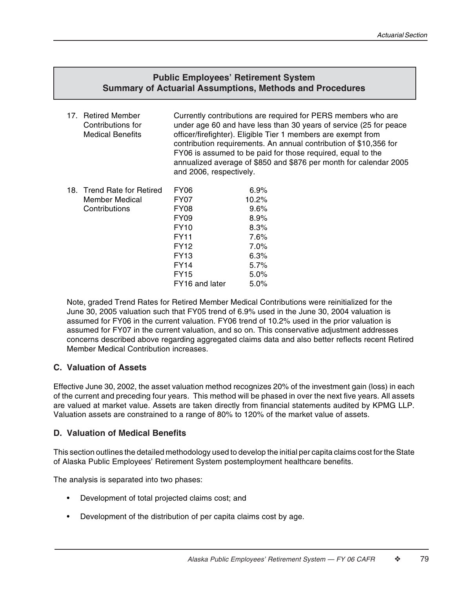17. Retired Member Currently contributions are required for PERS members who are Contributions for under age 60 and have less than 30 years of service (25 for peace Medical Benefits officer/firefighter). Eligible Tier 1 members are exempt from contribution requirements. An annual contribution of \$10,356 for FY06 is assumed to be paid for those required, equal to the annualized average of \$850 and \$876 per month for calendar 2005 and 2006, respectively.

| <b>Trend Rate for Retired</b> | <b>FY06</b>    | 6.9%    |
|-------------------------------|----------------|---------|
| Member Medical                | FY07           | 10.2%   |
| Contributions                 | <b>FY08</b>    | 9.6%    |
|                               | FY09           | 8.9%    |
|                               | FY10           | 8.3%    |
|                               | <b>FY11</b>    | 7.6%    |
|                               | FY12           | 7.0%    |
|                               | FY13           | 6.3%    |
|                               | FY14           | 5.7%    |
|                               | <b>FY15</b>    | 5.0%    |
|                               | FY16 and later | $5.0\%$ |
|                               |                |         |

Note, graded Trend Rates for Retired Member Medical Contributions were reinitialized for the June 30, 2005 valuation such that FY05 trend of 6.9% used in the June 30, 2004 valuation is assumed for FY06 in the current valuation. FY06 trend of 10.2% used in the prior valuation is assumed for FY07 in the current valuation, and so on. This conservative adjustment addresses concerns described above regarding aggregated claims data and also better reflects recent Retired Member Medical Contribution increases.

### **C. Valuation of Assets**

Effective June 30, 2002, the asset valuation method recognizes 20% of the investment gain (loss) in each of the current and preceding four years. This method will be phased in over the next five years. All assets are valued at market value. Assets are taken directly from financial statements audited by KPMG LLP. Valuation assets are constrained to a range of 80% to 120% of the market value of assets.

### **D. Valuation of Medical Benefits**

This section outlines the detailed methodology used to develop the initial per capita claims cost for the State of Alaska Public Employees' Retirement System postemployment healthcare benefits.

The analysis is separated into two phases:

- Development of total projected claims cost; and
- Development of the distribution of per capita claims cost by age.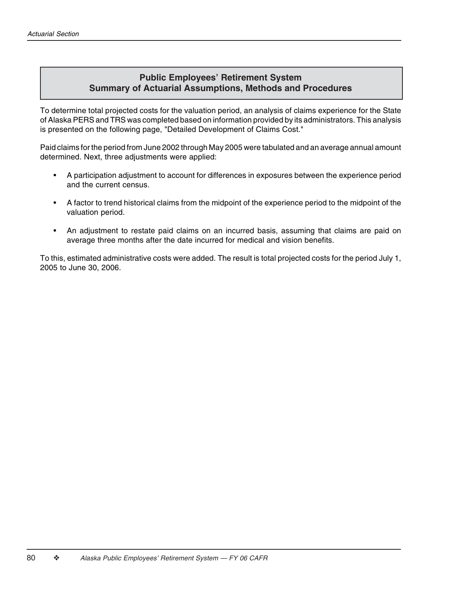To determine total projected costs for the valuation period, an analysis of claims experience for the State of Alaska PERS and TRS was completed based on information provided by its administrators. This analysis is presented on the following page, "Detailed Development of Claims Cost."

Paid claims for the period from June 2002 through May 2005 were tabulated and an average annual amount determined. Next, three adjustments were applied:

- A participation adjustment to account for differences in exposures between the experience period and the current census.
- A factor to trend historical claims from the midpoint of the experience period to the midpoint of the valuation period.
- An adjustment to restate paid claims on an incurred basis, assuming that claims are paid on average three months after the date incurred for medical and vision benefits.

To this, estimated administrative costs were added. The result is total projected costs for the period July 1, 2005 to June 30, 2006.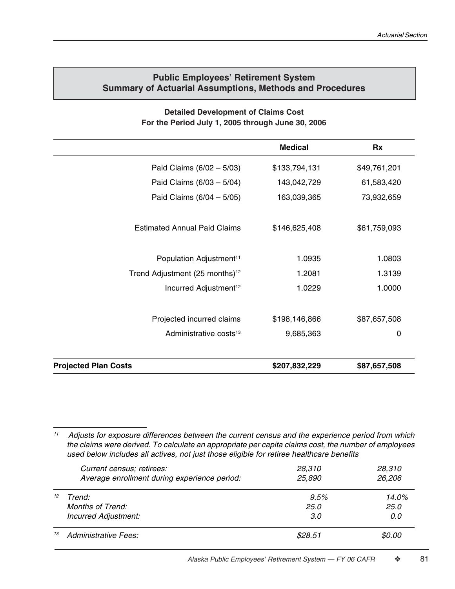|                                            | <b>Medical</b> | Rx           |
|--------------------------------------------|----------------|--------------|
| Paid Claims $(6/02 - 5/03)$                | \$133,794,131  | \$49,761,201 |
| Paid Claims (6/03 - 5/04)                  | 143,042,729    | 61,583,420   |
| Paid Claims $(6/04 - 5/05)$                | 163,039,365    | 73,932,659   |
| <b>Estimated Annual Paid Claims</b>        | \$146,625,408  | \$61,759,093 |
| Population Adjustment <sup>11</sup>        | 1.0935         | 1.0803       |
| Trend Adjustment (25 months) <sup>12</sup> | 1.2081         | 1.3139       |
| Incurred Adjustment <sup>12</sup>          | 1.0229         | 1.0000       |
| Projected incurred claims                  | \$198,146,866  | \$87,657,508 |
| Administrative costs <sup>13</sup>         | 9,685,363      | 0            |
| <b>Projected Plan Costs</b>                | \$207,832,229  | \$87,657,508 |

### **Detailed Development of Claims Cost For the Period July 1, 2005 through June 30, 2006**

<sup>11</sup> Adjusts for exposure differences between the current census and the experience period from which the claims were derived. To calculate an appropriate per capita claims cost, the number of employees used below includes all actives, not just those eligible for retiree healthcare benefits

|    | Current census; retirees:                    | 28,310  | 28,310 |
|----|----------------------------------------------|---------|--------|
|    | Average enrollment during experience period: | 25,890  | 26,206 |
| 12 | Trend:                                       | 9.5%    | 14.0%  |
|    | <b>Months of Trend:</b>                      | 25.0    | 25.0   |
|    | Incurred Adjustment:                         | 3.0     | 0.0    |
| 13 | <b>Administrative Fees:</b>                  | \$28.51 | \$0.00 |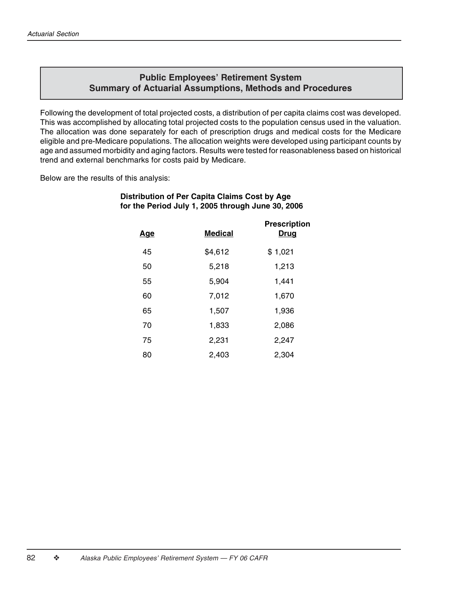Following the development of total projected costs, a distribution of per capita claims cost was developed. This was accomplished by allocating total projected costs to the population census used in the valuation. The allocation was done separately for each of prescription drugs and medical costs for the Medicare eligible and pre-Medicare populations. The allocation weights were developed using participant counts by age and assumed morbidity and aging factors. Results were tested for reasonableness based on historical trend and external benchmarks for costs paid by Medicare.

Below are the results of this analysis:

| <u>Age</u> | <b>Medical</b> | <b>Prescription</b><br><b>Drug</b> |
|------------|----------------|------------------------------------|
| 45         | \$4,612        | \$1,021                            |
| 50         | 5,218          | 1,213                              |
| 55         | 5,904          | 1,441                              |
| 60         | 7,012          | 1,670                              |
| 65         | 1,507          | 1,936                              |
| 70         | 1,833          | 2,086                              |
| 75         | 2,231          | 2,247                              |
| 80         | 2,403          | 2,304                              |

#### **Distribution of Per Capita Claims Cost by Age for the Period July 1, 2005 through June 30, 2006**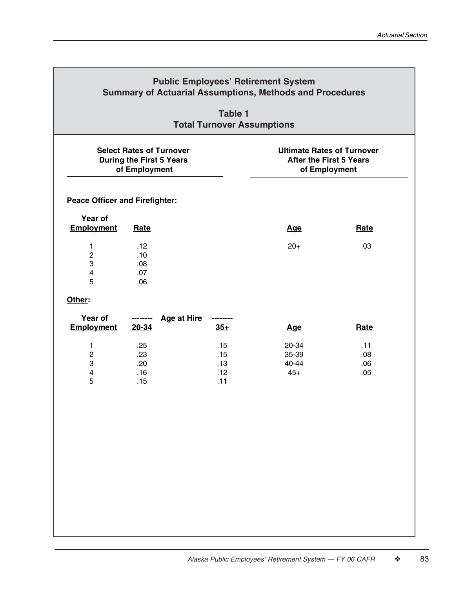| <b>Public Employees' Retirement System</b><br><b>Summary of Actuarial Assumptions, Methods and Procedures</b><br><b>Table 1</b> |                                                                                     |                    |                                 |                                                                                      |                          |  |  |  |  |  |
|---------------------------------------------------------------------------------------------------------------------------------|-------------------------------------------------------------------------------------|--------------------|---------------------------------|--------------------------------------------------------------------------------------|--------------------------|--|--|--|--|--|
|                                                                                                                                 | <b>Total Turnover Assumptions</b>                                                   |                    |                                 |                                                                                      |                          |  |  |  |  |  |
|                                                                                                                                 | <b>Select Rates of Turnover</b><br><b>During the First 5 Years</b><br>of Employment |                    |                                 | <b>Ultimate Rates of Turnover</b><br><b>After the First 5 Years</b><br>of Employment |                          |  |  |  |  |  |
|                                                                                                                                 | <b>Peace Officer and Firefighter:</b>                                               |                    |                                 |                                                                                      |                          |  |  |  |  |  |
| Year of<br><b>Employment</b>                                                                                                    | Rate                                                                                |                    |                                 | <b>Age</b>                                                                           | Rate                     |  |  |  |  |  |
| 1<br>$\mathbf{2}$<br>3<br>$\overline{\mathbf{4}}$<br>5                                                                          | .12<br>.10<br>.08<br>.07<br>.06                                                     |                    |                                 | $20+$                                                                                | .03                      |  |  |  |  |  |
| Other:                                                                                                                          |                                                                                     |                    |                                 |                                                                                      |                          |  |  |  |  |  |
| Year of<br><b>Employment</b>                                                                                                    | ---------<br>$20 - 34$                                                              | <b>Age at Hire</b> | ,,,,,,,,,<br>$35+$              | <u>Age</u>                                                                           | Rate                     |  |  |  |  |  |
| 1<br>$\boldsymbol{2}$<br>$\,$ 3 $\,$<br>$\overline{\mathbf{4}}$<br>5                                                            | .25<br>.23<br>.20<br>.16<br>.15                                                     |                    | .15<br>.15<br>.13<br>.12<br>.11 | 20-34<br>35-39<br>40-44<br>$45+$                                                     | .11<br>.08<br>.06<br>.05 |  |  |  |  |  |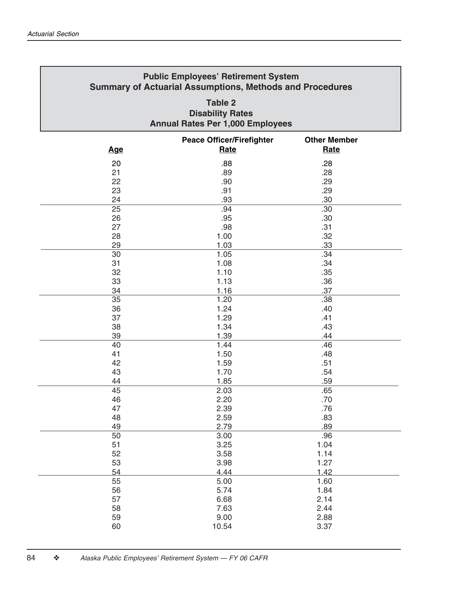### **Table 2 Disability Rates Annual Rates Per 1,000 Employees**

|                 | <b>Peace Officer/Firefighter</b> | <b>Other Member</b> |
|-----------------|----------------------------------|---------------------|
| <b>Age</b>      | <b>Rate</b>                      | Rate                |
| 20              | .88                              | .28                 |
| 21              | .89                              | .28                 |
| 22              | .90                              | .29                 |
| 23              | .91                              | .29                 |
| 24              | .93                              | .30                 |
| $\overline{25}$ | .94                              | .30                 |
| 26              | .95                              | .30                 |
| 27              | .98                              | .31                 |
| 28              | 1.00                             | .32                 |
| 29              | 1.03                             | .33                 |
| 30              | 1.05                             | .34                 |
| 31              | 1.08                             | .34                 |
| 32              | 1.10                             | .35                 |
| 33              | 1.13                             | .36                 |
| 34              | 1.16                             | .37                 |
| $\overline{35}$ | 1.20                             | .38                 |
| 36              | 1.24                             | .40                 |
| 37              | 1.29                             | .41                 |
| 38              | 1.34                             | .43                 |
| 39              | 1.39                             | .44                 |
| 40              | 1.44                             | .46                 |
| 41              | 1.50                             | .48                 |
| 42              | 1.59                             | .51                 |
| 43              | 1.70                             | .54                 |
| 44              | 1.85                             | .59                 |
| 45              | 2.03                             | .65                 |
| 46              | 2.20                             | .70                 |
| 47              | 2.39                             | .76                 |
| 48              | 2.59                             | .83                 |
| 49              | 2.79                             | .89                 |
| 50              | 3.00                             | .96                 |
| 51              | 3.25                             | 1.04                |
| 52              | 3.58                             | 1.14                |
| 53              | 3.98                             | 1.27                |
| 54<br>55        | 4.44<br>5.00                     | 1.42<br>1.60        |
| 56              | 5.74                             | 1.84                |
| 57              | 6.68                             | 2.14                |
| 58              | 7.63                             | 2.44                |
| 59              | 9.00                             | 2.88                |
| 60              | 10.54                            | 3.37                |
|                 |                                  |                     |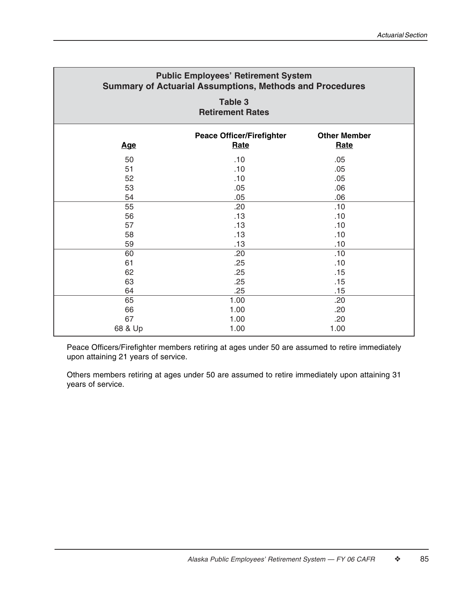| <b>Public Employees' Retirement System</b><br><b>Summary of Actuarial Assumptions, Methods and Procedures</b> |                                          |                             |  |  |  |  |  |  |
|---------------------------------------------------------------------------------------------------------------|------------------------------------------|-----------------------------|--|--|--|--|--|--|
| <b>Table 3</b><br><b>Retirement Rates</b>                                                                     |                                          |                             |  |  |  |  |  |  |
| <u>Age</u>                                                                                                    | <b>Peace Officer/Firefighter</b><br>Rate | <b>Other Member</b><br>Rate |  |  |  |  |  |  |
| 50                                                                                                            | .10                                      | .05                         |  |  |  |  |  |  |
| 51                                                                                                            | .10                                      | .05                         |  |  |  |  |  |  |
| 52                                                                                                            | .10                                      | .05                         |  |  |  |  |  |  |
| 53                                                                                                            | .05                                      | .06                         |  |  |  |  |  |  |
| 54                                                                                                            | .05                                      | .06                         |  |  |  |  |  |  |
| 55                                                                                                            | .20                                      | .10                         |  |  |  |  |  |  |
| 56                                                                                                            | .13                                      | .10                         |  |  |  |  |  |  |
| 57                                                                                                            | .13                                      | .10                         |  |  |  |  |  |  |
| 58                                                                                                            | .13                                      | .10                         |  |  |  |  |  |  |
| 59                                                                                                            | .13                                      | .10                         |  |  |  |  |  |  |
| 60<br>61<br>62                                                                                                | .20<br>.25                               | .10<br>.10                  |  |  |  |  |  |  |
| 63<br>64                                                                                                      | .25<br>.25<br>.25                        | .15<br>.15<br>.15           |  |  |  |  |  |  |
| 65                                                                                                            | 1.00                                     | .20                         |  |  |  |  |  |  |
| 66                                                                                                            | 1.00                                     | .20                         |  |  |  |  |  |  |
| 67                                                                                                            | 1.00                                     | .20                         |  |  |  |  |  |  |
| 68 & Up                                                                                                       | 1.00                                     | 1.00                        |  |  |  |  |  |  |

Peace Officers/Firefighter members retiring at ages under 50 are assumed to retire immediately upon attaining 21 years of service.

Others members retiring at ages under 50 are assumed to retire immediately upon attaining 31 years of service.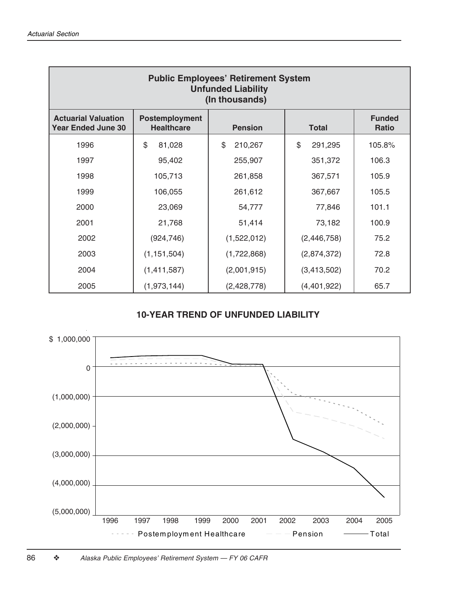| <b>Public Employees' Retirement System</b><br><b>Unfunded Liability</b><br>(In thousands) |                                     |                |               |                               |  |  |  |  |  |
|-------------------------------------------------------------------------------------------|-------------------------------------|----------------|---------------|-------------------------------|--|--|--|--|--|
| <b>Actuarial Valuation</b><br><b>Year Ended June 30</b>                                   | Postemployment<br><b>Healthcare</b> | <b>Pension</b> | <b>Total</b>  | <b>Funded</b><br><b>Ratio</b> |  |  |  |  |  |
| 1996                                                                                      | \$<br>81,028                        | \$<br>210,267  | \$<br>291,295 | 105.8%                        |  |  |  |  |  |
| 1997                                                                                      | 95,402                              | 255,907        | 351,372       | 106.3                         |  |  |  |  |  |
| 1998                                                                                      | 105,713                             | 261,858        | 367,571       | 105.9                         |  |  |  |  |  |
| 1999                                                                                      | 106,055                             | 261,612        | 367,667       | 105.5                         |  |  |  |  |  |
| 2000                                                                                      | 23,069                              | 54,777         | 77,846        | 101.1                         |  |  |  |  |  |
| 2001                                                                                      | 21,768                              | 51,414         | 73,182        | 100.9                         |  |  |  |  |  |
| 2002                                                                                      | (924, 746)                          | (1,522,012)    | (2,446,758)   | 75.2                          |  |  |  |  |  |
| 2003                                                                                      | (1, 151, 504)                       | (1,722,868)    | (2,874,372)   | 72.8                          |  |  |  |  |  |
| 2004                                                                                      | (1,411,587)                         | (2,001,915)    | (3,413,502)   | 70.2                          |  |  |  |  |  |
| 2005                                                                                      | (1,973,144)                         | (2,428,778)    | (4,401,922)   | 65.7                          |  |  |  |  |  |

**10-YEAR TREND OF UNFUNDED LIABILITY**

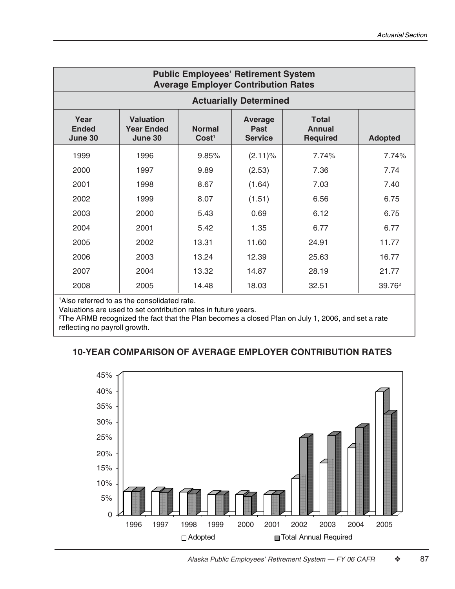| <b>Public Employees' Retirement System</b><br><b>Average Employer Contribution Rates</b> |                                                                                                                                    |       |                                                  |                |                    |  |  |  |  |  |
|------------------------------------------------------------------------------------------|------------------------------------------------------------------------------------------------------------------------------------|-------|--------------------------------------------------|----------------|--------------------|--|--|--|--|--|
|                                                                                          | <b>Actuarially Determined</b>                                                                                                      |       |                                                  |                |                    |  |  |  |  |  |
| Year<br><b>Ended</b><br>June 30                                                          | <b>Valuation</b><br>Average<br><b>Year Ended</b><br><b>Normal</b><br><b>Past</b><br>Cost <sup>1</sup><br><b>Service</b><br>June 30 |       | <b>Total</b><br><b>Annual</b><br><b>Required</b> | <b>Adopted</b> |                    |  |  |  |  |  |
| 1999                                                                                     | 1996                                                                                                                               | 9.85% | $(2.11)\%$                                       | 7.74%          | 7.74%              |  |  |  |  |  |
| 2000                                                                                     | 1997                                                                                                                               | 9.89  | (2.53)                                           | 7.36           | 7.74               |  |  |  |  |  |
| 2001                                                                                     | 1998                                                                                                                               | 8.67  | (1.64)                                           | 7.03           | 7.40               |  |  |  |  |  |
| 2002                                                                                     | 1999                                                                                                                               | 8.07  | (1.51)                                           | 6.56           | 6.75               |  |  |  |  |  |
| 2003                                                                                     | 2000                                                                                                                               | 5.43  | 0.69                                             | 6.12           | 6.75               |  |  |  |  |  |
| 2004                                                                                     | 2001                                                                                                                               | 5.42  | 1.35                                             | 6.77           | 6.77               |  |  |  |  |  |
| 2005                                                                                     | 2002                                                                                                                               | 13.31 | 11.60                                            | 24.91          | 11.77              |  |  |  |  |  |
| 2006                                                                                     | 2003                                                                                                                               | 13.24 | 12.39                                            | 25.63          | 16.77              |  |  |  |  |  |
| 2007                                                                                     | 2004                                                                                                                               | 13.32 | 14.87                                            | 28.19          | 21.77              |  |  |  |  |  |
| 2008                                                                                     | 2005                                                                                                                               | 14.48 | 18.03                                            | 32.51          | 39.76 <sup>2</sup> |  |  |  |  |  |

1 Also referred to as the consolidated rate.

Valuations are used to set contribution rates in future years.

 $^{\rm 2}$ The ARMB recognized the fact that the Plan becomes a closed Plan on July 1, 2006, and set a rate reflecting no payroll growth.

## **10-YEAR COMPARISON OF AVERAGE EMPLOYER CONTRIBUTION RATES**

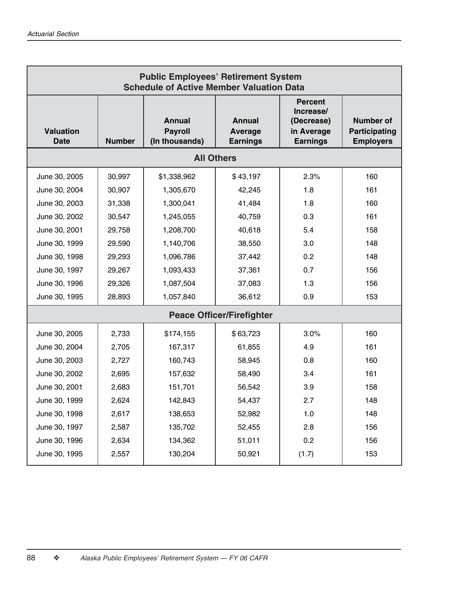| <b>Public Employees' Retirement System</b><br><b>Schedule of Active Member Valuation Data</b> |               |                                                   |                                      |                                                                            |                                                              |  |  |  |
|-----------------------------------------------------------------------------------------------|---------------|---------------------------------------------------|--------------------------------------|----------------------------------------------------------------------------|--------------------------------------------------------------|--|--|--|
| <b>Valuation</b><br><b>Date</b>                                                               | <b>Number</b> | <b>Annual</b><br><b>Payroll</b><br>(In thousands) | Annual<br>Average<br><b>Earnings</b> | <b>Percent</b><br>Increase/<br>(Decrease)<br>in Average<br><b>Earnings</b> | <b>Number of</b><br><b>Participating</b><br><b>Employers</b> |  |  |  |
|                                                                                               |               | <b>All Others</b>                                 |                                      |                                                                            |                                                              |  |  |  |
| June 30, 2005                                                                                 | 30,997        | \$1,338,962                                       | \$43,197                             | 2.3%                                                                       | 160                                                          |  |  |  |
| June 30, 2004                                                                                 | 30,907        | 1,305,670                                         | 42,245                               | 1.8                                                                        | 161                                                          |  |  |  |
| June 30, 2003                                                                                 | 31,338        | 1,300,041                                         | 41,484                               | 1.8                                                                        | 160                                                          |  |  |  |
| June 30, 2002                                                                                 | 30,547        | 1,245,055                                         | 40,759                               | 0.3                                                                        | 161                                                          |  |  |  |
| June 30, 2001                                                                                 | 29,758        | 1,208,700                                         | 40,618                               | 5.4                                                                        | 158                                                          |  |  |  |
| June 30, 1999                                                                                 | 29,590        | 1,140,706                                         | 38,550                               | 3.0                                                                        | 148                                                          |  |  |  |
| June 30, 1998                                                                                 | 29,293        | 1,096,786                                         | 37,442                               | 0.2                                                                        | 148                                                          |  |  |  |
| June 30, 1997                                                                                 | 29,267        | 1,093,433                                         | 37,361                               | 0.7                                                                        | 156                                                          |  |  |  |
| June 30, 1996                                                                                 | 29,326        | 1,087,504                                         | 37,083                               | 1.3                                                                        | 156                                                          |  |  |  |
| June 30, 1995                                                                                 | 28,893        | 1,057,840                                         | 36,612                               | 0.9                                                                        | 153                                                          |  |  |  |
|                                                                                               |               |                                                   | <b>Peace Officer/Firefighter</b>     |                                                                            |                                                              |  |  |  |
| June 30, 2005                                                                                 | 2,733         | \$174,155                                         | \$63,723                             | 3.0%                                                                       | 160                                                          |  |  |  |
| June 30, 2004                                                                                 | 2,705         | 167,317                                           | 61,855                               | 4.9                                                                        | 161                                                          |  |  |  |
| June 30, 2003                                                                                 | 2,727         | 160,743                                           | 58,945                               | 0.8                                                                        | 160                                                          |  |  |  |
| June 30, 2002                                                                                 | 2,695         | 157,632                                           | 58,490                               | 3.4                                                                        | 161                                                          |  |  |  |
| June 30, 2001                                                                                 | 2,683         | 151,701                                           | 56,542                               | 3.9                                                                        | 158                                                          |  |  |  |
| June 30, 1999                                                                                 | 2,624         | 142,843                                           | 54,437                               | 2.7                                                                        | 148                                                          |  |  |  |
| June 30, 1998                                                                                 | 2,617         | 138,653                                           | 52,982                               | 1.0                                                                        | 148                                                          |  |  |  |
| June 30, 1997                                                                                 | 2,587         | 135,702                                           | 52,455                               | 2.8                                                                        | 156                                                          |  |  |  |
| June 30, 1996                                                                                 | 2,634         | 134,362                                           | 51,011                               | 0.2                                                                        | 156                                                          |  |  |  |
| June 30, 1995                                                                                 | 2,557         | 130,204                                           | 50,921                               | (1.7)                                                                      | 153                                                          |  |  |  |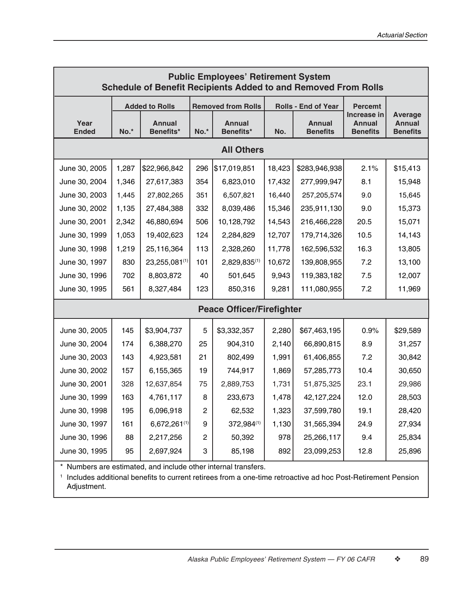| <b>Public Employees' Retirement System</b><br><b>Schedule of Benefit Recipients Added to and Removed From Rolls</b> |       |                            |      |                                  |        |                                  |                                                 |                                                    |  |
|---------------------------------------------------------------------------------------------------------------------|-------|----------------------------|------|----------------------------------|--------|----------------------------------|-------------------------------------------------|----------------------------------------------------|--|
|                                                                                                                     |       | <b>Added to Rolls</b>      |      | <b>Removed from Rolls</b>        |        | <b>Rolls - End of Year</b>       | <b>Percemt</b>                                  |                                                    |  |
| Year<br><b>Ended</b>                                                                                                | No.*  | <b>Annual</b><br>Benefits* | No.* | <b>Annual</b><br>Benefits*       | No.    | <b>Annual</b><br><b>Benefits</b> | Increase in<br><b>Annual</b><br><b>Benefits</b> | <b>Average</b><br><b>Annual</b><br><b>Benefits</b> |  |
| <b>All Others</b>                                                                                                   |       |                            |      |                                  |        |                                  |                                                 |                                                    |  |
| June 30, 2005                                                                                                       | 1,287 | \$22,966,842               | 296  | \$17,019,851                     | 18,423 | \$283,946,938                    | 2.1%                                            | \$15,413                                           |  |
| June 30, 2004                                                                                                       | 1,346 | 27,617,383                 | 354  | 6,823,010                        | 17,432 | 277,999,947                      | 8.1                                             | 15,948                                             |  |
| June 30, 2003                                                                                                       | 1,445 | 27,802,265                 | 351  | 6,507,821                        | 16,440 | 257,205,574                      | 9.0                                             | 15,645                                             |  |
| June 30, 2002                                                                                                       | 1,135 | 27,484,388                 | 332  | 8,039,486                        | 15,346 | 235,911,130                      | 9.0                                             | 15,373                                             |  |
| June 30, 2001                                                                                                       | 2,342 | 46,880,694                 | 506  | 10,128,792                       | 14,543 | 216,466,228                      | 20.5                                            | 15,071                                             |  |
| June 30, 1999                                                                                                       | 1,053 | 19,402,623                 | 124  | 2,284,829                        | 12,707 | 179,714,326                      | 10.5                                            | 14,143                                             |  |
| June 30, 1998                                                                                                       | 1,219 | 25,116,364                 | 113  | 2,328,260                        | 11,778 | 162,596,532                      | 16.3                                            | 13,805                                             |  |
| June 30, 1997                                                                                                       | 830   | 23,255,081(1)              | 101  | 2,829,835(1)                     | 10,672 | 139,808,955                      | 7.2                                             | 13,100                                             |  |
| June 30, 1996                                                                                                       | 702   | 8,803,872                  | 40   | 501,645                          | 9,943  | 119,383,182                      | 7.5                                             | 12,007                                             |  |
| June 30, 1995                                                                                                       | 561   | 8,327,484                  | 123  | 850,316                          | 9,281  | 111,080,955                      | 7.2                                             | 11,969                                             |  |
|                                                                                                                     |       |                            |      | <b>Peace Officer/Firefighter</b> |        |                                  |                                                 |                                                    |  |
| June 30, 2005                                                                                                       | 145   | \$3,904,737                | 5    | \$3,332,357                      | 2,280  | \$67,463,195                     | 0.9%                                            | \$29,589                                           |  |
| June 30, 2004                                                                                                       | 174   | 6,388,270                  | 25   | 904,310                          | 2,140  | 66,890,815                       | 8.9                                             | 31,257                                             |  |
| June 30, 2003                                                                                                       | 143   | 4,923,581                  | 21   | 802,499                          | 1,991  | 61,406,855                       | 7.2                                             | 30,842                                             |  |
| June 30, 2002                                                                                                       | 157   | 6,155,365                  | 19   | 744,917                          | 1,869  | 57,285,773                       | 10.4                                            | 30,650                                             |  |
| June 30, 2001                                                                                                       | 328   | 12,637,854                 | 75   | 2,889,753                        | 1,731  | 51,875,325                       | 23.1                                            | 29,986                                             |  |
| June 30, 1999                                                                                                       | 163   | 4,761,117                  | 8    | 233,673                          | 1,478  | 42,127,224                       | 12.0                                            | 28,503                                             |  |
| June 30, 1998                                                                                                       | 195   | 6,096,918                  | 2    | 62,532                           | 1,323  | 37,599,780                       | 19.1                                            | 28,420                                             |  |
| June 30, 1997                                                                                                       | 161   | 6,672,261(1)               | 9    | 372,984(1)                       | 1,130  | 31,565,394                       | 24.9                                            | 27,934                                             |  |
| June 30, 1996                                                                                                       | 88    | 2,217,256                  | 2    | 50,392                           | 978    | 25,266,117                       | 9.4                                             | 25,834                                             |  |
| June 30, 1995                                                                                                       | 95    | 2,697,924                  | 3    | 85,198                           | 892    | 23,099,253                       | 12.8                                            | 25,896                                             |  |

\* Numbers are estimated, and include other internal transfers.

<sup>1</sup> Includes additional benefits to current retirees from a one-time retroactive ad hoc Post-Retirement Pension Adjustment.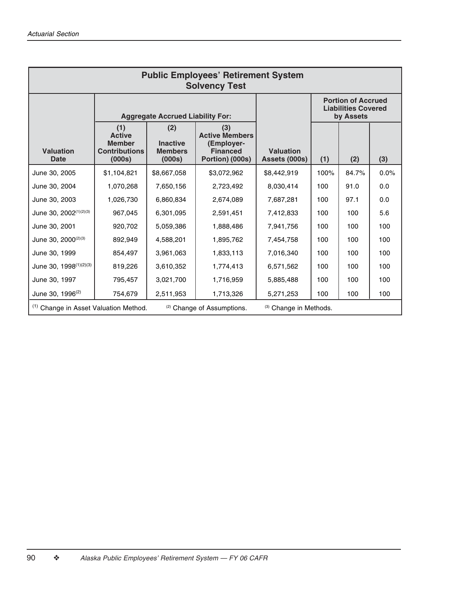| <b>Public Employees' Retirement System</b><br><b>Solvency Test</b> |                                                                         |                                                    |                                                                                  |                                   |      |                                                                      |      |  |  |  |
|--------------------------------------------------------------------|-------------------------------------------------------------------------|----------------------------------------------------|----------------------------------------------------------------------------------|-----------------------------------|------|----------------------------------------------------------------------|------|--|--|--|
|                                                                    |                                                                         | <b>Aggregate Accrued Liability For:</b>            |                                                                                  |                                   |      | <b>Portion of Accrued</b><br><b>Liabilities Covered</b><br>by Assets |      |  |  |  |
| <b>Valuation</b><br><b>Date</b>                                    | (1)<br><b>Active</b><br><b>Member</b><br><b>Contributions</b><br>(000s) | (2)<br><b>Inactive</b><br><b>Members</b><br>(000s) | (3)<br><b>Active Members</b><br>(Employer-<br><b>Financed</b><br>Portion) (000s) | <b>Valuation</b><br>Assets (000s) | (1)  | (2)                                                                  | (3)  |  |  |  |
| June 30, 2005                                                      | \$1,104,821                                                             | \$8,667,058                                        | \$3,072,962                                                                      | \$8,442,919                       | 100% | 84.7%                                                                | 0.0% |  |  |  |
| June 30, 2004                                                      | 1,070,268                                                               | 7,650,156                                          | 2,723,492                                                                        | 8,030,414                         | 100  | 91.0                                                                 | 0.0  |  |  |  |
| June 30, 2003                                                      | 1,026,730                                                               | 6,860,834                                          | 2,674,089                                                                        | 7,687,281                         | 100  | 97.1                                                                 | 0.0  |  |  |  |
| June 30, 2002(1)(2)(3)                                             | 967,045                                                                 | 6,301,095                                          | 2,591,451                                                                        | 7,412,833                         | 100  | 100                                                                  | 5.6  |  |  |  |
| June 30, 2001                                                      | 920,702                                                                 | 5,059,386                                          | 1,888,486                                                                        | 7,941,756                         | 100  | 100                                                                  | 100  |  |  |  |
| June 30, 2000 <sup>(2)(3)</sup>                                    | 892,949                                                                 | 4,588,201                                          | 1,895,762                                                                        | 7,454,758                         | 100  | 100                                                                  | 100  |  |  |  |
| June 30, 1999                                                      | 854,497                                                                 | 3,961,063                                          | 1,833,113                                                                        | 7,016,340                         | 100  | 100                                                                  | 100  |  |  |  |
| June 30, 1998(1)(2)(3)                                             | 819,226                                                                 | 3,610,352                                          | 1,774,413                                                                        | 6,571,562                         | 100  | 100                                                                  | 100  |  |  |  |
| June 30, 1997                                                      | 795,457                                                                 | 3,021,700                                          | 1,716,959                                                                        | 5,885,488                         | 100  | 100                                                                  | 100  |  |  |  |
| June 30, 1996 <sup>(2)</sup>                                       | 754,679                                                                 | 2,511,953                                          | 1,713,326                                                                        | 5,271,253                         | 100  | 100                                                                  | 100  |  |  |  |
| <sup>(1)</sup> Change in Asset Valuation Method.                   |                                                                         |                                                    | <sup>(2)</sup> Change of Assumptions.                                            | (3) Change in Methods.            |      |                                                                      |      |  |  |  |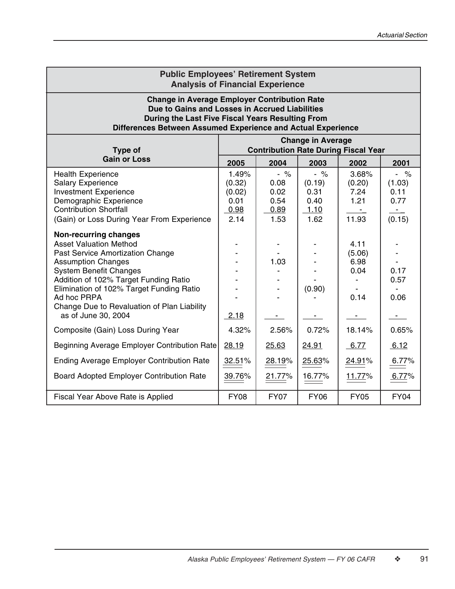| <b>Public Employees' Retirement System</b><br><b>Analysis of Financial Experience</b>                                                                                                                                                                                    |                                                   |                                               |                                                 |                                                  |                                                  |  |  |  |  |
|--------------------------------------------------------------------------------------------------------------------------------------------------------------------------------------------------------------------------------------------------------------------------|---------------------------------------------------|-----------------------------------------------|-------------------------------------------------|--------------------------------------------------|--------------------------------------------------|--|--|--|--|
| <b>Change in Average Employer Contribution Rate</b><br>Due to Gains and Losses in Accrued Liabilities<br>During the Last Five Fiscal Years Resulting From<br>Differences Between Assumed Experience and Actual Experience                                                |                                                   |                                               |                                                 |                                                  |                                                  |  |  |  |  |
| Type of                                                                                                                                                                                                                                                                  |                                                   |                                               | <b>Change in Average</b>                        | <b>Contribution Rate During Fiscal Year</b>      |                                                  |  |  |  |  |
| <b>Gain or Loss</b>                                                                                                                                                                                                                                                      | 2005                                              | 2004                                          | 2003                                            | 2002                                             | 2001                                             |  |  |  |  |
| <b>Health Experience</b><br><b>Salary Experience</b><br><b>Investment Experience</b><br>Demographic Experience<br><b>Contribution Shortfall</b><br>(Gain) or Loss During Year From Experience<br><b>Non-recurring changes</b><br><b>Asset Valuation Method</b>           | 1.49%<br>(0.32)<br>(0.02)<br>0.01<br>0.98<br>2.14 | $-$ %<br>0.08<br>0.02<br>0.54<br>0.89<br>1.53 | $-$ %<br>(0.19)<br>0.31<br>0.40<br>1.10<br>1.62 | 3.68%<br>(0.20)<br>7.24<br>1.21<br>11.93<br>4.11 | $-$ %<br>(1.03)<br>0.11<br>0.77<br>- 1<br>(0.15) |  |  |  |  |
| Past Service Amortization Change<br><b>Assumption Changes</b><br><b>System Benefit Changes</b><br>Addition of 102% Target Funding Ratio<br>Elimination of 102% Target Funding Ratio<br>Ad hoc PRPA<br>Change Due to Revaluation of Plan Liability<br>as of June 30, 2004 | 2.18                                              | 1.03                                          | (0.90)                                          | (5.06)<br>6.98<br>0.04<br>0.14                   | 0.17<br>0.57<br>0.06                             |  |  |  |  |
| Composite (Gain) Loss During Year                                                                                                                                                                                                                                        | 4.32%                                             | 2.56%                                         | 0.72%                                           | 18.14%                                           | 0.65%                                            |  |  |  |  |
| Beginning Average Employer Contribution Rate<br><b>Ending Average Employer Contribution Rate</b><br><b>Board Adopted Employer Contribution Rate</b>                                                                                                                      | 28.19<br>32.51%<br>39.76%                         | 25.63<br>28.19%<br>21.77%                     | 24.91<br>25.63%<br>16.77%                       | 6.77<br>24.91%<br>11.77%                         | 6.12<br>6.77%<br>6.77%                           |  |  |  |  |
| Fiscal Year Above Rate is Applied                                                                                                                                                                                                                                        | <b>FY08</b>                                       | <b>FY07</b>                                   | <b>FY06</b>                                     | <b>FY05</b>                                      | FY04                                             |  |  |  |  |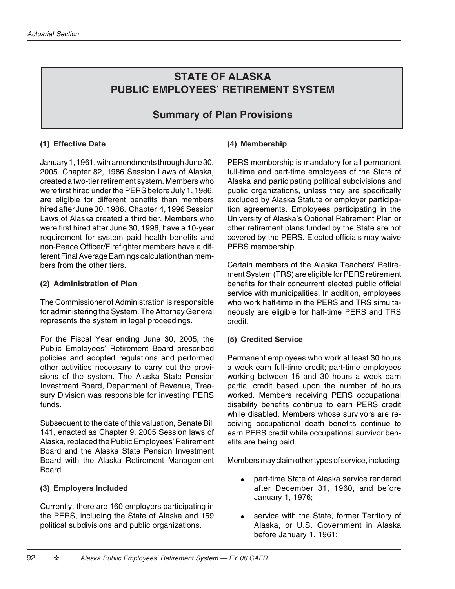## **Summary of Plan Provisions**

### **(1) Effective Date**

January 1, 1961, with amendments through June 30, 2005. Chapter 82, 1986 Session Laws of Alaska, created a two-tier retirement system. Members who were first hired under the PERS before July 1, 1986, are eligible for different benefits than members hired after June 30, 1986. Chapter 4, 1996 Session Laws of Alaska created a third tier. Members who were first hired after June 30, 1996, have a 10-year requirement for system paid health benefits and non-Peace Officer/Firefighter members have a different Final Average Earnings calculation than members from the other tiers.

#### **(2) Administration of Plan**

The Commissioner of Administration is responsible for administering the System. The Attorney General represents the system in legal proceedings.

For the Fiscal Year ending June 30, 2005, the Public Employees' Retirement Board prescribed policies and adopted regulations and performed other activities necessary to carry out the provisions of the system. The Alaska State Pension Investment Board, Department of Revenue, Treasury Division was responsible for investing PERS funds.

Subsequent to the date of this valuation, Senate Bill 141, enacted as Chapter 9, 2005 Session laws of Alaska, replaced the Public Employees' Retirement Board and the Alaska State Pension Investment Board with the Alaska Retirement Management Board.

#### **(3) Employers Included**

Currently, there are 160 employers participating in the PERS, including the State of Alaska and 159 political subdivisions and public organizations.

### **(4) Membership**

PERS membership is mandatory for all permanent full-time and part-time employees of the State of Alaska and participating political subdivisions and public organizations, unless they are specifically excluded by Alaska Statute or employer participation agreements. Employees participating in the University of Alaska's Optional Retirement Plan or other retirement plans funded by the State are not covered by the PERS. Elected officials may waive PERS membership.

Certain members of the Alaska Teachers' Retirement System (TRS) are eligible for PERS retirement benefits for their concurrent elected public official service with municipalities. In addition, employees who work half-time in the PERS and TRS simultaneously are eligible for half-time PERS and TRS credit.

#### **(5) Credited Service**

Permanent employees who work at least 30 hours a week earn full-time credit; part-time employees working between 15 and 30 hours a week earn partial credit based upon the number of hours worked. Members receiving PERS occupational disability benefits continue to earn PERS credit while disabled. Members whose survivors are receiving occupational death benefits continue to earn PERS credit while occupational survivor benefits are being paid.

Members may claim other types of service, including:

- part-time State of Alaska service rendered after December 31, 1960, and before January 1, 1976;
- service with the State, former Territory of Alaska, or U.S. Government in Alaska before January 1, 1961;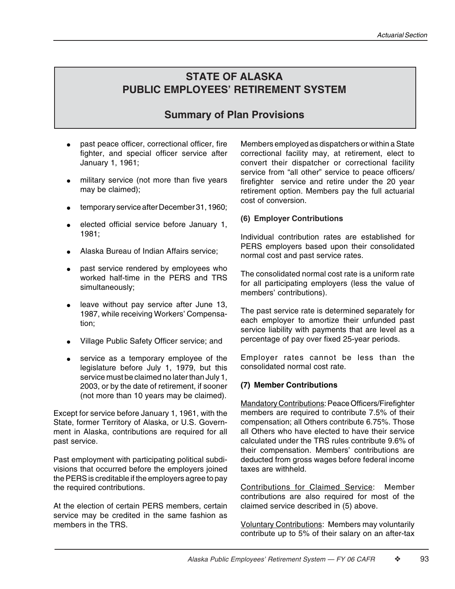# **Summary of Plan Provisions**

- past peace officer, correctional officer, fire fighter, and special officer service after January 1, 1961;
- military service (not more than five years may be claimed);
- temporary service after December 31, 1960;
- elected official service before January 1, 1981;
- Alaska Bureau of Indian Affairs service;
- past service rendered by employees who worked half-time in the PERS and TRS simultaneously;
- leave without pay service after June 13, 1987, while receiving Workers' Compensation;
- Village Public Safety Officer service; and
- service as a temporary employee of the legislature before July 1, 1979, but this service must be claimed no later than July 1, 2003, or by the date of retirement, if sooner (not more than 10 years may be claimed).

Except for service before January 1, 1961, with the State, former Territory of Alaska, or U.S. Government in Alaska, contributions are required for all past service.

Past employment with participating political subdivisions that occurred before the employers joined the PERS is creditable if the employers agree to pay the required contributions.

At the election of certain PERS members, certain service may be credited in the same fashion as members in the TRS.

Members employed as dispatchers or within a State correctional facility may, at retirement, elect to convert their dispatcher or correctional facility service from "all other" service to peace officers/ firefighter service and retire under the 20 year retirement option. Members pay the full actuarial cost of conversion.

### **(6) Employer Contributions**

Individual contribution rates are established for PERS employers based upon their consolidated normal cost and past service rates.

The consolidated normal cost rate is a uniform rate for all participating employers (less the value of members' contributions).

The past service rate is determined separately for each employer to amortize their unfunded past service liability with payments that are level as a percentage of pay over fixed 25-year periods.

Employer rates cannot be less than the consolidated normal cost rate.

### **(7) Member Contributions**

Mandatory Contributions: Peace Officers/Firefighter members are required to contribute 7.5% of their compensation; all Others contribute 6.75%. Those all Others who have elected to have their service calculated under the TRS rules contribute 9.6% of their compensation. Members' contributions are deducted from gross wages before federal income taxes are withheld.

Contributions for Claimed Service: Member contributions are also required for most of the claimed service described in (5) above.

Voluntary Contributions: Members may voluntarily contribute up to 5% of their salary on an after-tax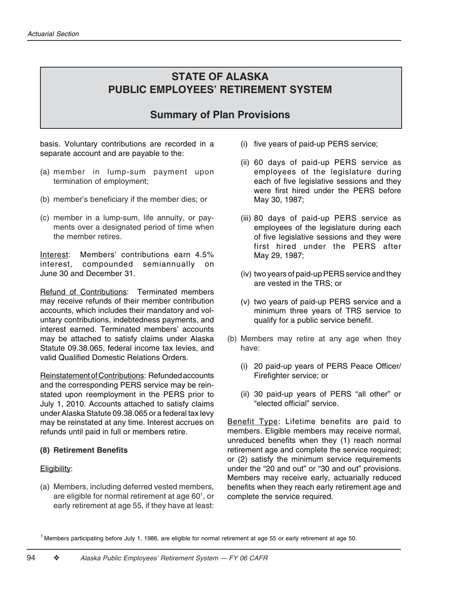## **Summary of Plan Provisions**

basis. Voluntary contributions are recorded in a separate account and are payable to the:

- (a) member in lump-sum payment upon termination of employment;
- (b) member's beneficiary if the member dies; or
- (c) member in a lump-sum, life annuity, or payments over a designated period of time when the member retires.

Interest: Members' contributions earn 4.5% interest, compounded semiannually on June 30 and December 31.

Refund of Contributions: Terminated members may receive refunds of their member contribution accounts, which includes their mandatory and voluntary contributions, indebtedness payments, and interest earned. Terminated members' accounts may be attached to satisfy claims under Alaska Statute 09.38.065, federal income tax levies, and valid Qualified Domestic Relations Orders.

Reinstatement of Contributions: Refunded accounts and the corresponding PERS service may be reinstated upon reemployment in the PERS prior to July 1, 2010. Accounts attached to satisfy claims under Alaska Statute 09.38.065 or a federal tax levy may be reinstated at any time. Interest accrues on refunds until paid in full or members retire.

#### **(8) Retirement Benefits**

#### Eligibility:

(a) Members, including deferred vested members, are eligible for normal retirement at age 60<sup>1</sup>, or early retirement at age 55, if they have at least:

- (i) five years of paid-up PERS service;
- (ii) 60 days of paid-up PERS service as employees of the legislature during each of five legislative sessions and they were first hired under the PERS before May 30, 1987;
- (iii) 80 days of paid-up PERS service as employees of the legislature during each of five legislative sessions and they were first hired under the PERS after May 29, 1987;
- (iv) two years of paid-up PERS service and they are vested in the TRS; or
- (v) two years of paid-up PERS service and a minimum three years of TRS service to qualify for a public service benefit.
- (b) Members may retire at any age when they have:
	- (i) 20 paid-up years of PERS Peace Officer/ Firefighter service; or
	- (ii) 30 paid-up years of PERS "all other" or "elected official" service.

Benefit Type: Lifetime benefits are paid to members. Eligible members may receive normal, unreduced benefits when they (1) reach normal retirement age and complete the service required; or (2) satisfy the minimum service requirements under the "20 and out" or "30 and out" provisions. Members may receive early, actuarially reduced benefits when they reach early retirement age and complete the service required.

 $1$  Members participating before July 1, 1986, are eligible for normal retirement at age 55 or early retirement at age 50.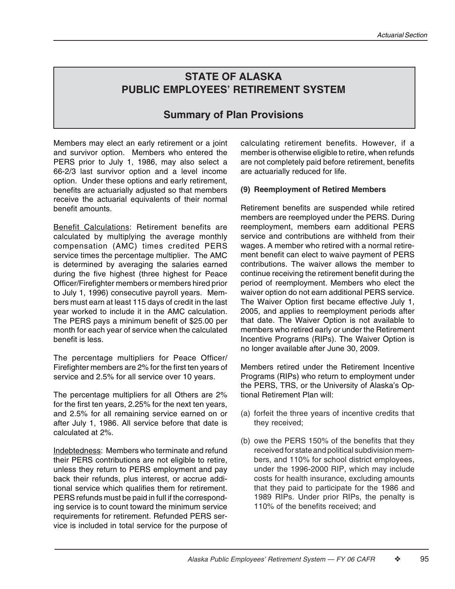## **Summary of Plan Provisions**

Members may elect an early retirement or a joint and survivor option. Members who entered the PERS prior to July 1, 1986, may also select a 66-2/3 last survivor option and a level income option. Under these options and early retirement, benefits are actuarially adjusted so that members receive the actuarial equivalents of their normal benefit amounts.

Benefit Calculations: Retirement benefits are calculated by multiplying the average monthly compensation (AMC) times credited PERS service times the percentage multiplier. The AMC is determined by averaging the salaries earned during the five highest (three highest for Peace Officer/Firefighter members or members hired prior to July 1, 1996) consecutive payroll years. Members must earn at least 115 days of credit in the last year worked to include it in the AMC calculation. The PERS pays a minimum benefit of \$25.00 per month for each year of service when the calculated benefit is less.

The percentage multipliers for Peace Officer/ Firefighter members are 2% for the first ten years of service and 2.5% for all service over 10 years.

The percentage multipliers for all Others are 2% for the first ten years, 2.25% for the next ten years, and 2.5% for all remaining service earned on or after July 1, 1986. All service before that date is calculated at 2%.

Indebtedness: Members who terminate and refund their PERS contributions are not eligible to retire, unless they return to PERS employment and pay back their refunds, plus interest, or accrue additional service which qualifies them for retirement. PERS refunds must be paid in full if the corresponding service is to count toward the minimum service requirements for retirement. Refunded PERS service is included in total service for the purpose of calculating retirement benefits. However, if a member is otherwise eligible to retire, when refunds are not completely paid before retirement, benefits are actuarially reduced for life.

#### **(9) Reemployment of Retired Members**

Retirement benefits are suspended while retired members are reemployed under the PERS. During reemployment, members earn additional PERS service and contributions are withheld from their wages. A member who retired with a normal retirement benefit can elect to waive payment of PERS contributions. The waiver allows the member to continue receiving the retirement benefit during the period of reemployment. Members who elect the waiver option do not earn additional PERS service. The Waiver Option first became effective July 1, 2005, and applies to reemployment periods after that date. The Waiver Option is not available to members who retired early or under the Retirement Incentive Programs (RIPs). The Waiver Option is no longer available after June 30, 2009.

Members retired under the Retirement Incentive Programs (RIPs) who return to employment under the PERS, TRS, or the University of Alaska's Optional Retirement Plan will:

- (a) forfeit the three years of incentive credits that they received;
- (b) owe the PERS 150% of the benefits that they received for state and political subdivision members, and 110% for school district employees, under the 1996-2000 RIP, which may include costs for health insurance, excluding amounts that they paid to participate for the 1986 and 1989 RIPs. Under prior RIPs, the penalty is 110% of the benefits received; and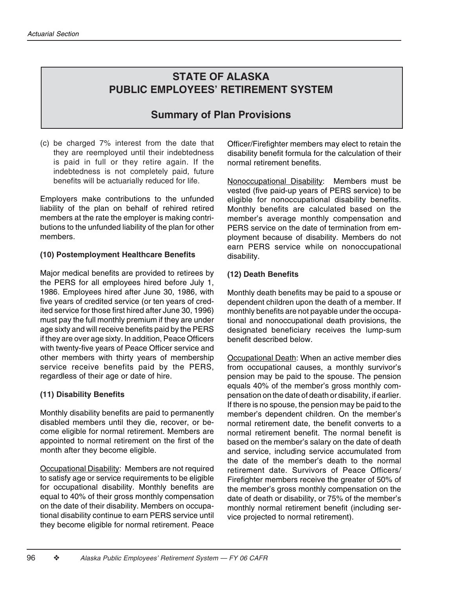## **Summary of Plan Provisions**

(c) be charged 7% interest from the date that they are reemployed until their indebtedness is paid in full or they retire again. If the indebtedness is not completely paid, future benefits will be actuarially reduced for life.

Employers make contributions to the unfunded liability of the plan on behalf of rehired retired members at the rate the employer is making contributions to the unfunded liability of the plan for other members.

#### **(10) Postemployment Healthcare Benefits**

Major medical benefits are provided to retirees by the PERS for all employees hired before July 1, 1986. Employees hired after June 30, 1986, with five years of credited service (or ten years of credited service for those first hired after June 30, 1996) must pay the full monthly premium if they are under age sixty and will receive benefits paid by the PERS if they are over age sixty. In addition, Peace Officers with twenty-five years of Peace Officer service and other members with thirty years of membership service receive benefits paid by the PERS, regardless of their age or date of hire.

#### **(11) Disability Benefits**

Monthly disability benefits are paid to permanently disabled members until they die, recover, or become eligible for normal retirement. Members are appointed to normal retirement on the first of the month after they become eligible.

Occupational Disability: Members are not required to satisfy age or service requirements to be eligible for occupational disability. Monthly benefits are equal to 40% of their gross monthly compensation on the date of their disability. Members on occupational disability continue to earn PERS service until they become eligible for normal retirement. Peace Officer/Firefighter members may elect to retain the disability benefit formula for the calculation of their normal retirement benefits.

Nonoccupational Disability: Members must be vested (five paid-up years of PERS service) to be eligible for nonoccupational disability benefits. Monthly benefits are calculated based on the member's average monthly compensation and PERS service on the date of termination from employment because of disability. Members do not earn PERS service while on nonoccupational disability.

#### **(12) Death Benefits**

Monthly death benefits may be paid to a spouse or dependent children upon the death of a member. If monthly benefits are not payable under the occupational and nonoccupational death provisions, the designated beneficiary receives the lump-sum benefit described below.

Occupational Death: When an active member dies from occupational causes, a monthly survivor's pension may be paid to the spouse. The pension equals 40% of the member's gross monthly compensation on the date of death or disability, if earlier. If there is no spouse, the pension may be paid to the member's dependent children. On the member's normal retirement date, the benefit converts to a normal retirement benefit. The normal benefit is based on the member's salary on the date of death and service, including service accumulated from the date of the member's death to the normal retirement date. Survivors of Peace Officers/ Firefighter members receive the greater of 50% of the member's gross monthly compensation on the date of death or disability, or 75% of the member's monthly normal retirement benefit (including service projected to normal retirement).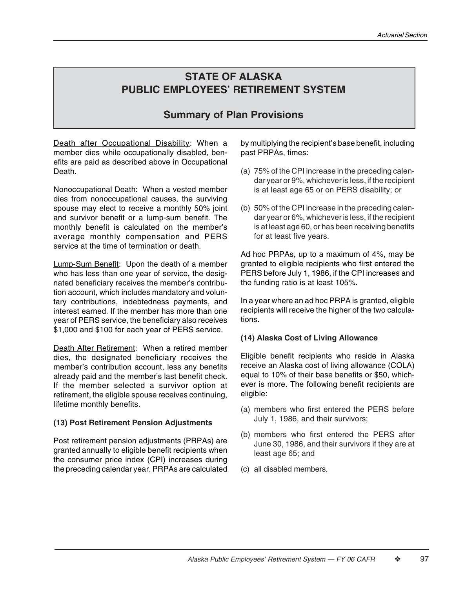## **Summary of Plan Provisions**

Death after Occupational Disability: When a member dies while occupationally disabled, benefits are paid as described above in Occupational Death.

Nonoccupational Death: When a vested member dies from nonoccupational causes, the surviving spouse may elect to receive a monthly 50% joint and survivor benefit or a lump-sum benefit. The monthly benefit is calculated on the member's average monthly compensation and PERS service at the time of termination or death.

Lump-Sum Benefit: Upon the death of a member who has less than one year of service, the designated beneficiary receives the member's contribution account, which includes mandatory and voluntary contributions, indebtedness payments, and interest earned. If the member has more than one year of PERS service, the beneficiary also receives \$1,000 and \$100 for each year of PERS service.

Death After Retirement: When a retired member dies, the designated beneficiary receives the member's contribution account, less any benefits already paid and the member's last benefit check. If the member selected a survivor option at retirement, the eligible spouse receives continuing, lifetime monthly benefits.

#### **(13) Post Retirement Pension Adjustments**

Post retirement pension adjustments (PRPAs) are granted annually to eligible benefit recipients when the consumer price index (CPI) increases during the preceding calendar year. PRPAs are calculated by multiplying the recipient's base benefit, including past PRPAs, times:

- (a) 75% of the CPI increase in the preceding calendar year or 9%, whichever is less, if the recipient is at least age 65 or on PERS disability; or
- (b) 50% of the CPI increase in the preceding calendar year or 6%, whichever is less, if the recipient is at least age 60, or has been receiving benefits for at least five years.

Ad hoc PRPAs, up to a maximum of 4%, may be granted to eligible recipients who first entered the PERS before July 1, 1986, if the CPI increases and the funding ratio is at least 105%.

In a year where an ad hoc PRPA is granted, eligible recipients will receive the higher of the two calculations.

#### **(14) Alaska Cost of Living Allowance**

Eligible benefit recipients who reside in Alaska receive an Alaska cost of living allowance (COLA) equal to 10% of their base benefits or \$50, whichever is more. The following benefit recipients are eligible:

- (a) members who first entered the PERS before July 1, 1986, and their survivors;
- (b) members who first entered the PERS after June 30, 1986, and their survivors if they are at least age 65; and
- (c) all disabled members.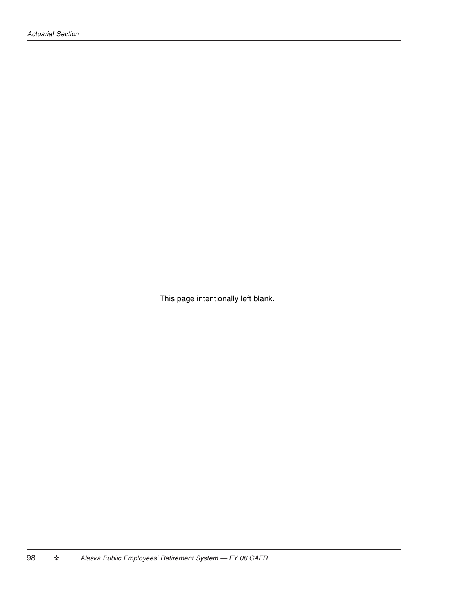This page intentionally left blank.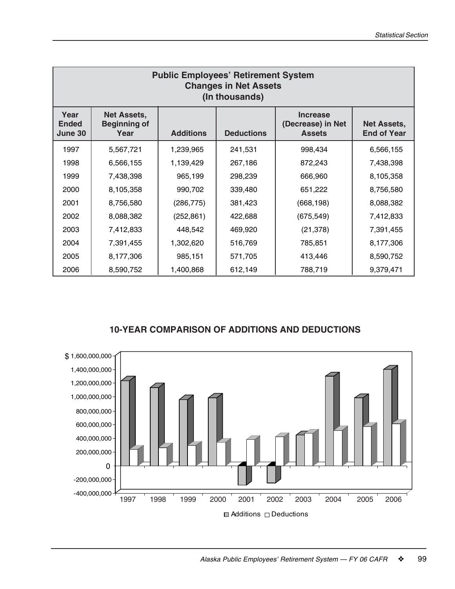| <b>Public Employees' Retirement System</b><br><b>Changes in Net Assets</b><br>(In thousands) |                                                   |                  |                   |                                                       |                                          |  |  |  |  |
|----------------------------------------------------------------------------------------------|---------------------------------------------------|------------------|-------------------|-------------------------------------------------------|------------------------------------------|--|--|--|--|
| Year<br><b>Ended</b><br>June 30                                                              | <b>Net Assets,</b><br><b>Beginning of</b><br>Year | <b>Additions</b> | <b>Deductions</b> | <b>Increase</b><br>(Decrease) in Net<br><b>Assets</b> | <b>Net Assets,</b><br><b>End of Year</b> |  |  |  |  |
| 1997                                                                                         | 5,567,721                                         | 1,239,965        | 241,531           | 998,434                                               | 6,566,155                                |  |  |  |  |
| 1998                                                                                         | 6,566,155                                         | 1,139,429        | 267,186           | 872,243                                               | 7,438,398                                |  |  |  |  |
| 1999                                                                                         | 7,438,398                                         | 965,199          | 298,239           | 666,960                                               | 8,105,358                                |  |  |  |  |
| 2000                                                                                         | 8,105,358                                         | 990,702          | 339,480           | 651,222                                               | 8,756,580                                |  |  |  |  |
| 2001                                                                                         | 8,756,580                                         | (286, 775)       | 381,423           | (668, 198)                                            | 8,088,382                                |  |  |  |  |
| 2002                                                                                         | 8,088,382                                         | (252, 861)       | 422,688           | (675, 549)                                            | 7,412,833                                |  |  |  |  |
| 2003                                                                                         | 7,412,833                                         | 448,542          | 469,920           | (21, 378)                                             | 7,391,455                                |  |  |  |  |
| 2004                                                                                         | 7,391,455                                         | 1,302,620        | 516,769           | 785,851                                               | 8,177,306                                |  |  |  |  |
| 2005                                                                                         | 8,177,306                                         | 985,151          | 571,705           | 413,446                                               | 8,590,752                                |  |  |  |  |
| 2006                                                                                         | 8,590,752                                         | 1,400,868        | 612,149           | 788,719                                               | 9,379,471                                |  |  |  |  |

### **10-YEAR COMPARISON OF ADDITIONS AND DEDUCTIONS**

![](_page_102_Figure_3.jpeg)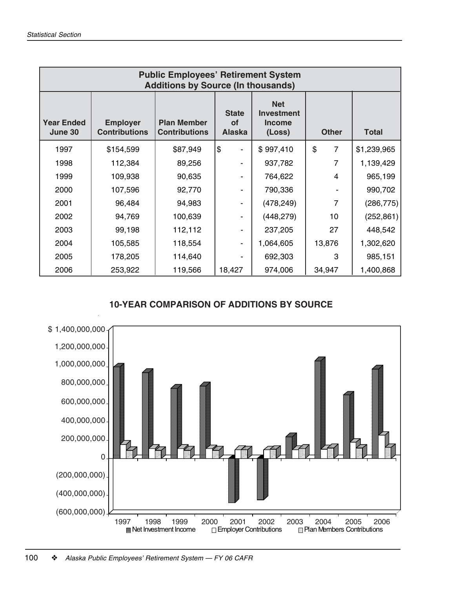| <b>Public Employees' Retirement System</b><br><b>Additions by Source (In thousands)</b> |                                         |                                            |                                            |                                                            |                      |              |  |  |  |
|-----------------------------------------------------------------------------------------|-----------------------------------------|--------------------------------------------|--------------------------------------------|------------------------------------------------------------|----------------------|--------------|--|--|--|
| <b>Year Ended</b><br>June 30                                                            | <b>Employer</b><br><b>Contributions</b> | <b>Plan Member</b><br><b>Contributions</b> | <b>State</b><br><b>of</b><br><b>Alaska</b> | <b>Net</b><br><b>Investment</b><br><b>Income</b><br>(Loss) | <b>Other</b>         | <b>Total</b> |  |  |  |
| 1997                                                                                    | \$154,599                               | \$87,949                                   | \$                                         | \$997,410                                                  | \$<br>$\overline{7}$ | \$1,239,965  |  |  |  |
| 1998                                                                                    | 112,384                                 | 89,256                                     |                                            | 937,782                                                    | 7                    | 1,139,429    |  |  |  |
| 1999                                                                                    | 109,938                                 | 90,635                                     |                                            | 764,622                                                    | $\overline{4}$       | 965,199      |  |  |  |
| 2000                                                                                    | 107,596                                 | 92,770                                     |                                            | 790,336                                                    |                      | 990,702      |  |  |  |
| 2001                                                                                    | 96,484                                  | 94,983                                     |                                            | (478, 249)                                                 | 7                    | (286, 775)   |  |  |  |
| 2002                                                                                    | 94,769                                  | 100,639                                    |                                            | (448, 279)                                                 | 10                   | (252, 861)   |  |  |  |
| 2003                                                                                    | 99,198                                  | 112,112                                    |                                            | 237,205                                                    | 27                   | 448,542      |  |  |  |
| 2004                                                                                    | 105,585                                 | 118,554                                    |                                            | 1,064,605                                                  | 13,876               | 1,302,620    |  |  |  |
| 2005                                                                                    | 178,205                                 | 114,640                                    |                                            | 692,303                                                    | 3                    | 985,151      |  |  |  |
| 2006                                                                                    | 253,922                                 | 119,566                                    | 18,427                                     | 974,006                                                    | 34,947               | 1,400,868    |  |  |  |

# **10-YEAR COMPARISON OF ADDITIONS BY SOURCE**

![](_page_103_Figure_3.jpeg)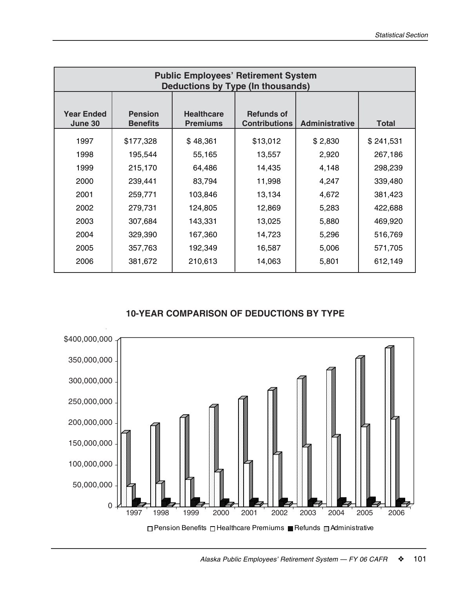| <b>Public Employees' Retirement System</b><br><b>Deductions by Type (In thousands)</b> |                                   |                                      |                                           |                       |              |  |  |  |
|----------------------------------------------------------------------------------------|-----------------------------------|--------------------------------------|-------------------------------------------|-----------------------|--------------|--|--|--|
| <b>Year Ended</b><br>June 30                                                           | <b>Pension</b><br><b>Benefits</b> | <b>Healthcare</b><br><b>Premiums</b> | <b>Refunds of</b><br><b>Contributions</b> | <b>Administrative</b> | <b>Total</b> |  |  |  |
| 1997                                                                                   | \$177,328                         | \$48,361                             | \$13,012                                  | \$2,830               | \$241,531    |  |  |  |
| 1998                                                                                   | 195,544                           | 55,165                               | 13,557                                    | 2,920                 | 267,186      |  |  |  |
| 1999                                                                                   | 215,170                           | 64,486                               | 14,435                                    | 4,148                 | 298,239      |  |  |  |
| 2000                                                                                   | 239,441                           | 83,794                               | 11,998                                    | 4,247                 | 339,480      |  |  |  |
| 2001                                                                                   | 259,771                           | 103,846                              | 13,134                                    | 4,672                 | 381,423      |  |  |  |
| 2002                                                                                   | 279,731                           | 124,805                              | 12,869                                    | 5,283                 | 422,688      |  |  |  |
| 2003                                                                                   | 307,684                           | 143,331                              | 13,025                                    | 5,880                 | 469,920      |  |  |  |
| 2004                                                                                   | 329,390                           | 167,360                              | 14,723                                    | 5,296                 | 516,769      |  |  |  |
| 2005                                                                                   | 357,763                           | 192,349                              | 16,587                                    | 5,006                 | 571,705      |  |  |  |
| 2006                                                                                   | 381,672                           | 210,613                              | 14,063                                    | 5,801                 | 612,149      |  |  |  |

**10-YEAR COMPARISON OF DEDUCTIONS BY TYPE**

![](_page_104_Figure_3.jpeg)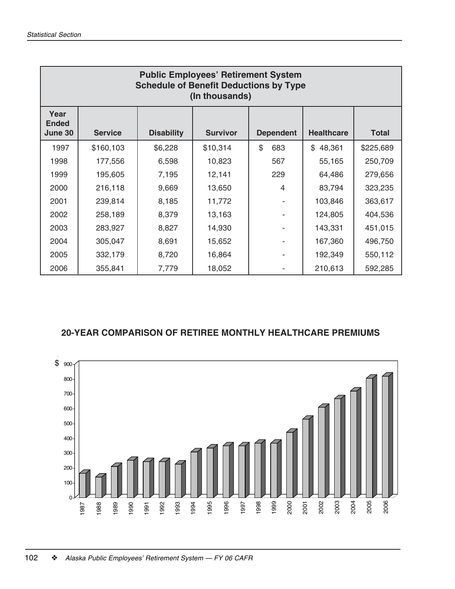| <b>Public Employees' Retirement System</b><br><b>Schedule of Benefit Deductions by Type</b><br>(In thousands) |                |                   |                 |                  |                   |              |  |  |
|---------------------------------------------------------------------------------------------------------------|----------------|-------------------|-----------------|------------------|-------------------|--------------|--|--|
| Year<br><b>Ended</b><br>June 30                                                                               | <b>Service</b> | <b>Disability</b> | <b>Survivor</b> | <b>Dependent</b> | <b>Healthcare</b> | <b>Total</b> |  |  |
| 1997                                                                                                          | \$160,103      | \$6,228           | \$10,314        | \$<br>683        | \$48,361          | \$225,689    |  |  |
| 1998                                                                                                          | 177,556        | 6,598             | 10,823          | 567              | 55,165            | 250,709      |  |  |
| 1999                                                                                                          | 195,605        | 7,195             | 12,141          | 229              | 64,486            | 279,656      |  |  |
| 2000                                                                                                          | 216,118        | 9,669             | 13,650          | 4                | 83,794            | 323,235      |  |  |
| 2001                                                                                                          | 239,814        | 8,185             | 11,772          |                  | 103,846           | 363,617      |  |  |
| 2002                                                                                                          | 258,189        | 8,379             | 13,163          |                  | 124,805           | 404,536      |  |  |
| 2003                                                                                                          | 283,927        | 8,827             | 14,930          |                  | 143,331           | 451,015      |  |  |
| 2004                                                                                                          | 305,047        | 8,691             | 15,652          |                  | 167,360           | 496,750      |  |  |
| 2005                                                                                                          | 332,179        | 8,720             | 16,864          |                  | 192,349           | 550,112      |  |  |
| 2006                                                                                                          | 355,841        | 7,779             | 18,052          |                  | 210,613           | 592,285      |  |  |

# **20-YEAR COMPARISON OF RETIREE MONTHLY HEALTHCARE PREMIUMS**

![](_page_105_Figure_3.jpeg)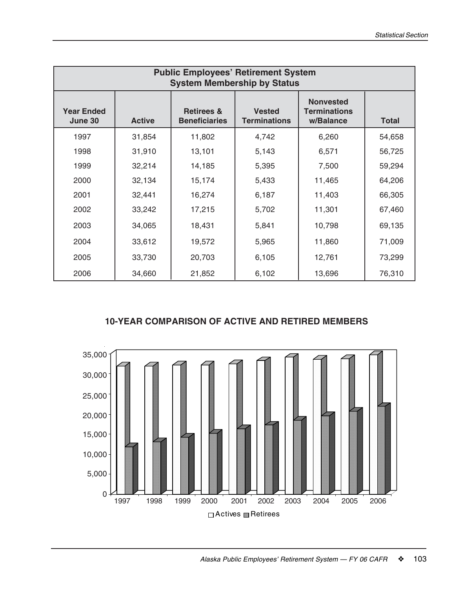| <b>Public Employees' Retirement System</b><br><b>System Membership by Status</b> |        |                                               |                                      |                                                      |              |  |  |  |
|----------------------------------------------------------------------------------|--------|-----------------------------------------------|--------------------------------------|------------------------------------------------------|--------------|--|--|--|
| <b>Year Ended</b><br>June 30<br><b>Active</b>                                    |        | <b>Retirees &amp;</b><br><b>Beneficiaries</b> | <b>Vested</b><br><b>Terminations</b> | <b>Nonvested</b><br><b>Terminations</b><br>w/Balance | <b>Total</b> |  |  |  |
| 1997                                                                             | 31,854 | 11,802                                        | 4,742                                | 6,260                                                | 54,658       |  |  |  |
| 1998                                                                             | 31,910 | 13,101                                        | 5,143                                | 6,571                                                | 56,725       |  |  |  |
| 1999                                                                             | 32,214 | 14,185                                        | 5,395                                | 7,500                                                | 59,294       |  |  |  |
| 2000                                                                             | 32,134 | 15,174                                        | 5,433                                | 11,465                                               | 64,206       |  |  |  |
| 2001                                                                             | 32,441 | 16,274                                        | 6,187                                | 11,403                                               | 66,305       |  |  |  |
| 2002                                                                             | 33,242 | 17,215                                        | 5,702                                | 11,301                                               | 67,460       |  |  |  |
| 2003                                                                             | 34,065 | 18,431                                        | 5,841                                | 10,798                                               | 69,135       |  |  |  |
| 2004                                                                             | 33,612 | 19,572                                        | 5,965                                | 11,860                                               | 71,009       |  |  |  |
| 2005                                                                             | 33,730 | 20,703                                        | 6,105                                | 12,761                                               | 73,299       |  |  |  |
| 2006                                                                             | 34,660 | 21,852                                        | 6,102                                | 13,696                                               | 76,310       |  |  |  |

# **10-YEAR COMPARISON OF ACTIVE AND RETIRED MEMBERS**

![](_page_106_Figure_3.jpeg)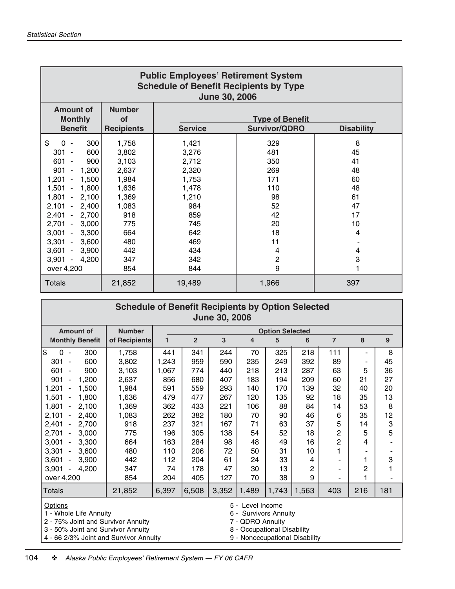| <b>Public Employees' Retirement System</b><br><b>Schedule of Benefit Recipients by Type</b><br><b>June 30, 2006</b>                                                                                                                                                                                                    |                                                                                                                       |                                                                                                                     |                                                                                                        |                                                                        |  |  |  |
|------------------------------------------------------------------------------------------------------------------------------------------------------------------------------------------------------------------------------------------------------------------------------------------------------------------------|-----------------------------------------------------------------------------------------------------------------------|---------------------------------------------------------------------------------------------------------------------|--------------------------------------------------------------------------------------------------------|------------------------------------------------------------------------|--|--|--|
| <b>Amount of</b><br><b>Monthly</b><br><b>Benefit</b>                                                                                                                                                                                                                                                                   | <b>Number</b><br><b>of</b><br><b>Recipients</b>                                                                       | <b>Type of Benefit</b><br><b>Service</b><br><b>Survivor/QDRO</b><br><b>Disability</b>                               |                                                                                                        |                                                                        |  |  |  |
| \$<br>300<br>$0 -$<br>600<br>$301 -$<br>$601 -$<br>900<br>901<br>1,200<br>$\blacksquare$<br>1,201<br>1,500<br>$\blacksquare$<br>1,501<br>$-1,800$<br>$1,801 - 2,100$<br>$2,101 - 2,400$<br>2,401 - 2,700<br>2,701 - 3,000<br>$3,001 - 3,300$<br>$3,301 - 3,600$<br>$3,601 - 3,900$<br>$3,901 -$<br>4,200<br>over 4,200 | 1,758<br>3,802<br>3,103<br>2,637<br>1,984<br>1,636<br>1,369<br>1,083<br>918<br>775<br>664<br>480<br>442<br>347<br>854 | 1,421<br>3,276<br>2,712<br>2,320<br>1,753<br>1,478<br>1,210<br>984<br>859<br>745<br>642<br>469<br>434<br>342<br>844 | 329<br>481<br>350<br>269<br>171<br>110<br>98<br>52<br>42<br>20<br>18<br>11<br>4<br>$\overline{c}$<br>9 | 8<br>45<br>41<br>48<br>60<br>48<br>61<br>47<br>17<br>10<br>4<br>4<br>3 |  |  |  |
| <b>Totals</b>                                                                                                                                                                                                                                                                                                          | 21,852                                                                                                                | 19,489                                                                                                              | 1,966                                                                                                  | 397                                                                    |  |  |  |

| <b>Schedule of Benefit Recipients by Option Selected</b><br><b>June 30, 2006</b>                                                                        |               |                        |                |            |                                                                                                     |                          |       |                |                         |     |
|---------------------------------------------------------------------------------------------------------------------------------------------------------|---------------|------------------------|----------------|------------|-----------------------------------------------------------------------------------------------------|--------------------------|-------|----------------|-------------------------|-----|
| <b>Amount of</b>                                                                                                                                        | <b>Number</b> | <b>Option Selected</b> |                |            |                                                                                                     |                          |       |                |                         |     |
| <b>Monthly Benefit</b>                                                                                                                                  | of Recipients | 1                      | $\overline{2}$ | 3          | 4                                                                                                   | 5                        | 6     | $\overline{7}$ | 8                       | 9   |
| $\sqrt{3}$<br>300<br>$\Omega$                                                                                                                           | 1,758         | 441                    | 341            | 244        | 70                                                                                                  | 325                      | 218   | 111            | ۰                       | 8   |
| 600<br>301<br>$\blacksquare$                                                                                                                            | 3,802         | 1,243                  | 959            | 590        | 235                                                                                                 | 249                      | 392   | 89             |                         | 45  |
| 900<br>601<br>$\overline{\phantom{a}}$                                                                                                                  | 3,103         | 1,067                  | 774            | 440        | 218                                                                                                 | 213                      | 287   | 63             | 5                       | 36  |
| 901<br>1,200<br>٠                                                                                                                                       | 2,637         | 856                    | 680            | 407        | 183                                                                                                 | 194                      | 209   | 60             | 21                      | 27  |
| 1,201<br>1,500<br>$\blacksquare$                                                                                                                        | 1,984         | 591                    | 559            | 293        | 140                                                                                                 | 170                      | 139   | 32             | 40                      | 20  |
| 1,501<br>1,800                                                                                                                                          | 1,636         | 479                    | 477            | 267        | 120                                                                                                 | 135                      | 92    | 18             | 35                      | 13  |
| 1,801<br>2,100                                                                                                                                          | 1,369         | 362                    | 433            | 221        | 106                                                                                                 | 88                       | 84    | 14             | 53                      | 8   |
| 2,101<br>2,400                                                                                                                                          | 1,083         | 262                    | 382            | 180        | 70                                                                                                  | 90                       | 46    | 6              | 35                      | 12  |
| 2,401<br>2,700<br>$\blacksquare$                                                                                                                        | 918           | 237                    | 321            | 167        | 71                                                                                                  | 63                       | 37    | 5              | 14                      | 3   |
| 2,701<br>3,000<br>$\blacksquare$                                                                                                                        | 775           | 196                    | 305            | 138        | 54                                                                                                  | 52                       | 18    | 2              | 5                       | 5   |
| 3,001<br>3,300<br>$\overline{a}$                                                                                                                        | 664           | 163                    | 284            | 98         | 48                                                                                                  | 49                       | 16    | 2              | $\overline{\mathbf{4}}$ |     |
| 3,301<br>3,600<br>$\overline{\phantom{a}}$                                                                                                              | 480           | 110                    | 206            | 72         | 50                                                                                                  | 31                       | 10    | 1              |                         |     |
| 3,601<br>3,900<br>$\blacksquare$                                                                                                                        | 442           | 112                    | 204            | 61         | 24                                                                                                  | 33                       | 4     |                | 1                       | 3   |
| 3,901<br>4,200<br>$\overline{a}$                                                                                                                        | 347           | 74                     | 178            | 47         | 30                                                                                                  | 13                       | 2     |                | 2                       | 1   |
| over 4,200                                                                                                                                              | 854           | 204                    | 405            | 127        | 70                                                                                                  | 38                       | 9     |                | 1                       |     |
| <b>Totals</b>                                                                                                                                           | 21,852        | 6,397                  | 6,508          | 3,352      | 1,489                                                                                               | 1,743                    | 1,563 | 403            | 216                     | 181 |
| Options<br>1 - Whole Life Annuity<br>2 - 75% Joint and Survivor Annuity<br>3 - 50% Joint and Survivor Annuity<br>4 - 66 2/3% Joint and Survivor Annuity |               |                        |                | $6 -$<br>8 | 5 - Level Income<br>7 - QDRO Annuity<br>- Occupational Disability<br>9 - Nonoccupational Disability | <b>Survivors Annuity</b> |       |                |                         |     |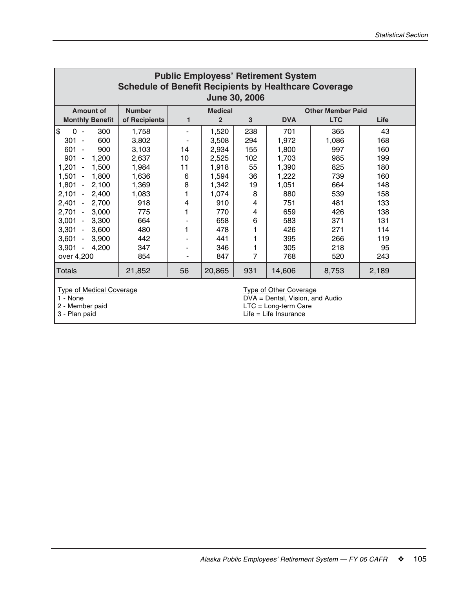| <b>Public Employess' Retirement System</b><br><b>Schedule of Benefit Recipients by Healthcare Coverage</b><br><b>June 30, 2006</b> |               |                                            |                |     |            |            |       |
|------------------------------------------------------------------------------------------------------------------------------------|---------------|--------------------------------------------|----------------|-----|------------|------------|-------|
| <b>Amount of</b>                                                                                                                   | <b>Number</b> | <b>Medical</b><br><b>Other Member Paid</b> |                |     |            |            |       |
| <b>Monthly Benefit</b>                                                                                                             | of Recipients | 1                                          | $\overline{2}$ | 3   | <b>DVA</b> | <b>LTC</b> | Life  |
| $\overline{\mathcal{S}}$<br>300<br>0                                                                                               | 1,758         |                                            | 1,520          | 238 | 701        | 365        | 43    |
| $301 -$<br>600                                                                                                                     | 3,802         |                                            | 3,508          | 294 | 1,972      | 1,086      | 168   |
| 900<br>601<br>$\overline{\phantom{a}}$                                                                                             | 3,103         | 14                                         | 2,934          | 155 | 1,800      | 997        | 160   |
| 901<br>1,200<br>$\overline{\phantom{a}}$                                                                                           | 2,637         | 10                                         | 2,525          | 102 | 1,703      | 985        | 199   |
| 1,201<br>1,500                                                                                                                     | 1,984         | 11                                         | 1,918          | 55  | 1,390      | 825        | 180   |
| 1,501<br>1,800                                                                                                                     | 1,636         | 6                                          | 1,594          | 36  | 1,222      | 739        | 160   |
| 1,801<br>2,100                                                                                                                     | 1,369         | 8                                          | 1,342          | 19  | 1,051      | 664        | 148   |
| 2,101<br>2,400                                                                                                                     | 1,083         |                                            | 1,074          | 8   | 880        | 539        | 158   |
| 2,401<br>2,700                                                                                                                     | 918           | 4                                          | 910            | 4   | 751        | 481        | 133   |
| 2,701<br>3,000                                                                                                                     | 775           |                                            | 770            | 4   | 659        | 426        | 138   |
| 3,001<br>3,300<br>$\blacksquare$                                                                                                   | 664           |                                            | 658            | 6   | 583        | 371        | 131   |
| 3,301<br>3,600<br>$\blacksquare$                                                                                                   | 480           |                                            | 478            |     | 426        | 271        | 114   |
| 3,601<br>3,900<br>$\mathbf{r}$                                                                                                     | 442           |                                            | 441            |     | 395        | 266        | 119   |
| 3,901<br>4,200<br>$\overline{\phantom{a}}$                                                                                         | 347           |                                            | 346            |     | 305        | 218        | 95    |
| over 4,200                                                                                                                         | 854           |                                            | 847            | 7   | 768        | 520        | 243   |
| <b>Totals</b>                                                                                                                      | 21,852        | 56                                         | 20,865         | 931 | 14,606     | 8,753      | 2,189 |
|                                                                                                                                    |               |                                            |                |     |            |            |       |

Type of Medical Coverage

1 - None

2 - Member paid

3 - Plan paid

Type of Other Coverage DVA = Dental, Vision, and Audio LTC = Long-term Care Life = Life Insurance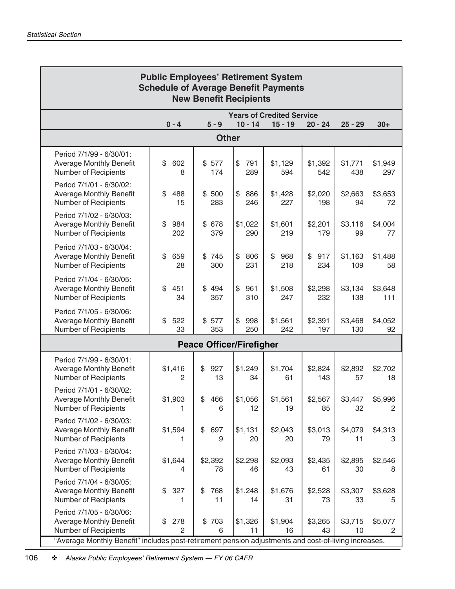| <b>Public Employees' Retirement System</b><br><b>Schedule of Average Benefit Payments</b><br><b>New Benefit Recipients</b>                                                                 |                  |                                 |                              |                                               |                  |                |                |
|--------------------------------------------------------------------------------------------------------------------------------------------------------------------------------------------|------------------|---------------------------------|------------------------------|-----------------------------------------------|------------------|----------------|----------------|
|                                                                                                                                                                                            | $0 - 4$          | $5 - 9$                         | $10 - 14$                    | <b>Years of Credited Service</b><br>$15 - 19$ | $20 - 24$        | $25 - 29$      | $30+$          |
|                                                                                                                                                                                            |                  | <b>Other</b>                    |                              |                                               |                  |                |                |
| Period 7/1/99 - 6/30/01:<br><b>Average Monthly Benefit</b><br><b>Number of Recipients</b>                                                                                                  | \$<br>602<br>8   | \$577<br>174                    | $\mathbb S$<br>791<br>289    | \$1,129<br>594                                | \$1,392<br>542   | \$1,771<br>438 | \$1,949<br>297 |
| Period 7/1/01 - 6/30/02:<br><b>Average Monthly Benefit</b><br>Number of Recipients                                                                                                         | \$<br>488<br>15  | \$500<br>283                    | \$<br>886<br>246             | \$1,428<br>227                                | \$2,020<br>198   | \$2,663<br>94  | \$3,653<br>72  |
| Period 7/1/02 - 6/30/03:<br><b>Average Monthly Benefit</b><br>Number of Recipients                                                                                                         | \$<br>984<br>202 | \$ 678<br>379                   | \$1,022<br>290               | \$1,601<br>219                                | \$2,201<br>179   | \$3,116<br>99  | \$4,004<br>77  |
| Period 7/1/03 - 6/30/04:<br><b>Average Monthly Benefit</b><br><b>Number of Recipients</b>                                                                                                  | \$<br>659<br>28  | \$745<br>300                    | \$<br>806<br>231             | \$<br>968<br>218                              | \$<br>917<br>234 | \$1,163<br>109 | \$1,488<br>58  |
| Period 7/1/04 - 6/30/05:<br><b>Average Monthly Benefit</b><br>Number of Recipients                                                                                                         | \$<br>451<br>34  | \$494<br>357                    | $\mathfrak{S}$<br>961<br>310 | \$1,508<br>247                                | \$2,298<br>232   | \$3,134<br>138 | \$3,648<br>111 |
| Period 7/1/05 - 6/30/06:<br><b>Average Monthly Benefit</b><br>Number of Recipients                                                                                                         | \$<br>522<br>33  | \$577<br>353                    | \$<br>998<br>250             | \$1,561<br>242                                | \$2,391<br>197   | \$3,468<br>130 | \$4,052<br>92  |
|                                                                                                                                                                                            |                  | <b>Peace Officer/Firefigher</b> |                              |                                               |                  |                |                |
| Period 7/1/99 - 6/30/01:<br><b>Average Monthly Benefit</b><br><b>Number of Recipients</b>                                                                                                  | \$1,416<br>2     | \$<br>927<br>13                 | \$1,249<br>34                | \$1,704<br>61                                 | \$2,824<br>143   | \$2,892<br>57  | \$2,702<br>18  |
| Period 7/1/01 - 6/30/02:<br><b>Average Monthly Benefit</b><br>Number of Recipients                                                                                                         | \$1,903<br>1     | \$<br>466<br>6                  | \$1,056<br>12                | \$1,561<br>19                                 | \$2.567<br>85    | \$3,447<br>32  | \$5,996<br>2   |
| Period 7/1/02 - 6/30/03:<br><b>Average Monthly Benefit</b><br>Number of Recipients                                                                                                         | \$1,594<br>1     | 697<br>\$<br>9                  | \$1,131<br>20                | \$2,043<br>20                                 | \$3,013<br>79    | \$4,079<br>11  | \$4,313<br>З   |
| Period 7/1/03 - 6/30/04:<br><b>Average Monthly Benefit</b><br>Number of Recipients                                                                                                         | \$1,644<br>4     | \$2,392<br>78                   | \$2,298<br>46                | \$2,093<br>43                                 | \$2,435<br>61    | \$2,895<br>30  | \$2,546<br>8   |
| Period 7/1/04 - 6/30/05:<br><b>Average Monthly Benefit</b><br>Number of Recipients                                                                                                         | \$<br>327<br>1   | 768<br>\$<br>11                 | \$1,248<br>14                | \$1,676<br>31                                 | \$2,528<br>73    | \$3,307<br>33  | \$3,628<br>5   |
| Period 7/1/05 - 6/30/06:<br><b>Average Monthly Benefit</b><br>Number of Recipients<br>"Average Monthly Benefit" includes post-retirement pension adjustments and cost-of-living increases. | 278<br>\$<br>2   | \$703<br>6                      | \$1,326<br>11                | \$1,904<br>16                                 | \$3,265<br>43    | \$3,715<br>10  | \$5,077<br>2   |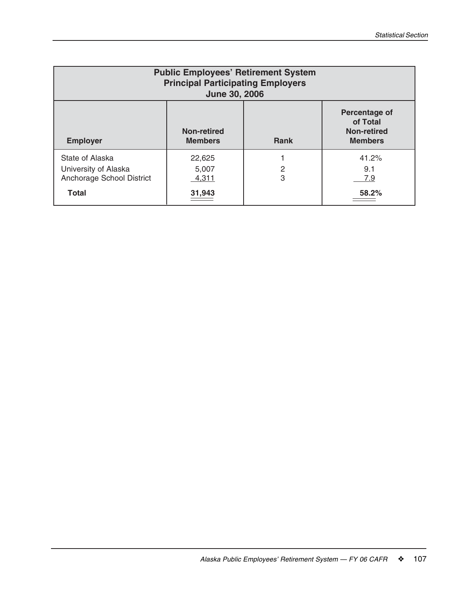| <b>Public Employees' Retirement System</b><br><b>Principal Participating Employers</b><br><b>June 30, 2006</b> |                               |             |                                                            |  |  |  |
|----------------------------------------------------------------------------------------------------------------|-------------------------------|-------------|------------------------------------------------------------|--|--|--|
| <b>Employer</b>                                                                                                | Non-retired<br><b>Members</b> | <b>Rank</b> | Percentage of<br>of Total<br>Non-retired<br><b>Members</b> |  |  |  |
| State of Alaska<br>University of Alaska<br>Anchorage School District                                           | 22,625<br>5,007<br>4,311      | 2<br>3      | 41.2%<br>9.1<br>7.9                                        |  |  |  |
| <b>Total</b>                                                                                                   | 31,943                        |             | 58.2%                                                      |  |  |  |